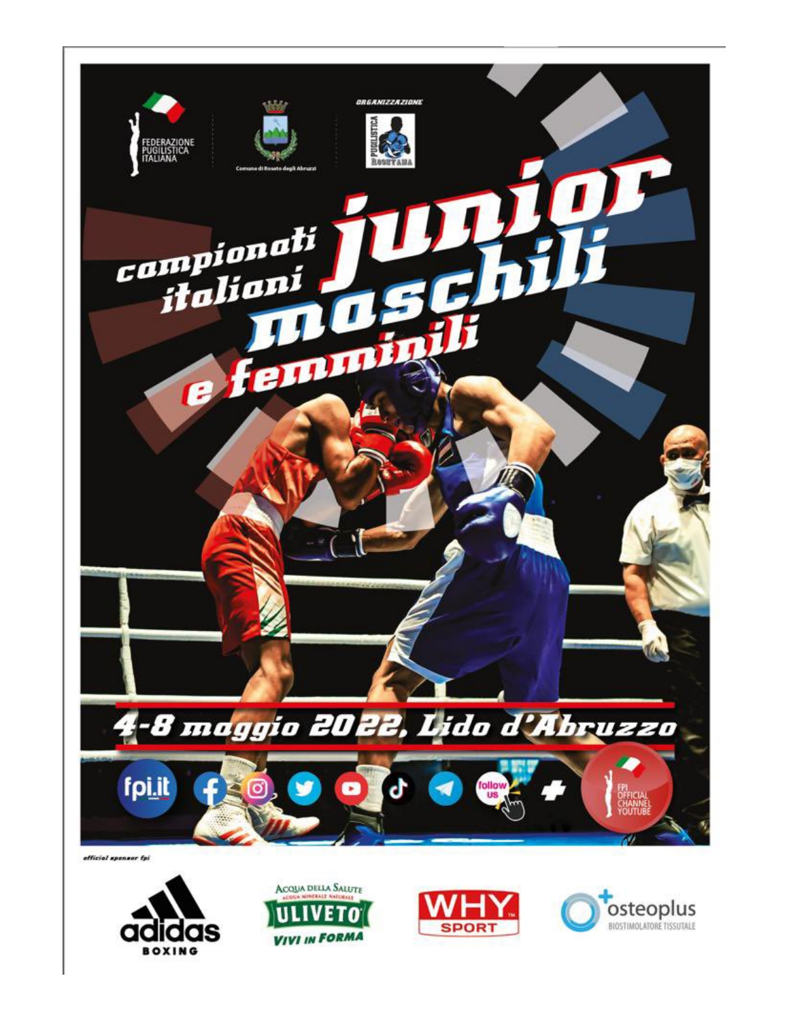







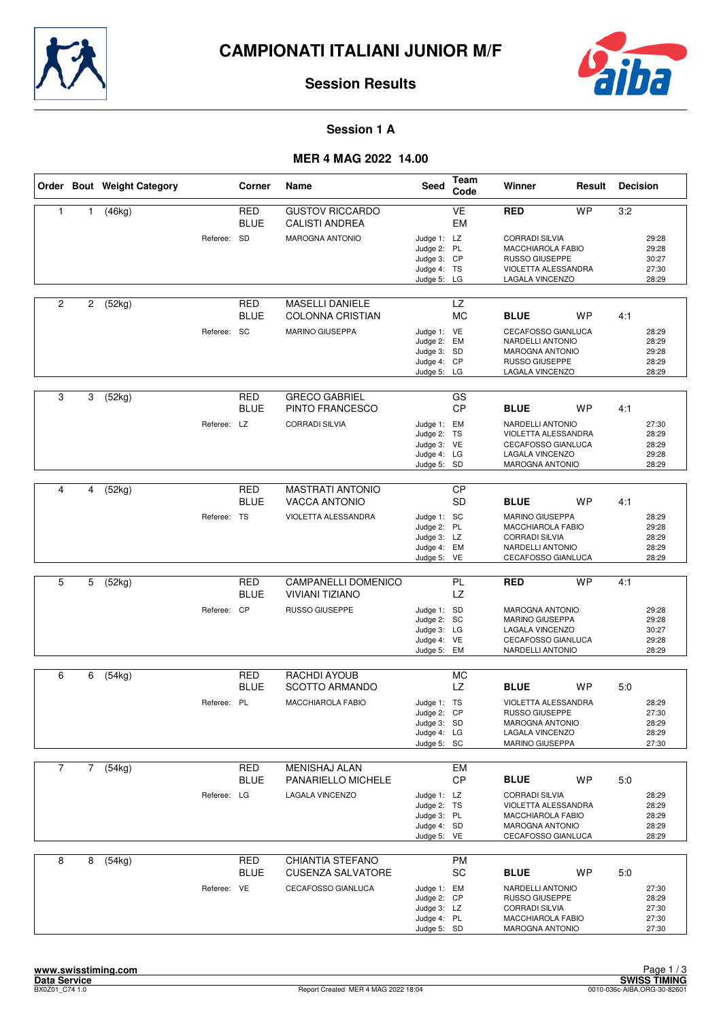



#### **Session 1 A**

## **MER 4 MAG 2022 14.00**

|                |              | Order Bout Weight Category |             | Corner                    | Name                                              | <b>Seed</b>                                                             | Team<br>Code                 | Winner                                                                                                              | Result    | <b>Decision</b> |                                           |
|----------------|--------------|----------------------------|-------------|---------------------------|---------------------------------------------------|-------------------------------------------------------------------------|------------------------------|---------------------------------------------------------------------------------------------------------------------|-----------|-----------------|-------------------------------------------|
| $\mathbf{1}$   | 1            | (46kg)                     |             | <b>RED</b><br><b>BLUE</b> | <b>GUSTOV RICCARDO</b><br><b>CALISTI ANDREA</b>   |                                                                         | <b>VE</b><br><b>EM</b>       | <b>RED</b>                                                                                                          | <b>WP</b> | 3:2             |                                           |
|                |              |                            | Referee: SD |                           | <b>MAROGNA ANTONIO</b>                            | Judge 1: LZ<br>Judge 2: PL<br>Judge 3: CP<br>Judge 4: TS<br>Judge 5: LG |                              | <b>CORRADI SILVIA</b><br>MACCHIAROLA FABIO<br><b>RUSSO GIUSEPPE</b><br>VIOLETTA ALESSANDRA<br>LAGALA VINCENZO       |           |                 | 29:28<br>29:28<br>30:27<br>27:30<br>28:29 |
| $\overline{2}$ | 2            | (52kg)                     |             | RED<br><b>BLUE</b>        | <b>MASELLI DANIELE</b><br><b>COLONNA CRISTIAN</b> |                                                                         | LZ<br><b>MC</b>              | <b>BLUE</b>                                                                                                         | <b>WP</b> | 4:1             |                                           |
|                |              |                            | Referee: SC |                           | <b>MARINO GIUSEPPA</b>                            | Judge 1: VE<br>Judge 2: EM<br>Judge 3: SD<br>Judge 4: CP<br>Judge 5: LG |                              | CECAFOSSO GIANLUCA<br>NARDELLI ANTONIO<br><b>MAROGNA ANTONIO</b><br>RUSSO GIUSEPPE<br>LAGALA VINCENZO               |           |                 | 28:29<br>28:29<br>29:28<br>28:29<br>28:29 |
| 3              | 3            | (52kg)                     |             | <b>RED</b><br><b>BLUE</b> | <b>GRECO GABRIEL</b><br>PINTO FRANCESCO           |                                                                         | GS<br><b>CP</b>              | <b>BLUE</b>                                                                                                         | WP        | 4:1             |                                           |
|                |              |                            | Referee: LZ |                           | <b>CORRADI SILVIA</b>                             | Judge 1: EM<br>Judge 2: TS<br>Judge 3: VE<br>Judge 4: LG<br>Judge 5: SD |                              | <b>NARDELLI ANTONIO</b><br>VIOLETTA ALESSANDRA<br>CECAFOSSO GIANLUCA<br>LAGALA VINCENZO<br><b>MAROGNA ANTONIO</b>   |           |                 | 27:30<br>28:29<br>28:29<br>29:28<br>28:29 |
|                |              |                            |             |                           |                                                   |                                                                         |                              |                                                                                                                     |           |                 |                                           |
| 4              | 4            | (52kg)                     |             | <b>RED</b><br><b>BLUE</b> | <b>MASTRATI ANTONIO</b><br><b>VACCA ANTONIO</b>   |                                                                         | $\overline{CP}$<br><b>SD</b> | <b>BLUE</b>                                                                                                         | WP        | 4:1             |                                           |
|                |              |                            | Referee: TS |                           | VIOLETTA ALESSANDRA                               | Judge 1: SC<br>Judge 2: PL<br>Judge 3: LZ<br>Judge 4: EM<br>Judge 5: VE |                              | <b>MARINO GIUSEPPA</b><br>MACCHIAROLA FABIO<br><b>CORRADI SILVIA</b><br>NARDELLI ANTONIO<br>CECAFOSSO GIANLUCA      |           |                 | 28:29<br>29:28<br>28:29<br>28:29<br>28:29 |
|                |              |                            |             |                           |                                                   |                                                                         |                              |                                                                                                                     |           |                 |                                           |
| 5              | 5            | (52kg)                     |             | <b>RED</b><br><b>BLUE</b> | CAMPANELLI DOMENICO<br><b>VIVIANI TIZIANO</b>     |                                                                         | PL<br><b>LZ</b>              | <b>RED</b>                                                                                                          | <b>WP</b> | 4:1             |                                           |
|                |              |                            | Referee: CP |                           | RUSSO GIUSEPPE                                    | Judge 1: SD<br>Judge 2: SC<br>Judge 3: LG<br>Judge 4: VE<br>Judge 5: EM |                              | <b>MAROGNA ANTONIO</b><br>MARINO GIUSEPPA<br>LAGALA VINCENZO<br>CECAFOSSO GIANLUCA<br>NARDELLI ANTONIO              |           |                 | 29:28<br>29:28<br>30:27<br>29:28<br>28:29 |
| 6              | 6            | (54kg)                     |             | RED                       | RACHDI AYOUB                                      |                                                                         | МC                           |                                                                                                                     |           |                 |                                           |
|                |              |                            |             | <b>BLUE</b>               | <b>SCOTTO ARMANDO</b>                             |                                                                         | LZ                           | <b>BLUE</b>                                                                                                         | <b>WP</b> | 5:0             |                                           |
|                |              |                            | Referee: PL |                           | <b>MACCHIAROLA FABIO</b>                          | Judge 1: TS<br>Judge 2: CP<br>Judge 3: SD<br>Judge 4: LG<br>Judge 5: SC |                              | <b>VIOLETTA ALESSANDRA</b><br><b>RUSSO GIUSEPPE</b><br><b>MAROGNA ANTONIO</b><br>LAGALA VINCENZO<br>MARINO GIUSEPPA |           |                 | 28:29<br>27:30<br>28:29<br>28:29<br>27:30 |
| $\overline{7}$ | $\mathbf{7}$ | (54kg)                     |             | RED                       | <b>MENISHAJ ALAN</b>                              |                                                                         | <b>EM</b>                    |                                                                                                                     |           |                 |                                           |
|                |              |                            |             | <b>BLUE</b>               | PANARIELLO MICHELE                                |                                                                         | <b>CP</b>                    | <b>BLUE</b>                                                                                                         | <b>WP</b> | 5:0             |                                           |
|                |              |                            | Referee: LG |                           | <b>LAGALA VINCENZO</b>                            | Judge 1: LZ<br>Judge 2: TS<br>Judge 3: PL<br>Judge 4: SD<br>Judge 5: VE |                              | <b>CORRADI SILVIA</b><br>VIOLETTA ALESSANDRA<br><b>MACCHIAROLA FABIO</b><br>MAROGNA ANTONIO<br>CECAFOSSO GIANLUCA   |           |                 | 28:29<br>28:29<br>28:29<br>28:29<br>28:29 |
| 8              | 8            | (54kg)                     |             | <b>RED</b>                | <b>CHIANTIA STEFANO</b>                           |                                                                         | <b>PM</b>                    |                                                                                                                     |           |                 |                                           |
|                |              |                            |             | <b>BLUE</b>               | <b>CUSENZA SALVATORE</b>                          |                                                                         | SC                           | <b>BLUE</b>                                                                                                         | WP        | 5:0             |                                           |
|                |              |                            | Referee: VE |                           | CECAFOSSO GIANLUCA                                | Judge 1: EM<br>Judge 2: CP<br>Judge 3: LZ<br>Judge 4: PL<br>Judge 5: SD |                              | NARDELLI ANTONIO<br>RUSSO GIUSEPPE<br><b>CORRADI SILVIA</b><br>MACCHIAROLA FABIO<br><b>MAROGNA ANTONIO</b>          |           |                 | 27:30<br>28:29<br>27:30<br>27:30<br>27:30 |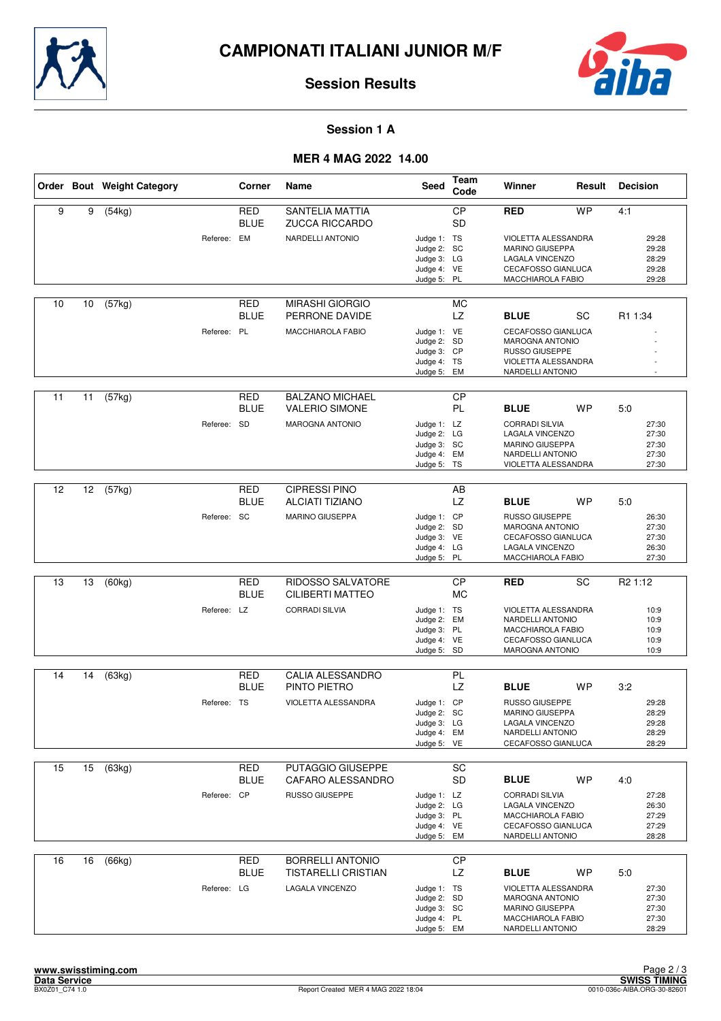



#### **Session 1 A**

## **MER 4 MAG 2022 14.00**

|    |    | Order Bout Weight Category |             | Corner                    | Name                                            | Seed                                                                    | Team<br>Code           | Winner                                                                                                               | Result    | <b>Decision</b>                           |
|----|----|----------------------------|-------------|---------------------------|-------------------------------------------------|-------------------------------------------------------------------------|------------------------|----------------------------------------------------------------------------------------------------------------------|-----------|-------------------------------------------|
| 9  | 9  | (54kg)                     |             | <b>RED</b><br><b>BLUE</b> | <b>SANTELIA MATTIA</b><br><b>ZUCCA RICCARDO</b> |                                                                         | <b>CP</b><br><b>SD</b> | <b>RED</b>                                                                                                           | <b>WP</b> | 4:1                                       |
|    |    |                            | Referee: EM |                           | NARDELLI ANTONIO                                | Judge 1: TS<br>Judge 2: SC<br>Judge 3: LG<br>Judge 4: VE<br>Judge 5: PL |                        | VIOLETTA ALESSANDRA<br>MARINO GIUSEPPA<br>LAGALA VINCENZO<br>CECAFOSSO GIANLUCA<br>MACCHIAROLA FABIO                 |           | 29:28<br>29:28<br>28:29<br>29:28<br>29:28 |
| 10 | 10 | (57kg)                     |             | RED<br><b>BLUE</b>        | <b>MIRASHI GIORGIO</b><br>PERRONE DAVIDE        |                                                                         | МC<br>LZ               | <b>BLUE</b>                                                                                                          | SC        | R1 1:34                                   |
|    |    |                            | Referee: PL |                           | MACCHIAROLA FABIO                               | Judge 1: VE<br>Judge 2: SD<br>Judge 3: CP<br>Judge 4: TS<br>Judge 5: EM |                        | CECAFOSSO GIANLUCA<br><b>MAROGNA ANTONIO</b><br>RUSSO GIUSEPPE<br>VIOLETTA ALESSANDRA<br>NARDELLI ANTONIO            |           |                                           |
| 11 | 11 | (57kg)                     |             | RED<br><b>BLUE</b>        | <b>BALZANO MICHAEL</b><br><b>VALERIO SIMONE</b> |                                                                         | <b>CP</b><br>PL        | <b>BLUE</b>                                                                                                          | <b>WP</b> | 5:0                                       |
|    |    |                            | Referee: SD |                           | <b>MAROGNA ANTONIO</b>                          | Judge 1: LZ<br>Judge 2: LG<br>Judge 3: SC<br>Judge 4: EM<br>Judge 5: TS |                        | <b>CORRADI SILVIA</b><br>LAGALA VINCENZO<br><b>MARINO GIUSEPPA</b><br>NARDELLI ANTONIO<br>VIOLETTA ALESSANDRA        |           | 27:30<br>27:30<br>27:30<br>27:30<br>27:30 |
|    |    |                            |             |                           |                                                 |                                                                         |                        |                                                                                                                      |           |                                           |
| 12 | 12 | (57kg)                     |             | <b>RED</b><br><b>BLUE</b> | <b>CIPRESSI PINO</b><br><b>ALCIATI TIZIANO</b>  |                                                                         | AB<br>LZ               | <b>BLUE</b>                                                                                                          | WP        | 5:0                                       |
|    |    |                            | Referee: SC |                           | <b>MARINO GIUSEPPA</b>                          | Judge 1: CP<br>Judge 2: SD<br>Judge 3: VE<br>Judge 4: LG<br>Judge 5: PL |                        | <b>RUSSO GIUSEPPE</b><br><b>MAROGNA ANTONIO</b><br><b>CECAFOSSO GIANLUCA</b><br>LAGALA VINCENZO<br>MACCHIAROLA FABIO |           | 26:30<br>27:30<br>27:30<br>26:30<br>27:30 |
|    |    |                            |             |                           |                                                 |                                                                         |                        |                                                                                                                      |           |                                           |
| 13 | 13 | (60kg)                     |             | <b>RED</b><br><b>BLUE</b> | RIDOSSO SALVATORE<br>CILIBERTI MATTEO           |                                                                         | <b>CP</b><br><b>MC</b> | <b>RED</b>                                                                                                           | SC        | R <sub>2</sub> 1:12                       |
|    |    |                            | Referee: LZ |                           | <b>CORRADI SILVIA</b>                           | Judge 1: TS<br>Judge 2: EM<br>Judge 3: PL<br>Judge 4: VE<br>Judge 5: SD |                        | VIOLETTA ALESSANDRA<br>NARDELLI ANTONIO<br>MACCHIAROLA FABIO<br><b>CECAFOSSO GIANLUCA</b><br><b>MAROGNA ANTONIO</b>  |           | 10:9<br>10:9<br>10:9<br>10:9<br>10:9      |
| 14 | 14 | (63kg)                     |             | <b>RED</b>                | CALIA ALESSANDRO                                |                                                                         | PL                     |                                                                                                                      |           |                                           |
|    |    |                            |             | <b>BLUE</b>               | PINTO PIETRO                                    |                                                                         | LZ                     | <b>BLUE</b>                                                                                                          | <b>WP</b> | 3:2                                       |
|    |    |                            | Referee: TS |                           | VIOLETTA ALESSANDRA                             | Judge 1: CP<br>Judge 2: SC<br>Judge 3: LG<br>Judge 4: EM<br>Judge 5: VE |                        | <b>RUSSO GIUSEPPE</b><br>MARINO GIUSEPPA<br>LAGALA VINCENZO<br>NARDELLI ANTONIO<br>CECAFOSSO GIANLUCA                |           | 29:28<br>28:29<br>29:28<br>28:29<br>28:29 |
| 15 | 15 | (63kg)                     |             | <b>RED</b>                | PUTAGGIO GIUSEPPE                               |                                                                         | SC                     |                                                                                                                      |           |                                           |
|    |    |                            |             | <b>BLUE</b>               | CAFARO ALESSANDRO                               |                                                                         | <b>SD</b>              | <b>BLUE</b>                                                                                                          | <b>WP</b> | 4:0                                       |
|    |    |                            | Referee: CP |                           | RUSSO GIUSEPPE                                  | Judge 1: LZ<br>Judge 2: LG<br>Judge 3: PL<br>Judge 4: VE<br>Judge 5: EM |                        | <b>CORRADI SILVIA</b><br>LAGALA VINCENZO<br>MACCHIAROLA FABIO<br><b>CECAFOSSO GIANLUCA</b><br>NARDELLI ANTONIO       |           | 27:28<br>26:30<br>27:29<br>27:29<br>28:28 |
| 16 | 16 | (66kg)                     |             | <b>RED</b>                | <b>BORRELLI ANTONIO</b>                         |                                                                         | <b>CP</b>              |                                                                                                                      |           |                                           |
|    |    |                            |             | <b>BLUE</b>               | <b>TISTARELLI CRISTIAN</b>                      |                                                                         | LZ                     | <b>BLUE</b>                                                                                                          | WP        | 5:0                                       |
|    |    |                            | Referee: LG |                           | LAGALA VINCENZO                                 | Judge 1: TS<br>Judge 2: SD<br>Judge 3: SC<br>Judge 4: PL<br>Judge 5: EM |                        | VIOLETTA ALESSANDRA<br><b>MAROGNA ANTONIO</b><br>MARINO GIUSEPPA<br>MACCHIAROLA FABIO<br>NARDELLI ANTONIO            |           | 27:30<br>27:30<br>27:30<br>27:30<br>28:29 |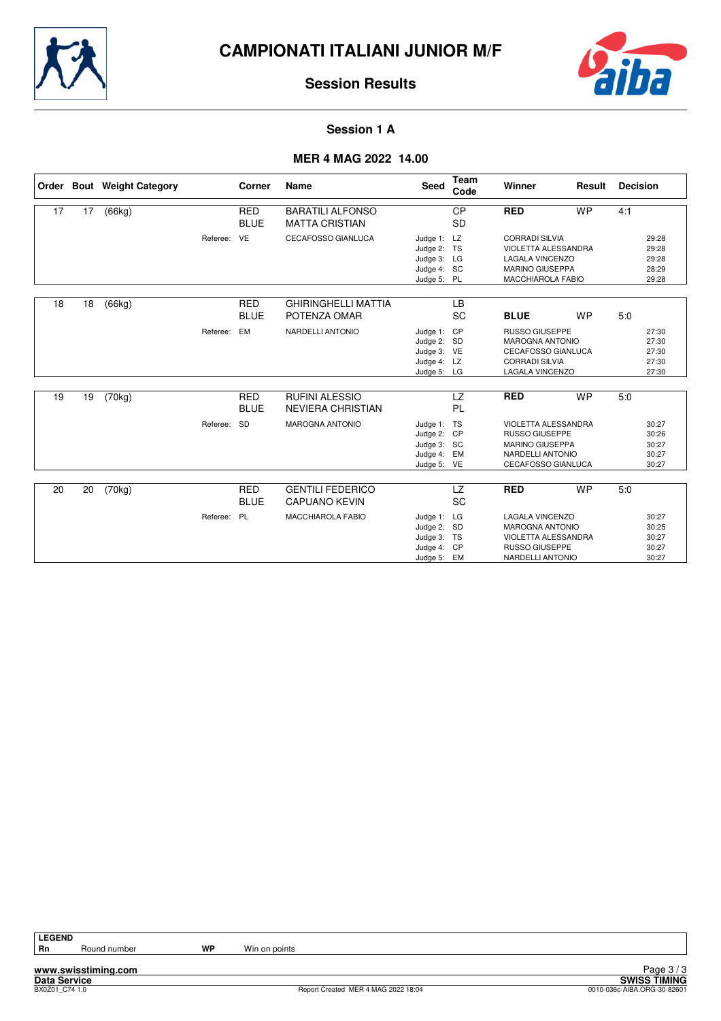



#### **Session 1 A**

## **MER 4 MAG 2022 14.00**

|    |    | Order Bout Weight Category |             | Corner                    | <b>Name</b>                                       | <b>Seed</b>                                                             | <b>Team</b><br>Code    | Winner                                                                                                                       | Result    | <b>Decision</b> |                                           |
|----|----|----------------------------|-------------|---------------------------|---------------------------------------------------|-------------------------------------------------------------------------|------------------------|------------------------------------------------------------------------------------------------------------------------------|-----------|-----------------|-------------------------------------------|
| 17 | 17 | (66kg)                     |             | <b>RED</b><br><b>BLUE</b> | <b>BARATILI ALFONSO</b><br><b>MATTA CRISTIAN</b>  |                                                                         | <b>CP</b><br><b>SD</b> | <b>RED</b>                                                                                                                   | <b>WP</b> | 4:1             |                                           |
|    |    |                            | Referee: VE |                           | CECAFOSSO GIANLUCA                                | Judge 1: LZ<br>Judge 2: TS<br>Judge 3: LG<br>Judge 4: SC<br>Judge 5: PL |                        | <b>CORRADI SILVIA</b><br><b>VIOLETTA ALESSANDRA</b><br><b>LAGALA VINCENZO</b><br><b>MARINO GIUSEPPA</b><br>MACCHIAROLA FABIO |           |                 | 29:28<br>29:28<br>29:28<br>28:29<br>29:28 |
| 18 | 18 | (66kg)                     |             | <b>RED</b><br><b>BLUE</b> | <b>GHIRINGHELLI MATTIA</b><br>POTENZA OMAR        |                                                                         | <b>LB</b><br><b>SC</b> | <b>BLUE</b>                                                                                                                  | <b>WP</b> | 5.0             |                                           |
|    |    |                            | Referee:    | EM                        | NARDELLI ANTONIO                                  | Judge 1:<br>Judge 2: SD<br>Judge 3: VE<br>Judge 4: LZ<br>Judge 5: LG    | CP                     | <b>RUSSO GIUSEPPE</b><br><b>MAROGNA ANTONIO</b><br><b>CECAFOSSO GIANLUCA</b><br><b>CORRADI SILVIA</b><br>LAGALA VINCENZO     |           |                 | 27:30<br>27:30<br>27:30<br>27:30<br>27:30 |
| 19 | 19 | (70kg)                     |             | <b>RED</b><br><b>BLUE</b> | <b>RUFINI ALESSIO</b><br><b>NEVIERA CHRISTIAN</b> |                                                                         | <b>LZ</b><br>PL        | <b>RED</b>                                                                                                                   | <b>WP</b> | 5.0             |                                           |
|    |    |                            | Referee:    | <b>SD</b>                 | <b>MAROGNA ANTONIO</b>                            | Judge 1: TS<br>Judge 2: CP<br>Judge 3: SC<br>Judge 4:<br>Judge 5: VE    | EM                     | VIOLETTA ALESSANDRA<br>RUSSO GIUSEPPE<br><b>MARINO GIUSEPPA</b><br>NARDELLI ANTONIO<br>CECAFOSSO GIANLUCA                    |           |                 | 30:27<br>30:26<br>30:27<br>30:27<br>30:27 |
| 20 | 20 | (70kg)                     |             | <b>RED</b><br><b>BLUE</b> | <b>GENTILI FEDERICO</b><br><b>CAPUANO KEVIN</b>   |                                                                         | LZ<br>SC               | <b>RED</b>                                                                                                                   | <b>WP</b> | 5.0             |                                           |
|    |    |                            | Referee: PL |                           | <b>MACCHIAROLA FABIO</b>                          | Judge 1: LG<br>Judge 2: SD<br>Judge 3: TS<br>Judge 4: CP<br>Judge 5: EM |                        | <b>LAGALA VINCENZO</b><br><b>MAROGNA ANTONIO</b><br><b>VIOLETTA ALESSANDRA</b><br>RUSSO GIUSEPPE<br>NARDELLI ANTONIO         |           |                 | 30:27<br>30:25<br>30:27<br>30:27<br>30:27 |

LEGEND<br>Rn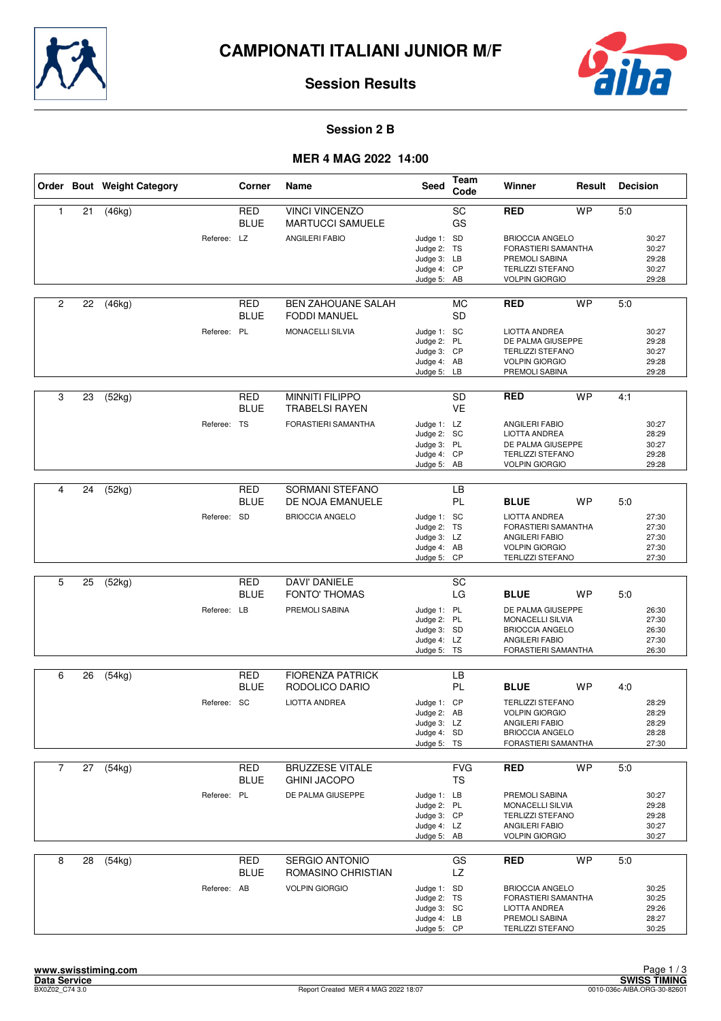



#### **Session 2 B**

#### **MER 4 MAG 2022 14:00**

|                |    | Order Bout Weight Category |             | Corner                    | Name                                                        | Seed                                                                    | Team<br>Code     | Winner                                                                                                                   | Result    | <b>Decision</b> |                                           |
|----------------|----|----------------------------|-------------|---------------------------|-------------------------------------------------------------|-------------------------------------------------------------------------|------------------|--------------------------------------------------------------------------------------------------------------------------|-----------|-----------------|-------------------------------------------|
| 1              | 21 | (46kg)                     | Referee: LZ | <b>RED</b><br><b>BLUE</b> | <b>VINCI VINCENZO</b><br>MARTUCCI SAMUELE<br>ANGILERI FABIO | Judge 1: SD<br>Judge 2: TS<br>Judge 3: LB<br>Judge 4: CP                | SC<br>GS         | RED<br><b>BRIOCCIA ANGELO</b><br><b>FORASTIERI SAMANTHA</b><br>PREMOLI SABINA<br><b>TERLIZZI STEFANO</b>                 | <b>WP</b> | 5.0             | 30:27<br>30:27<br>29:28<br>30:27          |
| $\overline{c}$ | 22 |                            |             | RED                       | <b>BEN ZAHOUANE SALAH</b>                                   | Judge 5: AB                                                             | MC               | <b>VOLPIN GIORGIO</b><br><b>RED</b>                                                                                      | <b>WP</b> | 5:0             | 29:28                                     |
|                |    | (46kg)                     |             | <b>BLUE</b>               | <b>FODDI MANUEL</b>                                         |                                                                         | <b>SD</b>        |                                                                                                                          |           |                 |                                           |
|                |    |                            | Referee: PL |                           | MONACELLI SILVIA                                            | Judge 1: SC<br>Judge 2: PL<br>Judge 3: CP<br>Judge 4: AB<br>Judge 5: LB |                  | <b>LIOTTA ANDREA</b><br>DE PALMA GIUSEPPE<br><b>TERLIZZI STEFANO</b><br><b>VOLPIN GIORGIO</b><br>PREMOLI SABINA          |           |                 | 30:27<br>29:28<br>30:27<br>29:28<br>29:28 |
| 3              | 23 | (52kg)                     |             | RED<br><b>BLUE</b>        | <b>MINNITI FILIPPO</b><br><b>TRABELSI RAYEN</b>             |                                                                         | SD.<br><b>VE</b> | RED                                                                                                                      | <b>WP</b> | 4:1             |                                           |
|                |    |                            | Referee: TS |                           | FORASTIERI SAMANTHA                                         | Judge 1: LZ<br>Judge 2: SC<br>Judge 3: PL<br>Judge 4: CP<br>Judge 5: AB |                  | ANGILERI FABIO<br><b>LIOTTA ANDREA</b><br>DE PALMA GIUSEPPE<br><b>TERLIZZI STEFANO</b><br><b>VOLPIN GIORGIO</b>          |           |                 | 30:27<br>28:29<br>30:27<br>29:28<br>29:28 |
| 4              | 24 | (52kg)                     |             | <b>RED</b>                | <b>SORMANI STEFANO</b>                                      |                                                                         | LB               |                                                                                                                          |           |                 |                                           |
|                |    |                            |             | <b>BLUE</b>               | DE NOJA EMANUELE                                            |                                                                         | PL               | <b>BLUE</b>                                                                                                              | <b>WP</b> | 5:0             |                                           |
|                |    |                            | Referee: SD |                           | <b>BRIOCCIA ANGELO</b>                                      | Judge 1: SC<br>Judge 2: TS<br>Judge 3: LZ<br>Judge 4: AB<br>Judge 5: CP |                  | <b>LIOTTA ANDREA</b><br>FORASTIERI SAMANTHA<br><b>ANGILERI FABIO</b><br><b>VOLPIN GIORGIO</b><br><b>TERLIZZI STEFANO</b> |           |                 | 27:30<br>27:30<br>27:30<br>27:30<br>27:30 |
|                |    |                            |             |                           |                                                             |                                                                         |                  |                                                                                                                          |           |                 |                                           |
| 5              | 25 | (52kg)                     |             | <b>RED</b><br><b>BLUE</b> | <b>DAVI' DANIELE</b><br><b>FONTO' THOMAS</b>                |                                                                         | <b>SC</b><br>LG  | <b>BLUE</b>                                                                                                              | <b>WP</b> | 5:0             |                                           |
|                |    |                            | Referee: LB |                           | PREMOLI SABINA                                              | Judge 1: PL<br>Judge 2: PL<br>Judge 3: SD<br>Judge 4: LZ<br>Judge 5: TS |                  | DE PALMA GIUSEPPE<br><b>MONACELLI SILVIA</b><br><b>BRIOCCIA ANGELO</b><br>ANGILERI FABIO<br>FORASTIERI SAMANTHA          |           |                 | 26:30<br>27:30<br>26:30<br>27:30<br>26:30 |
| 6              | 26 | (54kg)                     |             | <b>RED</b>                | <b>FIORENZA PATRICK</b>                                     |                                                                         | LВ               |                                                                                                                          |           |                 |                                           |
|                |    |                            |             | <b>BLUE</b>               | RODOLICO DARIO                                              |                                                                         | PL               | <b>BLUE</b>                                                                                                              | <b>WP</b> | 4:0             |                                           |
|                |    |                            | Referee: SC |                           | <b>LIOTTA ANDREA</b>                                        | Judge 1: CP<br>Judge 2: AB<br>Judge 3: LZ<br>Judge 4: SD<br>Judge 5: TS |                  | <b>TERLIZZI STEFANO</b><br><b>VOLPIN GIORGIO</b><br>ANGILERI FABIO<br><b>BRIOCCIA ANGELO</b><br>FORASTIERI SAMANTHA      |           |                 | 28:29<br>28:29<br>28:29<br>28:28<br>27:30 |
| $\overline{7}$ | 27 | (54kg)                     |             | RED                       | <b>BRUZZESE VITALE</b>                                      |                                                                         | <b>FVG</b>       | RED                                                                                                                      | <b>WP</b> | 5:0             |                                           |
|                |    |                            |             | <b>BLUE</b>               | <b>GHINI JACOPO</b>                                         |                                                                         | TS               |                                                                                                                          |           |                 |                                           |
|                |    |                            | Referee: PL |                           | DE PALMA GIUSEPPE                                           | Judge 1: LB<br>Judge 2: PL<br>Judge 3: CP<br>Judge 4: LZ<br>Judge 5: AB |                  | PREMOLI SABINA<br>MONACELLI SILVIA<br><b>TERLIZZI STEFANO</b><br>ANGILERI FABIO<br><b>VOLPIN GIORGIO</b>                 |           |                 | 30:27<br>29:28<br>29:28<br>30:27<br>30:27 |
| 8              | 28 | (54kg)                     |             | <b>RED</b>                | SERGIO ANTONIO                                              |                                                                         | GS               | <b>RED</b>                                                                                                               | <b>WP</b> | 5:0             |                                           |
|                |    |                            | Referee: AB | BLUE                      | ROMASINO CHRISTIAN<br><b>VOLPIN GIORGIO</b>                 | Judge 1: SD<br>Judge 2: TS<br>Judge 3: SC<br>Judge 4: LB<br>Judge 5: CP | LZ               | <b>BRIOCCIA ANGELO</b><br>FORASTIERI SAMANTHA<br>LIOTTA ANDREA<br>PREMOLI SABINA<br><b>TERLIZZI STEFANO</b>              |           |                 | 30:25<br>30:25<br>29:26<br>28:27<br>30:25 |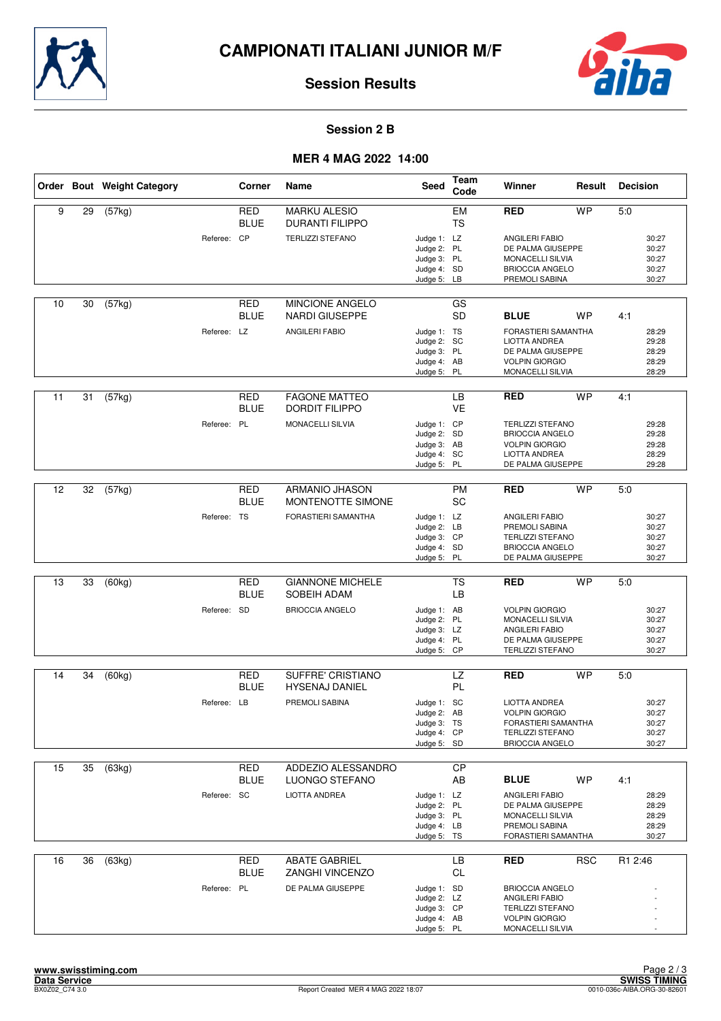



#### **Session 2 B**

## **MER 4 MAG 2022 14:00**

|    |    | Order Bout Weight Category |             | Corner                    | Name                                          | Seed                                                                    | <b>Team</b><br>Code    | Winner                                                                                                                  | Result     | <b>Decision</b>                           |
|----|----|----------------------------|-------------|---------------------------|-----------------------------------------------|-------------------------------------------------------------------------|------------------------|-------------------------------------------------------------------------------------------------------------------------|------------|-------------------------------------------|
| 9  | 29 | (57kg)                     |             | <b>RED</b><br><b>BLUE</b> | <b>MARKU ALESIO</b><br><b>DURANTI FILIPPO</b> |                                                                         | EM<br><b>TS</b>        | <b>RED</b>                                                                                                              | <b>WP</b>  | 5:0                                       |
|    |    |                            | Referee: CP |                           | <b>TERLIZZI STEFANO</b>                       | Judge 1: LZ<br>Judge 2: PL<br>Judge 3: PL<br>Judge 4: SD<br>Judge 5:    | LB                     | <b>ANGILERI FABIO</b><br>DE PALMA GIUSEPPE<br>MONACELLI SILVIA<br><b>BRIOCCIA ANGELO</b><br>PREMOLI SABINA              |            | 30:27<br>30:27<br>30:27<br>30:27<br>30:27 |
| 10 | 30 | (57kg)                     |             | <b>RED</b><br>BLUE        | MINCIONE ANGELO<br><b>NARDI GIUSEPPE</b>      |                                                                         | GS<br><b>SD</b>        | <b>BLUE</b>                                                                                                             | <b>WP</b>  | 4:1                                       |
|    |    |                            | Referee: LZ |                           | <b>ANGILERI FABIO</b>                         | Judge 1: TS<br>Judge 2: SC<br>Judge 3: PL<br>Judge 4: AB<br>Judge 5: PL |                        | FORASTIERI SAMANTHA<br>LIOTTA ANDREA<br>DE PALMA GIUSEPPE<br><b>VOLPIN GIORGIO</b><br>MONACELLI SILVIA                  |            | 28:29<br>29:28<br>28:29<br>28:29<br>28:29 |
| 11 | 31 | (57kg)                     |             | <b>RED</b><br>BLUE        | <b>FAGONE MATTEO</b><br><b>DORDIT FILIPPO</b> |                                                                         | LB<br><b>VE</b>        | <b>RED</b>                                                                                                              | <b>WP</b>  | 4:1                                       |
|    |    |                            | Referee: PL |                           | MONACELLI SILVIA                              | Judge 1: CP<br>Judge 2: SD<br>Judge 3: AB<br>Judge 4: SC<br>Judge 5:    | PL                     | <b>TERLIZZI STEFANO</b><br><b>BRIOCCIA ANGELO</b><br><b>VOLPIN GIORGIO</b><br><b>LIOTTA ANDREA</b><br>DE PALMA GIUSEPPE |            | 29:28<br>29:28<br>29:28<br>28:29<br>29:28 |
|    |    |                            |             |                           |                                               |                                                                         |                        |                                                                                                                         |            |                                           |
| 12 | 32 | (57kg)                     |             | <b>RED</b><br>BLUE        | ARMANIO JHASON<br>MONTENOTTE SIMONE           |                                                                         | <b>PM</b><br><b>SC</b> | <b>RED</b>                                                                                                              | <b>WP</b>  | 5:0                                       |
|    |    |                            | Referee: TS |                           | FORASTIERI SAMANTHA                           | Judge 1: LZ<br>Judge 2: LB<br>Judge 3: CP<br>Judge 4: SD<br>Judge 5: PL |                        | ANGILERI FABIO<br>PREMOLI SABINA<br><b>TERLIZZI STEFANO</b><br><b>BRIOCCIA ANGELO</b><br>DE PALMA GIUSEPPE              |            | 30:27<br>30:27<br>30:27<br>30:27<br>30:27 |
|    |    |                            |             |                           |                                               |                                                                         |                        |                                                                                                                         |            |                                           |
| 13 | 33 | (60kg)                     |             | <b>RED</b><br><b>BLUE</b> | <b>GIANNONE MICHELE</b><br>SOBEIH ADAM        |                                                                         | <b>TS</b><br>LB        | <b>RED</b>                                                                                                              | <b>WP</b>  | 5:0                                       |
|    |    |                            | Referee: SD |                           | <b>BRIOCCIA ANGELO</b>                        | Judge 1: AB<br>Judge 2: PL<br>Judge 3: LZ<br>Judge 4: PL<br>Judge 5: CP |                        | <b>VOLPIN GIORGIO</b><br>MONACELLI SILVIA<br>ANGILERI FABIO<br>DE PALMA GIUSEPPE<br><b>TERLIZZI STEFANO</b>             |            | 30:27<br>30:27<br>30:27<br>30:27<br>30:27 |
|    |    |                            |             |                           |                                               |                                                                         |                        |                                                                                                                         |            |                                           |
| 14 | 34 | (60kg)                     |             | <b>RED</b><br>BLUE        | SUFFRE' CRISTIANO<br><b>HYSENAJ DANIEL</b>    |                                                                         | LZ<br>PL               | <b>RED</b>                                                                                                              | <b>WP</b>  | 5:0                                       |
|    |    |                            | Referee: LB |                           | PREMOLI SABINA                                | Judge 1: SC<br>Judge 2: AB<br>Judge 3: TS<br>Judge 4: CP<br>Judge 5: SD |                        | LIOTTA ANDREA<br><b>VOLPIN GIORGIO</b><br>FORASTIERI SAMANTHA<br><b>TERLIZZI STEFANO</b><br><b>BRIOCCIA ANGELO</b>      |            | 30:27<br>30:27<br>30:27<br>30:27<br>30:27 |
| 15 | 35 | (63kg)                     |             | RED                       | ADDEZIO ALESSANDRO                            |                                                                         | <b>CP</b>              |                                                                                                                         |            |                                           |
|    |    |                            |             | <b>BLUE</b>               | LUONGO STEFANO                                |                                                                         | AB                     | <b>BLUE</b>                                                                                                             | <b>WP</b>  | 4:1                                       |
|    |    |                            | Referee: SC |                           | LIOTTA ANDREA                                 | Judge 1: LZ<br>Judge 2: PL<br>Judge 3: PL<br>Judge 4: LB<br>Judge 5: TS |                        | <b>ANGILERI FABIO</b><br>DE PALMA GIUSEPPE<br>MONACELLI SILVIA<br>PREMOLI SABINA<br>FORASTIERI SAMANTHA                 |            | 28:29<br>28:29<br>28:29<br>28:29<br>30:27 |
| 16 | 36 | (63kg)                     |             | <b>RED</b>                | <b>ABATE GABRIEL</b>                          |                                                                         | LB                     | <b>RED</b>                                                                                                              | <b>RSC</b> | R1 2:46                                   |
|    |    |                            | Referee: PL | BLUE                      | ZANGHI VINCENZO<br>DE PALMA GIUSEPPE          | Judge 1: SD<br>Judge 2: LZ<br>Judge 3: CP<br>Judge 4: AB<br>Judge 5: PL | CL                     | <b>BRIOCCIA ANGELO</b><br>ANGILERI FABIO<br><b>TERLIZZI STEFANO</b><br><b>VOLPIN GIORGIO</b><br>MONACELLI SILVIA        |            |                                           |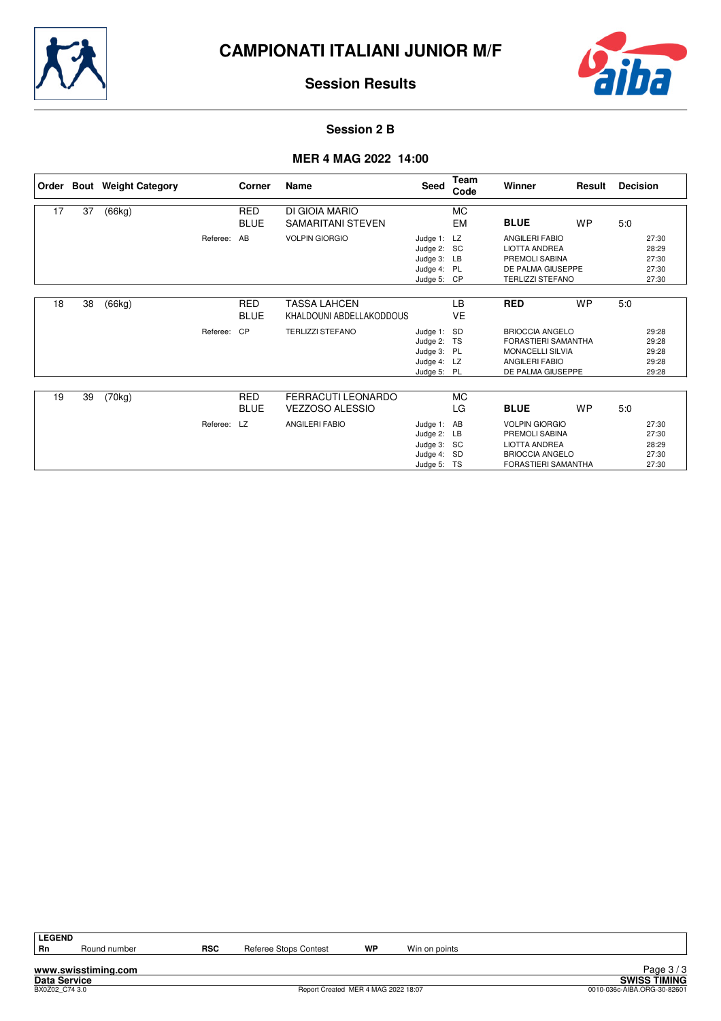



#### **Session 2 B**

## **MER 4 MAG 2022 14:00**

| Order |    | <b>Bout</b> Weight Category |             | Corner                    | Name                                                | Seed                                                                    | Team<br>Code    | Winner                                                                                                                  | Result    | <b>Decision</b> |                                           |
|-------|----|-----------------------------|-------------|---------------------------|-----------------------------------------------------|-------------------------------------------------------------------------|-----------------|-------------------------------------------------------------------------------------------------------------------------|-----------|-----------------|-------------------------------------------|
| 17    | 37 | (66kg)                      |             | <b>RED</b><br><b>BLUE</b> | DI GIOIA MARIO<br><b>SAMARITANI STEVEN</b>          |                                                                         | <b>MC</b><br>EM | <b>BLUE</b>                                                                                                             | <b>WP</b> | 5:0             |                                           |
|       |    |                             | Referee:    | AB                        | <b>VOLPIN GIORGIO</b>                               | Judge 1:<br>Judge 2: SC<br>Judge 3: LB<br>Judge 4: PL<br>Judge 5: CP    | LZ              | <b>ANGILERI FABIO</b><br><b>LIOTTA ANDREA</b><br>PREMOLI SABINA<br>DE PALMA GIUSEPPE<br><b>TERLIZZI STEFANO</b>         |           |                 | 27:30<br>28:29<br>27:30<br>27:30<br>27:30 |
| 18    | 38 | (66kg)                      |             | <b>RED</b><br><b>BLUE</b> | <b>TASSA LAHCEN</b><br>KHALDOUNI ABDELLAKODDOUS     |                                                                         | <b>LB</b><br>VE | <b>RED</b>                                                                                                              | <b>WP</b> | 5:0             |                                           |
|       |    |                             | Referee:    | CP                        | <b>TERLIZZI STEFANO</b>                             | Judge 1: SD<br>Judge 2:<br>Judge 3: PL<br>Judge 4: LZ<br>Judge 5: PL    | TS              | <b>BRIOCCIA ANGELO</b><br>FORASTIERI SAMANTHA<br><b>MONACELLI SILVIA</b><br><b>ANGILERI FABIO</b><br>DE PALMA GIUSEPPE  |           |                 | 29:28<br>29:28<br>29:28<br>29:28<br>29:28 |
| 19    | 39 | (70kg)                      |             | <b>RED</b><br><b>BLUE</b> | <b>FERRACUTI LEONARDO</b><br><b>VEZZOSO ALESSIO</b> |                                                                         | МC<br>LG        | <b>BLUE</b>                                                                                                             | <b>WP</b> | 5.0             |                                           |
|       |    |                             | Referee: LZ |                           | <b>ANGILERI FABIO</b>                               | Judge 1: AB<br>Judge 2: LB<br>Judge 3: SC<br>Judge 4: SD<br>Judge 5: TS |                 | <b>VOLPIN GIORGIO</b><br>PREMOLI SABINA<br><b>LIOTTA ANDREA</b><br><b>BRIOCCIA ANGELO</b><br><b>FORASTIERI SAMANTHA</b> |           |                 | 27:30<br>27:30<br>28:29<br>27:30<br>27:30 |

LEGEND<br>Rn

**www.swisstiming.com**

Round number **RSC** Referee Stops Contest **WP** Win on points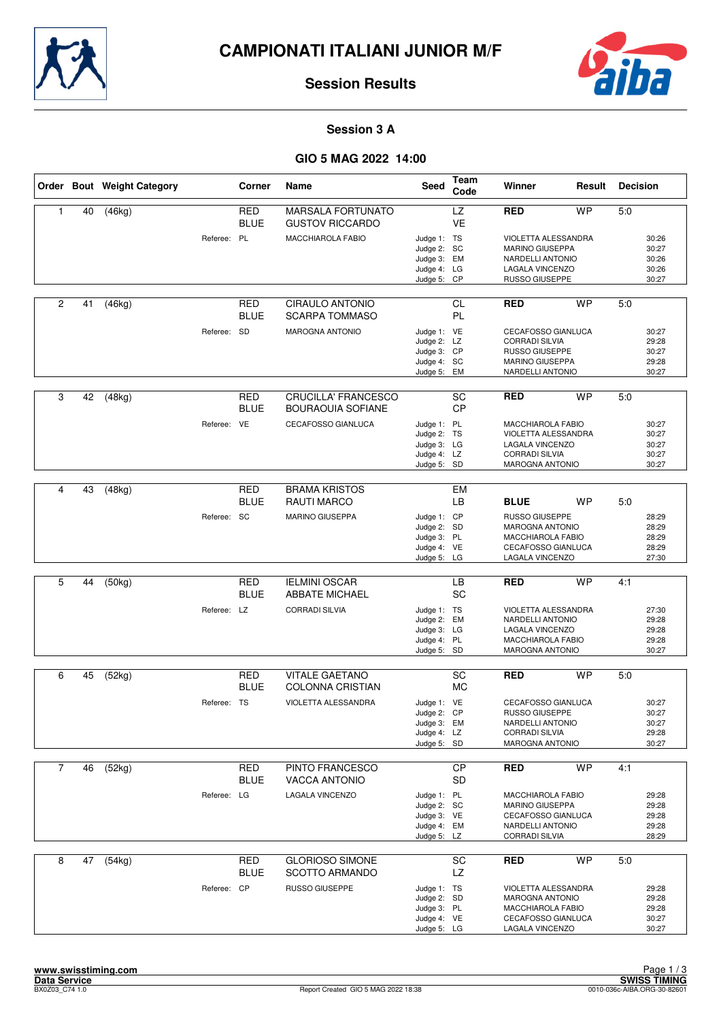



#### **Session 3 A**

|                |    | Order Bout Weight Category |             | Corner                    | Name                                                   | Seed                                                                    | Team<br>Code    | Winner                                                                                                                    | Result    | <b>Decision</b> |                                           |
|----------------|----|----------------------------|-------------|---------------------------|--------------------------------------------------------|-------------------------------------------------------------------------|-----------------|---------------------------------------------------------------------------------------------------------------------------|-----------|-----------------|-------------------------------------------|
| $\mathbf{1}$   | 40 | (46kg)                     |             | <b>RED</b><br><b>BLUE</b> | <b>MARSALA FORTUNATO</b><br><b>GUSTOV RICCARDO</b>     |                                                                         | LZ<br><b>VE</b> | <b>RED</b>                                                                                                                | <b>WP</b> | 5:0             |                                           |
|                |    |                            | Referee: PL |                           | <b>MACCHIAROLA FABIO</b>                               | Judge 1: TS<br>Judge 2: SC<br>Judge 3: EM<br>Judge 4: LG<br>Judge 5: CP |                 | VIOLETTA ALESSANDRA<br>MARINO GIUSEPPA<br>NARDELLI ANTONIO<br>LAGALA VINCENZO<br>RUSSO GIUSEPPE                           |           |                 | 30:26<br>30:27<br>30:26<br>30:26<br>30:27 |
| $\overline{2}$ | 41 | (46kg)                     |             | RED<br><b>BLUE</b>        | <b>CIRAULO ANTONIO</b><br><b>SCARPA TOMMASO</b>        |                                                                         | <b>CL</b><br>PL | <b>RED</b>                                                                                                                | <b>WP</b> | 5:0             |                                           |
|                |    |                            | Referee: SD |                           | <b>MAROGNA ANTONIO</b>                                 | Judge 1: VE<br>Judge 2: LZ<br>Judge 3: CP<br>Judge 4: SC<br>Judge 5: EM |                 | CECAFOSSO GIANLUCA<br><b>CORRADI SILVIA</b><br>RUSSO GIUSEPPE<br>MARINO GIUSEPPA<br>NARDELLI ANTONIO                      |           |                 | 30:27<br>29:28<br>30:27<br>29:28<br>30:27 |
| 3              | 42 | (48kg)                     |             | RED<br><b>BLUE</b>        | <b>CRUCILLA' FRANCESCO</b><br><b>BOURAOUIA SOFIANE</b> |                                                                         | SC<br><b>CP</b> | <b>RED</b>                                                                                                                | <b>WP</b> | 5:0             |                                           |
|                |    |                            | Referee: VE |                           | CECAFOSSO GIANLUCA                                     | Judge 1: PL<br>Judge 2: TS<br>Judge 3: LG<br>Judge 4: LZ<br>Judge 5: SD |                 | <b>MACCHIAROLA FABIO</b><br>VIOLETTA ALESSANDRA<br>LAGALA VINCENZO<br><b>CORRADI SILVIA</b><br><b>MAROGNA ANTONIO</b>     |           |                 | 30:27<br>30:27<br>30:27<br>30:27<br>30:27 |
|                |    |                            |             |                           |                                                        |                                                                         |                 |                                                                                                                           |           |                 |                                           |
| 4              | 43 | (48kg)                     |             | <b>RED</b><br><b>BLUE</b> | <b>BRAMA KRISTOS</b><br><b>RAUTI MARCO</b>             |                                                                         | <b>EM</b><br>LВ | <b>BLUE</b>                                                                                                               | WP        | 5:0             |                                           |
|                |    |                            | Referee: SC |                           | MARINO GIUSEPPA                                        | Judge 1: CP<br>Judge 2: SD<br>Judge 3: PL<br>Judge 4: VE<br>Judge 5: LG |                 | RUSSO GIUSEPPE<br><b>MAROGNA ANTONIO</b><br><b>MACCHIAROLA FABIO</b><br><b>CECAFOSSO GIANLUCA</b><br>LAGALA VINCENZO      |           |                 | 28:29<br>28:29<br>28:29<br>28:29<br>27:30 |
|                |    |                            |             |                           |                                                        |                                                                         |                 |                                                                                                                           |           |                 |                                           |
| 5              | 44 | (50kg)                     |             | <b>RED</b><br><b>BLUE</b> | <b>IELMINI OSCAR</b><br><b>ABBATE MICHAEL</b>          |                                                                         | LB<br><b>SC</b> | <b>RED</b>                                                                                                                | <b>WP</b> | 4:1             |                                           |
|                |    |                            | Referee: LZ |                           | <b>CORRADI SILVIA</b>                                  | Judge 1: TS<br>Judge 2: EM<br>Judge 3: LG<br>Judge 4: PL<br>Judge 5: SD |                 | VIOLETTA ALESSANDRA<br>NARDELLI ANTONIO<br>LAGALA VINCENZO<br>MACCHIAROLA FABIO<br><b>MAROGNA ANTONIO</b>                 |           |                 | 27:30<br>29:28<br>29:28<br>29:28<br>30:27 |
|                |    |                            |             | <b>RED</b>                | <b>VITALE GAETANO</b>                                  |                                                                         | SC              |                                                                                                                           | <b>WP</b> |                 |                                           |
| 6              | 45 | (52kg)                     |             | <b>BLUE</b>               | <b>COLONNA CRISTIAN</b>                                |                                                                         | <b>MC</b>       | <b>RED</b>                                                                                                                |           | 5:0             |                                           |
|                |    |                            | Referee: TS |                           | VIOLETTA ALESSANDRA                                    | Judge 1: VE<br>Judge 2:<br>Judge 3: EM<br>Judge 4: LZ<br>Judge 5: SD    | <b>CP</b>       | <b>CECAFOSSO GIANLUCA</b><br><b>RUSSO GIUSEPPE</b><br>NARDELLI ANTONIO<br><b>CORRADI SILVIA</b><br><b>MAROGNA ANTONIO</b> |           |                 | 30:27<br>30:27<br>30:27<br>29:28<br>30:27 |
| $\overline{7}$ | 46 | (52kg)                     |             | RED                       | PINTO FRANCESCO                                        |                                                                         | <b>CP</b>       | <b>RED</b>                                                                                                                | <b>WP</b> | 4:1             |                                           |
|                |    |                            |             | <b>BLUE</b>               | <b>VACCA ANTONIO</b>                                   |                                                                         | <b>SD</b>       |                                                                                                                           |           |                 |                                           |
|                |    |                            | Referee: LG |                           | LAGALA VINCENZO                                        | Judge 1: PL<br>Judge 2: SC<br>Judge 3: VE<br>Judge 4: EM<br>Judge 5: LZ |                 | MACCHIAROLA FABIO<br>MARINO GIUSEPPA<br>CECAFOSSO GIANLUCA<br>NARDELLI ANTONIO<br><b>CORRADI SILVIA</b>                   |           |                 | 29:28<br>29:28<br>29:28<br>29:28<br>28:29 |
| 8              | 47 | (54kg)                     |             | RED                       | <b>GLORIOSO SIMONE</b><br><b>SCOTTO ARMANDO</b>        |                                                                         | SC<br>LZ        | <b>RED</b>                                                                                                                | <b>WP</b> | 5:0             |                                           |
|                |    |                            | Referee: CP | <b>BLUE</b>               | RUSSO GIUSEPPE                                         | Judge 1: TS<br>Judge 2: SD<br>Judge 3: PL<br>Judge 4: VE<br>Judge 5: LG |                 | VIOLETTA ALESSANDRA<br>MAROGNA ANTONIO<br>MACCHIAROLA FABIO<br>CECAFOSSO GIANLUCA<br>LAGALA VINCENZO                      |           |                 | 29:28<br>29:28<br>29:28<br>30:27<br>30:27 |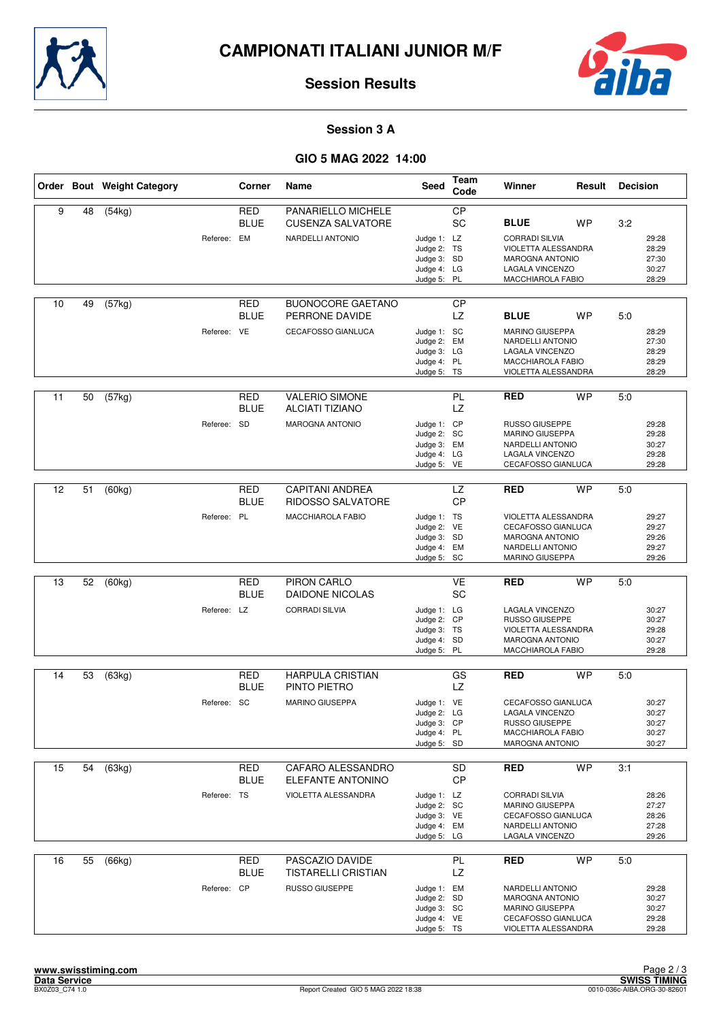



#### **Session 3 A**

|    |    | Order Bout Weight Category |             | Corner                    | Name                                                 | Seed                                                                    | <b>Team</b><br>Code | Winner                                                                                                                | Result    | <b>Decision</b> |                                           |
|----|----|----------------------------|-------------|---------------------------|------------------------------------------------------|-------------------------------------------------------------------------|---------------------|-----------------------------------------------------------------------------------------------------------------------|-----------|-----------------|-------------------------------------------|
| 9  | 48 | (54kg)                     |             | <b>RED</b><br><b>BLUE</b> | PANARIELLO MICHELE<br><b>CUSENZA SALVATORE</b>       |                                                                         | CP<br>SC            | <b>BLUE</b>                                                                                                           | <b>WP</b> | 3:2             |                                           |
|    |    |                            | Referee: EM |                           | NARDELLI ANTONIO                                     | Judge 1: LZ<br>Judge 2: TS<br>Judge 3: SD<br>Judge 4: LG<br>Judge 5: PL |                     | <b>CORRADI SILVIA</b><br><b>VIOLETTA ALESSANDRA</b><br><b>MAROGNA ANTONIO</b><br>LAGALA VINCENZO<br>MACCHIAROLA FABIO |           |                 | 29:28<br>28:29<br>27:30<br>30:27<br>28:29 |
| 10 | 49 | (57kg)                     |             | RED<br><b>BLUE</b>        | <b>BUONOCORE GAETANO</b><br>PERRONE DAVIDE           |                                                                         | <b>CP</b><br>LZ     | <b>BLUE</b>                                                                                                           | <b>WP</b> | 5:0             |                                           |
|    |    |                            | Referee: VE |                           | CECAFOSSO GIANLUCA                                   | Judge 1: SC<br>Judge 2: EM<br>Judge 3: LG<br>Judge 4: PL<br>Judge 5: TS |                     | <b>MARINO GIUSEPPA</b><br>NARDELLI ANTONIO<br>LAGALA VINCENZO<br>MACCHIAROLA FABIO<br>VIOLETTA ALESSANDRA             |           |                 | 28:29<br>27:30<br>28:29<br>28:29<br>28:29 |
| 11 | 50 | (57kg)                     |             | <b>RED</b><br><b>BLUE</b> | <b>VALERIO SIMONE</b><br><b>ALCIATI TIZIANO</b>      |                                                                         | PL<br>LZ            | <b>RED</b>                                                                                                            | <b>WP</b> | 5:0             |                                           |
|    |    |                            | Referee: SD |                           | <b>MAROGNA ANTONIO</b>                               | Judge 1: CP<br>Judge 2: SC<br>Judge 3: EM<br>Judge 4: LG<br>Judge 5: VE |                     | <b>RUSSO GIUSEPPE</b><br><b>MARINO GIUSEPPA</b><br>NARDELLI ANTONIO<br>LAGALA VINCENZO<br>CECAFOSSO GIANLUCA          |           |                 | 29:28<br>29:28<br>30:27<br>29:28<br>29:28 |
| 12 | 51 | (60kg)                     |             | <b>RED</b>                | <b>CAPITANI ANDREA</b>                               |                                                                         | <b>LZ</b>           | <b>RED</b>                                                                                                            | <b>WP</b> | 5:0             |                                           |
|    |    |                            | Referee: PL | <b>BLUE</b>               | <b>RIDOSSO SALVATORE</b><br><b>MACCHIAROLA FABIO</b> | Judge 1: TS<br>Judge 2: VE<br>Judge 3: SD<br>Judge 4: EM<br>Judge 5: SC | <b>CP</b>           | <b>VIOLETTA ALESSANDRA</b><br>CECAFOSSO GIANLUCA<br><b>MAROGNA ANTONIO</b><br>NARDELLI ANTONIO<br>MARINO GIUSEPPA     |           |                 | 29:27<br>29:27<br>29:26<br>29:27<br>29:26 |
|    |    |                            |             |                           |                                                      |                                                                         |                     |                                                                                                                       |           |                 |                                           |
| 13 | 52 | (60kg)                     |             | <b>RED</b><br><b>BLUE</b> | PIRON CARLO<br><b>DAIDONE NICOLAS</b>                |                                                                         | <b>VE</b><br>SC     | <b>RED</b>                                                                                                            | <b>WP</b> | 5:0             |                                           |
|    |    |                            | Referee: LZ |                           | <b>CORRADI SILVIA</b>                                | Judge 1: LG<br>Judge 2: CP<br>Judge 3: TS<br>Judge 4: SD<br>Judge 5:    | PL                  | LAGALA VINCENZO<br>RUSSO GIUSEPPE<br>VIOLETTA ALESSANDRA<br><b>MAROGNA ANTONIO</b><br>MACCHIAROLA FABIO               |           |                 | 30:27<br>30:27<br>29:28<br>30:27<br>29:28 |
| 14 | 53 | (63kg)                     |             | RED                       | <b>HARPULA CRISTIAN</b>                              |                                                                         | GS                  | <b>RED</b>                                                                                                            | <b>WP</b> | 5:0             |                                           |
|    |    |                            | Referee: SC | <b>BLUE</b>               | PINTO PIETRO<br><b>MARINO GIUSEPPA</b>               | Judge 1: VE<br>Judge 2: LG<br>Judge 3: CP<br>Judge 4: PL<br>Judge 5: SD | LZ.                 | CECAFOSSO GIANLUCA<br>LAGALA VINCENZO<br>RUSSO GIUSEPPE<br>MACCHIAROLA FABIO<br>MAROGNA ANTONIO                       |           |                 | 30:27<br>30:27<br>30:27<br>30:27<br>30:27 |
| 15 | 54 | (63kg)                     |             | RED                       | CAFARO ALESSANDRO                                    |                                                                         | SD                  | <b>RED</b>                                                                                                            | <b>WP</b> | 3:1             |                                           |
|    |    |                            | Referee: TS | <b>BLUE</b>               | ELEFANTE ANTONINO<br>VIOLETTA ALESSANDRA             | Judge 1: LZ<br>Judge 2: SC<br>Judge 3: VE<br>Judge 4: EM<br>Judge 5: LG | <b>CP</b>           | <b>CORRADI SILVIA</b><br><b>MARINO GIUSEPPA</b><br>CECAFOSSO GIANLUCA<br>NARDELLI ANTONIO<br>LAGALA VINCENZO          |           |                 | 28:26<br>27:27<br>28:26<br>27:28<br>29:26 |
| 16 | 55 | (66kg)                     |             | <b>RED</b><br><b>BLUE</b> | PASCAZIO DAVIDE<br><b>TISTARELLI CRISTIAN</b>        |                                                                         | PL<br>LZ            | RED                                                                                                                   | <b>WP</b> | 5:0             |                                           |
|    |    |                            | Referee: CP |                           | RUSSO GIUSEPPE                                       | Judge 1: EM<br>Judge 2: SD<br>Judge 3: SC<br>Judge 4: VE<br>Judge 5: TS |                     | NARDELLI ANTONIO<br><b>MAROGNA ANTONIO</b><br>MARINO GIUSEPPA<br>CECAFOSSO GIANLUCA<br>VIOLETTA ALESSANDRA            |           |                 | 29:28<br>30:27<br>30:27<br>29:28<br>29:28 |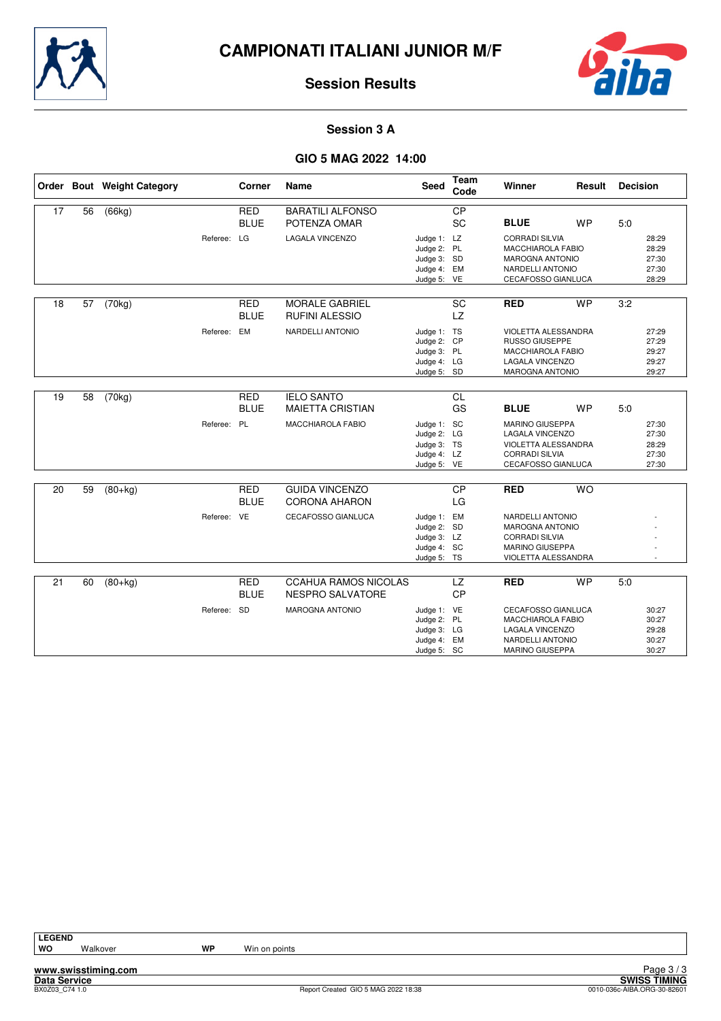



#### **Session 3 A**

## **GIO 5 MAG 2022 14:00**

|    |    | Order Bout Weight Category |             | Corner                    | Name                                                   | <b>Seed</b>                                                             | Team<br>Code           | Winner                                                                                                                 | Result    | <b>Decision</b> |                                           |
|----|----|----------------------------|-------------|---------------------------|--------------------------------------------------------|-------------------------------------------------------------------------|------------------------|------------------------------------------------------------------------------------------------------------------------|-----------|-----------------|-------------------------------------------|
| 17 | 56 | (66kg)                     |             | <b>RED</b>                | <b>BARATILI ALFONSO</b>                                |                                                                         | CP                     |                                                                                                                        |           |                 |                                           |
|    |    |                            |             | <b>BLUE</b>               | POTENZA OMAR                                           |                                                                         | SC                     | <b>BLUE</b>                                                                                                            | <b>WP</b> | 5.0             |                                           |
|    |    |                            | Referee: LG |                           | <b>LAGALA VINCENZO</b>                                 | Judge 1: LZ<br>Judge 2: PL<br>Judge 3: SD<br>Judge 4: EM                |                        | <b>CORRADI SILVIA</b><br><b>MACCHIAROLA FABIO</b><br><b>MAROGNA ANTONIO</b><br>NARDELLI ANTONIO                        |           |                 | 28:29<br>28:29<br>27:30<br>27:30          |
|    |    |                            |             |                           |                                                        | Judge 5: VE                                                             |                        | CECAFOSSO GIANLUCA                                                                                                     |           |                 | 28:29                                     |
|    |    |                            |             |                           |                                                        |                                                                         |                        |                                                                                                                        |           |                 |                                           |
| 18 | 57 | (70kg)                     |             | <b>RED</b><br><b>BLUE</b> | <b>MORALE GABRIEL</b><br><b>RUFINI ALESSIO</b>         |                                                                         | <b>SC</b><br><b>LZ</b> | <b>RED</b>                                                                                                             | <b>WP</b> | 3:2             |                                           |
|    |    |                            | Referee: EM |                           | NARDELLI ANTONIO                                       | Judge 1: TS<br>Judge 2: CP<br>Judge 3: PL<br>Judge 4: LG<br>Judge 5: SD |                        | VIOLETTA ALESSANDRA<br><b>RUSSO GIUSEPPE</b><br><b>MACCHIAROLA FABIO</b><br>LAGALA VINCENZO<br>MAROGNA ANTONIO         |           |                 | 27:29<br>27:29<br>29:27<br>29:27<br>29:27 |
|    |    |                            |             |                           |                                                        |                                                                         |                        |                                                                                                                        |           |                 |                                           |
| 19 | 58 | (70kg)                     |             | <b>RED</b><br><b>BLUE</b> | <b>IELO SANTO</b><br><b>MAIETTA CRISTIAN</b>           |                                                                         | <b>CL</b><br>GS        | <b>BLUE</b>                                                                                                            | <b>WP</b> | 5:0             |                                           |
|    |    |                            | Referee: PL |                           | <b>MACCHIAROLA FABIO</b>                               | Judge 1: SC<br>Judge 2: LG<br>Judge 3: TS<br>Judge 4: LZ<br>Judge 5: VE |                        | <b>MARINO GIUSEPPA</b><br><b>LAGALA VINCENZO</b><br>VIOLETTA ALESSANDRA<br><b>CORRADI SILVIA</b><br>CECAFOSSO GIANLUCA |           |                 | 27:30<br>27:30<br>28:29<br>27:30<br>27:30 |
| 20 | 59 | $(80+kg)$                  |             | <b>RED</b><br><b>BLUE</b> | <b>GUIDA VINCENZO</b><br><b>CORONA AHARON</b>          |                                                                         | $\overline{CP}$<br>LG  | <b>RED</b>                                                                                                             | <b>WO</b> |                 |                                           |
|    |    |                            | Referee: VE |                           | CECAFOSSO GIANLUCA                                     | Judge 1: EM<br>Judge 2: SD<br>Judge 3: LZ<br>Judge 4: SC<br>Judge 5: TS |                        | NARDELLI ANTONIO<br>MAROGNA ANTONIO<br><b>CORRADI SILVIA</b><br><b>MARINO GIUSEPPA</b><br>VIOLETTA ALESSANDRA          |           |                 |                                           |
| 21 | 60 | $(80+kg)$                  |             | <b>RED</b><br><b>BLUE</b> | <b>CCAHUA RAMOS NICOLAS</b><br><b>NESPRO SALVATORE</b> |                                                                         | <b>LZ</b><br><b>CP</b> | <b>RED</b>                                                                                                             | <b>WP</b> | 5:0             |                                           |
|    |    |                            | Referee: SD |                           | <b>MAROGNA ANTONIO</b>                                 | Judge 1: VE<br>Judge 2: PL<br>Judge 3: LG<br>Judge 4: EM<br>Judge 5: SC |                        | <b>CECAFOSSO GIANLUCA</b><br>MACCHIAROLA FABIO<br>LAGALA VINCENZO<br>NARDELLI ANTONIO<br><b>MARINO GIUSEPPA</b>        |           |                 | 30:27<br>30:27<br>29:28<br>30:27<br>30:27 |

**www.swisstiming.com Data Service SWISS TIMING**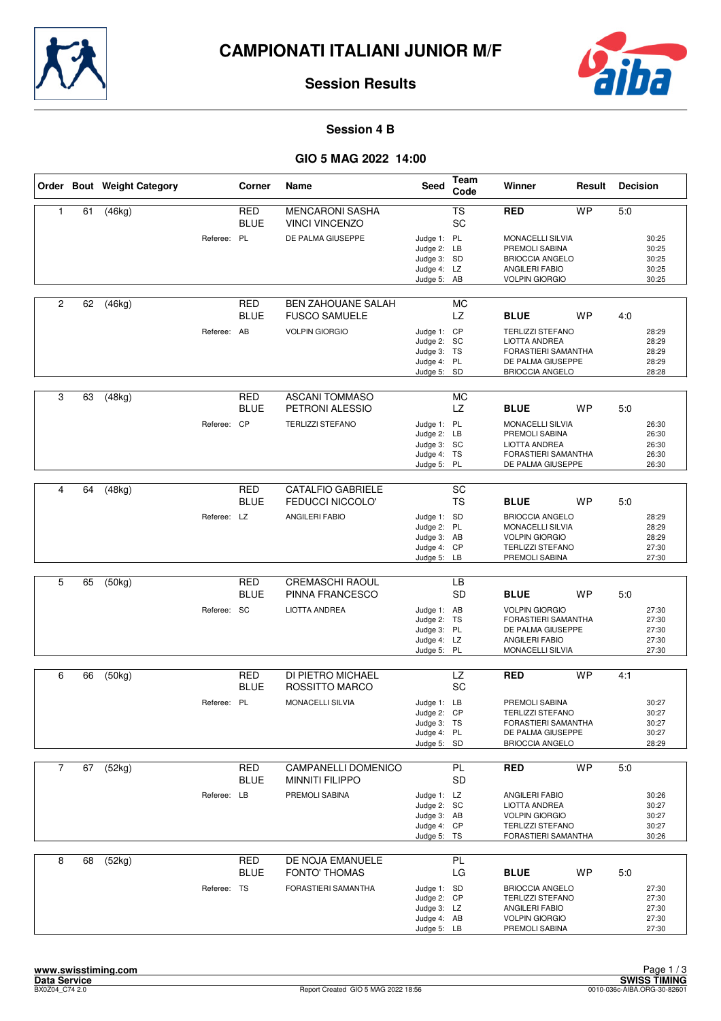



#### **Session 4 B**

|                |    | Order Bout Weight Category |             | Corner                    | Name                                                | <b>Seed</b>                                                             | Team<br>Code                 | Winner                                                                                                                        | Result    | <b>Decision</b> |                                           |
|----------------|----|----------------------------|-------------|---------------------------|-----------------------------------------------------|-------------------------------------------------------------------------|------------------------------|-------------------------------------------------------------------------------------------------------------------------------|-----------|-----------------|-------------------------------------------|
| 1              | 61 | (46kg)                     |             | <b>RED</b><br><b>BLUE</b> | <b>MENCARONI SASHA</b><br><b>VINCI VINCENZO</b>     |                                                                         | TS<br>SC                     | <b>RED</b>                                                                                                                    | <b>WP</b> | 5:0             |                                           |
|                |    |                            | Referee: PL |                           | DE PALMA GIUSEPPE                                   | Judge 1: PL<br>Judge 2: LB<br>Judge 3: SD<br>Judge 4: LZ<br>Judge 5: AB |                              | <b>MONACELLI SILVIA</b><br>PREMOLI SABINA<br><b>BRIOCCIA ANGELO</b><br>ANGILERI FABIO<br><b>VOLPIN GIORGIO</b>                |           |                 | 30:25<br>30:25<br>30:25<br>30:25<br>30:25 |
| $\overline{c}$ | 62 | (46kg)                     |             | RED<br><b>BLUE</b>        | <b>BEN ZAHOUANE SALAH</b><br><b>FUSCO SAMUELE</b>   |                                                                         | МC<br>LZ                     | <b>BLUE</b>                                                                                                                   | <b>WP</b> | 4.0             |                                           |
|                |    |                            | Referee: AB |                           | <b>VOLPIN GIORGIO</b>                               | Judge 1: CP<br>Judge 2: SC<br>Judge 3: TS<br>Judge 4: PL<br>Judge 5: SD |                              | <b>TERLIZZI STEFANO</b><br>LIOTTA ANDREA<br>FORASTIERI SAMANTHA<br>DE PALMA GIUSEPPE<br><b>BRIOCCIA ANGELO</b>                |           |                 | 28:29<br>28:29<br>28:29<br>28:29<br>28:28 |
| 3              | 63 | (48kg)                     |             | <b>RED</b><br><b>BLUE</b> | <b>ASCANI TOMMASO</b><br>PETRONI ALESSIO            |                                                                         | <b>MC</b><br>LZ              | <b>BLUE</b>                                                                                                                   | <b>WP</b> | 5:0             |                                           |
|                |    |                            | Referee: CP |                           | <b>TERLIZZI STEFANO</b>                             | Judge 1: PL<br>Judge 2: LB<br>Judge 3: SC<br>Judge 4: TS<br>Judge 5: PL |                              | <b>MONACELLI SILVIA</b><br>PREMOLI SABINA<br><b>LIOTTA ANDREA</b><br>FORASTIERI SAMANTHA<br>DE PALMA GIUSEPPE                 |           |                 | 26:30<br>26:30<br>26:30<br>26:30<br>26:30 |
|                |    |                            |             |                           |                                                     |                                                                         |                              |                                                                                                                               |           |                 |                                           |
| 4              | 64 | (48kg)                     |             | <b>RED</b><br><b>BLUE</b> | <b>CATALFIO GABRIELE</b><br><b>FEDUCCI NICCOLO'</b> |                                                                         | $\overline{SC}$<br><b>TS</b> | <b>BLUE</b>                                                                                                                   | <b>WP</b> | 5:0             |                                           |
|                |    |                            | Referee: LZ |                           | <b>ANGILERI FABIO</b>                               | Judge 1: SD<br>Judge 2: PL<br>Judge 3: AB<br>Judge 4: CP<br>Judge 5: LB |                              | <b>BRIOCCIA ANGELO</b><br>MONACELLI SILVIA<br><b>VOLPIN GIORGIO</b><br><b>TERLIZZI STEFANO</b><br>PREMOLI SABINA              |           |                 | 28:29<br>28:29<br>28:29<br>27:30<br>27:30 |
|                |    |                            |             |                           |                                                     |                                                                         |                              |                                                                                                                               |           |                 |                                           |
| 5              | 65 | (50kg)                     |             | <b>RED</b><br><b>BLUE</b> | <b>CREMASCHI RAOUL</b><br>PINNA FRANCESCO           |                                                                         | LB<br><b>SD</b>              | <b>BLUE</b>                                                                                                                   | WP        | 5.0             |                                           |
|                |    |                            | Referee: SC |                           | <b>LIOTTA ANDREA</b>                                | Judge 1: AB<br>Judge 2: TS<br>Judge 3: PL<br>Judge 4: LZ<br>Judge 5: PL |                              | <b>VOLPIN GIORGIO</b><br>FORASTIERI SAMANTHA<br>DE PALMA GIUSEPPE<br>ANGILERI FABIO<br>MONACELLI SILVIA                       |           |                 | 27:30<br>27:30<br>27:30<br>27:30<br>27:30 |
| 6              | 66 | (50kg)                     |             | RED                       | DI PIETRO MICHAEL                                   |                                                                         | LZ                           | <b>RED</b>                                                                                                                    | <b>WP</b> | 4:1             |                                           |
|                |    |                            | Referee: PL | <b>BLUE</b>               | ROSSITTO MARCO<br>MONACELLI SILVIA                  | Judge 1: LB                                                             | SC                           | PREMOLI SABINA                                                                                                                |           |                 | 30:27                                     |
|                |    |                            |             |                           |                                                     | Judge 2: CP<br>Judge 3: TS<br>Judge 4: PL<br>Judge 5: SD                |                              | <b>TERLIZZI STEFANO</b><br>FORASTIERI SAMANTHA<br>DE PALMA GIUSEPPE<br><b>BRIOCCIA ANGELO</b>                                 |           |                 | 30:27<br>30:27<br>30:27<br>28:29          |
| $\overline{7}$ | 67 | (52kg)                     |             | RED                       | CAMPANELLI DOMENICO                                 |                                                                         | PL                           | <b>RED</b>                                                                                                                    | <b>WP</b> | 5:0             |                                           |
|                |    |                            |             | <b>BLUE</b>               | <b>MINNITI FILIPPO</b>                              |                                                                         | <b>SD</b>                    |                                                                                                                               |           |                 |                                           |
|                |    |                            | Referee: LB |                           | PREMOLI SABINA                                      | Judge 1: LZ<br>Judge 2: SC<br>Judge 3: AB<br>Judge 4: CP<br>Judge 5: TS |                              | ANGILERI FABIO<br>LIOTTA ANDREA<br><b>VOLPIN GIORGIO</b><br><b>TERLIZZI STEFANO</b><br>FORASTIERI SAMANTHA                    |           |                 | 30:26<br>30:27<br>30:27<br>30:27<br>30:26 |
| 8              | 68 | (52kg)                     |             | <b>RED</b>                | DE NOJA EMANUELE                                    |                                                                         | PL                           |                                                                                                                               |           |                 |                                           |
|                |    |                            | Referee: TS | <b>BLUE</b>               | <b>FONTO' THOMAS</b><br>FORASTIERI SAMANTHA         | Judge 1: SD<br>Judge 2: CP<br>Judge 3: LZ<br>Judge 4: AB<br>Judge 5: LB | LG                           | <b>BLUE</b><br><b>BRIOCCIA ANGELO</b><br><b>TERLIZZI STEFANO</b><br>ANGILERI FABIO<br><b>VOLPIN GIORGIO</b><br>PREMOLI SABINA | WP        | 5:0             | 27:30<br>27:30<br>27:30<br>27:30<br>27:30 |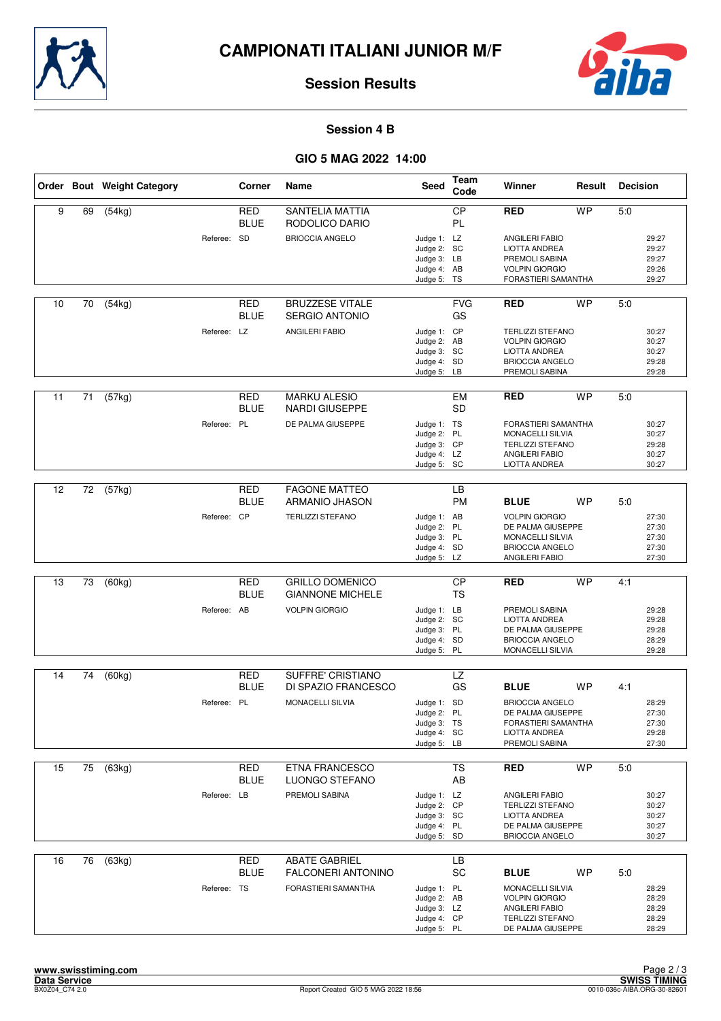



#### **Session 4 B**

|    |    | Order Bout Weight Category |             | Corner                    | Name                                              | Seed                                                                    | <b>Team</b><br>Code | Winner                                                                                                               | Result    | <b>Decision</b> |                                           |
|----|----|----------------------------|-------------|---------------------------|---------------------------------------------------|-------------------------------------------------------------------------|---------------------|----------------------------------------------------------------------------------------------------------------------|-----------|-----------------|-------------------------------------------|
| 9  | 69 | (54kg)                     |             | <b>RED</b><br><b>BLUE</b> | <b>SANTELIA MATTIA</b><br>RODOLICO DARIO          |                                                                         | CP<br>PL            | RED                                                                                                                  | <b>WP</b> | 5:0             |                                           |
|    |    |                            | Referee: SD |                           | <b>BRIOCCIA ANGELO</b>                            | Judge 1: LZ<br>Judge 2: SC<br>Judge 3: LB<br>Judge 4: AB<br>Judge 5: TS |                     | <b>ANGILERI FABIO</b><br>LIOTTA ANDREA<br>PREMOLI SABINA<br><b>VOLPIN GIORGIO</b><br>FORASTIERI SAMANTHA             |           |                 | 29:27<br>29:27<br>29:27<br>29:26<br>29:27 |
| 10 | 70 | (54kg)                     |             | RED<br><b>BLUE</b>        | <b>BRUZZESE VITALE</b><br><b>SERGIO ANTONIO</b>   |                                                                         | <b>FVG</b><br>GS    | <b>RED</b>                                                                                                           | <b>WP</b> | 5:0             |                                           |
|    |    |                            | Referee: LZ |                           | ANGILERI FABIO                                    | Judge 1: CP<br>Judge 2: AB<br>Judge 3: SC<br>Judge 4: SD<br>Judge 5: LB |                     | <b>TERLIZZI STEFANO</b><br><b>VOLPIN GIORGIO</b><br><b>LIOTTA ANDREA</b><br><b>BRIOCCIA ANGELO</b><br>PREMOLI SABINA |           |                 | 30:27<br>30:27<br>30:27<br>29:28<br>29:28 |
| 11 | 71 | (57kg)                     |             | <b>RED</b><br><b>BLUE</b> | <b>MARKU ALESIO</b><br><b>NARDI GIUSEPPE</b>      |                                                                         | <b>EM</b><br>SD     | <b>RED</b>                                                                                                           | <b>WP</b> | 5:0             |                                           |
|    |    |                            | Referee: PL |                           | DE PALMA GIUSEPPE                                 | Judge 1: TS<br>Judge 2: PL<br>Judge 3: CP<br>Judge 4: LZ<br>Judge 5: SC |                     | FORASTIERI SAMANTHA<br>MONACELLI SILVIA<br><b>TERLIZZI STEFANO</b><br>ANGILERI FABIO<br>LIOTTA ANDREA                |           |                 | 30:27<br>30:27<br>29:28<br>30:27<br>30:27 |
| 12 | 72 | (57kg)                     |             | <b>RED</b>                | <b>FAGONE MATTEO</b>                              |                                                                         | LB                  |                                                                                                                      |           |                 |                                           |
|    |    |                            | Referee: CP | BLUE                      | ARMANIO JHASON<br><b>TERLIZZI STEFANO</b>         | Judge 1: AB<br>Judge 2: PL<br>Judge 3: PL<br>Judge 4: SD                | <b>PM</b>           | <b>BLUE</b><br><b>VOLPIN GIORGIO</b><br>DE PALMA GIUSEPPE<br><b>MONACELLI SILVIA</b><br><b>BRIOCCIA ANGELO</b>       | WP        | 5:0             | 27:30<br>27:30<br>27:30<br>27:30          |
|    |    |                            |             |                           |                                                   | Judge 5: LZ                                                             |                     | ANGILERI FABIO                                                                                                       |           |                 | 27:30                                     |
| 13 | 73 | (60kg)                     |             | <b>RED</b><br><b>BLUE</b> | <b>GRILLO DOMENICO</b><br><b>GIANNONE MICHELE</b> |                                                                         | CP<br><b>TS</b>     | RED                                                                                                                  | <b>WP</b> | 4:1             |                                           |
|    |    |                            | Referee: AB |                           | <b>VOLPIN GIORGIO</b>                             | Judge 1: LB<br>Judge 2: SC<br>Judge 3: PL<br>Judge 4: SD<br>Judge 5: PL |                     | PREMOLI SABINA<br><b>LIOTTA ANDREA</b><br>DE PALMA GIUSEPPE<br><b>BRIOCCIA ANGELO</b><br>MONACELLI SILVIA            |           |                 | 29:28<br>29:28<br>29:28<br>28:29<br>29:28 |
| 14 | 74 | (60kg)                     |             | RED                       | SUFFRE' CRISTIANO                                 |                                                                         | LZ                  |                                                                                                                      |           |                 |                                           |
|    |    |                            | Referee: PL | BLUE                      | DI SPAZIO FRANCESCO<br><b>MONACELLI SILVIA</b>    | Judge 1: SD<br>Judge 2: PL<br>Judge 3: TS<br>Judge 4: SC<br>Judge 5: LB | GS                  | <b>BLUE</b><br><b>BRIOCCIA ANGELO</b><br>DE PALMA GIUSEPPE<br>FORASTIERI SAMANTHA<br>LIOTTA ANDREA<br>PREMOLI SABINA | <b>WP</b> | 4:1             | 28:29<br>27:30<br>27:30<br>29:28<br>27:30 |
| 15 | 75 | (63kg)                     |             | RED                       | <b>ETNA FRANCESCO</b>                             |                                                                         | <b>TS</b>           | <b>RED</b>                                                                                                           | <b>WP</b> | 5:0             |                                           |
|    |    |                            |             | <b>BLUE</b>               | LUONGO STEFANO                                    |                                                                         | AB                  |                                                                                                                      |           |                 |                                           |
|    |    |                            | Referee: LB |                           | PREMOLI SABINA                                    | Judge 1: LZ<br>Judge 2: CP<br>Judge 3: SC<br>Judge 4: PL<br>Judge 5: SD |                     | ANGILERI FABIO<br><b>TERLIZZI STEFANO</b><br>LIOTTA ANDREA<br>DE PALMA GIUSEPPE<br><b>BRIOCCIA ANGELO</b>            |           |                 | 30:27<br>30:27<br>30:27<br>30:27<br>30:27 |
| 16 | 76 | (63kg)                     |             | <b>RED</b><br>BLUE        | <b>ABATE GABRIEL</b><br><b>FALCONERI ANTONINO</b> |                                                                         | LB<br>SC            | <b>BLUE</b>                                                                                                          | WP        | 5:0             |                                           |
|    |    |                            | Referee: TS |                           | FORASTIERI SAMANTHA                               | Judge 1: PL<br>Judge 2: AB<br>Judge 3: LZ<br>Judge 4: CP<br>Judge 5: PL |                     | MONACELLI SILVIA<br><b>VOLPIN GIORGIO</b><br>ANGILERI FABIO<br><b>TERLIZZI STEFANO</b><br>DE PALMA GIUSEPPE          |           |                 | 28:29<br>28:29<br>28:29<br>28:29<br>28:29 |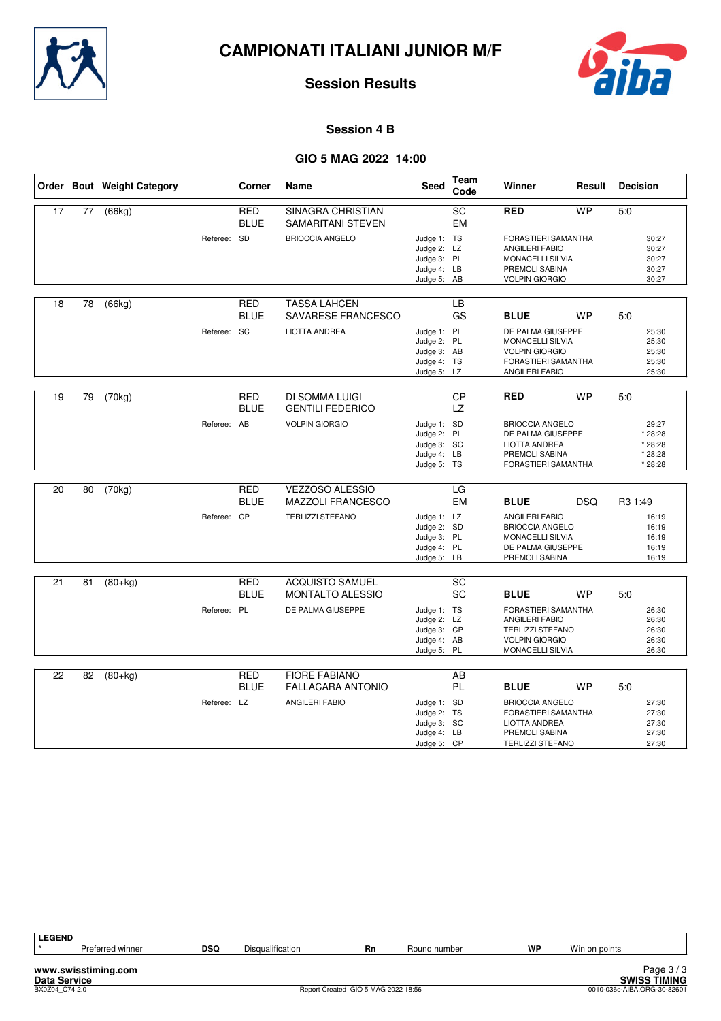



#### **Session 4 B**

|    |    | Order Bout Weight Category |             | Corner                    | Name                                               | <b>Seed</b>                                                             | Team<br>Code                 | Winner                                                                                                                      | Result     | <b>Decision</b>                                   |
|----|----|----------------------------|-------------|---------------------------|----------------------------------------------------|-------------------------------------------------------------------------|------------------------------|-----------------------------------------------------------------------------------------------------------------------------|------------|---------------------------------------------------|
| 17 | 77 | (66kg)                     |             | <b>RED</b><br><b>BLUE</b> | <b>SINAGRA CHRISTIAN</b><br>SAMARITANI STEVEN      |                                                                         | $\overline{SC}$<br><b>EM</b> | <b>RED</b>                                                                                                                  | <b>WP</b>  | 5:0                                               |
|    |    |                            | Referee: SD |                           | <b>BRIOCCIA ANGELO</b>                             | Judge 1: TS<br>Judge 2: LZ<br>Judge 3: PL<br>Judge 4: LB                |                              | <b>FORASTIERI SAMANTHA</b><br><b>ANGILERI FABIO</b><br>MONACELLI SILVIA<br>PREMOLI SABINA                                   |            | 30:27<br>30:27<br>30:27<br>30:27                  |
|    |    |                            |             |                           |                                                    | Judge 5: AB                                                             |                              | <b>VOLPIN GIORGIO</b>                                                                                                       |            | 30:27                                             |
| 18 | 78 | (66kg)                     |             | <b>RED</b><br><b>BLUE</b> | <b>TASSA LAHCEN</b><br>SAVARESE FRANCESCO          |                                                                         | <b>LB</b><br>GS              | <b>BLUE</b>                                                                                                                 | <b>WP</b>  | 5:0                                               |
|    |    |                            | Referee: SC |                           | <b>LIOTTA ANDREA</b>                               | Judge 1: PL<br>Judge 2: PL<br>Judge 3: AB<br>Judge 4: TS<br>Judge 5: LZ |                              | DE PALMA GIUSEPPE<br><b>MONACELLI SILVIA</b><br><b>VOLPIN GIORGIO</b><br>FORASTIERI SAMANTHA<br>ANGILERI FABIO              |            | 25:30<br>25:30<br>25:30<br>25:30<br>25:30         |
| 19 | 79 | (70kg)                     |             | RED<br><b>BLUE</b>        | DI SOMMA LUIGI<br><b>GENTILI FEDERICO</b>          |                                                                         | CP<br><b>LZ</b>              | <b>RED</b>                                                                                                                  | <b>WP</b>  | 5:0                                               |
|    |    |                            | Referee: AB |                           | <b>VOLPIN GIORGIO</b>                              | Judge 1: SD<br>Judge 2: PL<br>Judge 3: SC<br>Judge 4: LB<br>Judge 5: TS |                              | <b>BRIOCCIA ANGELO</b><br>DE PALMA GIUSEPPE<br><b>LIOTTA ANDREA</b><br>PREMOLI SABINA<br>FORASTIERI SAMANTHA                |            | 29:27<br>* 28:28<br>* 28:28<br>* 28:28<br>* 28:28 |
| 20 | 80 | (70kg)                     |             | <b>RED</b><br><b>BLUE</b> | <b>VEZZOSO ALESSIO</b><br><b>MAZZOLI FRANCESCO</b> |                                                                         | LG<br>EM                     | <b>BLUE</b>                                                                                                                 | <b>DSQ</b> | R <sub>3</sub> 1:49                               |
|    |    |                            | Referee: CP |                           | <b>TERLIZZI STEFANO</b>                            | Judge 1: LZ<br>Judge 2: SD<br>Judge 3: PL<br>Judge 4: PL<br>Judge 5: LB |                              | <b>ANGILERI FABIO</b><br><b>BRIOCCIA ANGELO</b><br>MONACELLI SILVIA<br>DE PALMA GIUSEPPE<br>PREMOLI SABINA                  |            | 16:19<br>16:19<br>16:19<br>16:19<br>16:19         |
| 21 | 81 | $(80+kg)$                  |             | <b>RED</b>                | <b>ACQUISTO SAMUEL</b>                             |                                                                         | SC                           |                                                                                                                             |            |                                                   |
|    |    |                            |             | <b>BLUE</b>               | <b>MONTALTO ALESSIO</b>                            |                                                                         | SC                           | <b>BLUE</b>                                                                                                                 | <b>WP</b>  | 5:0                                               |
|    |    |                            | Referee: PL |                           | DE PALMA GIUSEPPE                                  | Judge 1: TS<br>Judge 2: LZ<br>Judge 3: CP<br>Judge 4: AB<br>Judge 5: PL |                              | <b>FORASTIERI SAMANTHA</b><br><b>ANGILERI FABIO</b><br><b>TERLIZZI STEFANO</b><br><b>VOLPIN GIORGIO</b><br>MONACELLI SILVIA |            | 26:30<br>26:30<br>26:30<br>26:30<br>26:30         |
| 22 | 82 | $(80+kg)$                  |             | RED                       | <b>FIORE FABIANO</b>                               |                                                                         | AB                           |                                                                                                                             |            |                                                   |
|    |    |                            |             | <b>BLUE</b>               | <b>FALLACARA ANTONIO</b>                           |                                                                         | PL                           | <b>BLUE</b>                                                                                                                 | <b>WP</b>  | 5:0                                               |
|    |    |                            | Referee: LZ |                           | <b>ANGILERI FABIO</b>                              | Judge 1: SD<br>Judge 2: TS<br>Judge 3: SC<br>Judge 4: LB<br>Judge 5: CP |                              | <b>BRIOCCIA ANGELO</b><br>FORASTIERI SAMANTHA<br><b>LIOTTA ANDREA</b><br>PREMOLI SABINA<br><b>TERLIZZI STEFANO</b>          |            | 27:30<br>27:30<br>27:30<br>27:30<br>27:30         |

| <b>LEGEND</b>       |     |                  |    |              |    |               |            |
|---------------------|-----|------------------|----|--------------|----|---------------|------------|
| Preferred winner    | DSQ | Disqualification | Rn | Round number | WP | Win on points |            |
| www.swisstiming.com |     |                  |    |              |    |               | Page $3/3$ |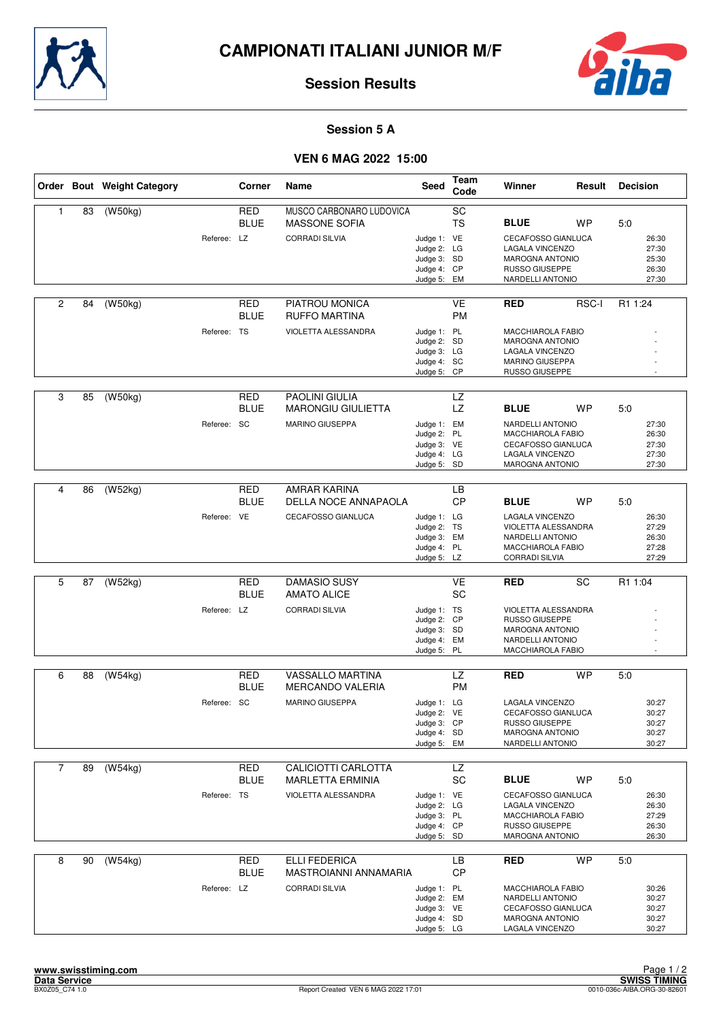



#### **Session 5 A**

## **VEN 6 MAG 2022 15:00**

|                |    | Order Bout Weight Category |             | Corner      | Name                         | Seed                       | Team<br>Code | Winner                                      | Result    | <b>Decision</b> |
|----------------|----|----------------------------|-------------|-------------|------------------------------|----------------------------|--------------|---------------------------------------------|-----------|-----------------|
| $\mathbf{1}$   | 83 | (W50kg)                    |             | <b>RED</b>  | MUSCO CARBONARO LUDOVICA     |                            | SC           |                                             |           |                 |
|                |    |                            |             | <b>BLUE</b> | <b>MASSONE SOFIA</b>         |                            | <b>TS</b>    | <b>BLUE</b>                                 | <b>WP</b> | 5:0             |
|                |    |                            | Referee: LZ |             | <b>CORRADI SILVIA</b>        | Judge 1: VE                |              | <b>CECAFOSSO GIANLUCA</b>                   |           | 26:30           |
|                |    |                            |             |             |                              | Judge 2: LG                |              | <b>LAGALA VINCENZO</b>                      |           | 27:30           |
|                |    |                            |             |             |                              | Judge 3: SD<br>Judge 4: CP |              | <b>MAROGNA ANTONIO</b><br>RUSSO GIUSEPPE    |           | 25:30<br>26:30  |
|                |    |                            |             |             |                              | Judge 5:                   | EM           | NARDELLI ANTONIO                            |           | 27:30           |
|                |    |                            |             |             |                              |                            |              |                                             |           |                 |
| $\overline{c}$ | 84 | (W50kg)                    |             | RED         | PIATROU MONICA               |                            | <b>VE</b>    | <b>RED</b>                                  | RSC-I     | R1 1:24         |
|                |    |                            |             | BLUE        | <b>RUFFO MARTINA</b>         |                            | <b>PM</b>    |                                             |           |                 |
|                |    |                            | Referee: TS |             | VIOLETTA ALESSANDRA          | Judge 1: PL<br>Judge 2: SD |              | <b>MACCHIAROLA FABIO</b><br>MAROGNA ANTONIO |           |                 |
|                |    |                            |             |             |                              | Judge 3: LG                |              | LAGALA VINCENZO                             |           |                 |
|                |    |                            |             |             |                              | Judge 4: SC                |              | MARINO GIUSEPPA                             |           |                 |
|                |    |                            |             |             |                              | Judge 5: CP                |              | RUSSO GIUSEPPE                              |           |                 |
| 3              | 85 | (W50kg)                    |             | <b>RED</b>  | <b>PAOLINI GIULIA</b>        |                            | <b>LZ</b>    |                                             |           |                 |
|                |    |                            |             | <b>BLUE</b> | <b>MARONGIU GIULIETTA</b>    |                            | <b>LZ</b>    | <b>BLUE</b>                                 | <b>WP</b> | 5:0             |
|                |    |                            | Referee: SC |             | <b>MARINO GIUSEPPA</b>       | Judge 1: EM                |              | <b>NARDELLI ANTONIO</b>                     |           | 27:30           |
|                |    |                            |             |             |                              | Judge 2: PL                |              | MACCHIAROLA FABIO                           |           | 26:30           |
|                |    |                            |             |             |                              | Judge 3: VE<br>Judge 4: LG |              | CECAFOSSO GIANLUCA<br>LAGALA VINCENZO       |           | 27:30<br>27:30  |
|                |    |                            |             |             |                              | Judge 5: SD                |              | <b>MAROGNA ANTONIO</b>                      |           | 27:30           |
|                |    |                            |             |             |                              |                            |              |                                             |           |                 |
| 4              | 86 | (W52kg)                    |             | <b>RED</b>  | AMRAR KARINA                 |                            | LB           |                                             |           |                 |
|                |    |                            |             | BLUE        | DELLA NOCE ANNAPAOLA         |                            | <b>CP</b>    | <b>BLUE</b>                                 | <b>WP</b> | 5:0             |
|                |    |                            | Referee: VE |             | CECAFOSSO GIANLUCA           | Judge 1: LG                |              | LAGALA VINCENZO                             |           | 26:30           |
|                |    |                            |             |             |                              | Judge 2: TS<br>Judge 3: EM |              | VIOLETTA ALESSANDRA<br>NARDELLI ANTONIO     |           | 27:29<br>26:30  |
|                |    |                            |             |             |                              | Judge 4: PL                |              | MACCHIAROLA FABIO                           |           | 27:28           |
|                |    |                            |             |             |                              | Judge 5: LZ                |              | <b>CORRADI SILVIA</b>                       |           | 27:29           |
| 5              | 87 | (W52kg)                    |             | <b>RED</b>  | <b>DAMASIO SUSY</b>          |                            | <b>VE</b>    | <b>RED</b>                                  | SC        | R1 1:04         |
|                |    |                            |             | <b>BLUE</b> | <b>AMATO ALICE</b>           |                            | <b>SC</b>    |                                             |           |                 |
|                |    |                            | Referee: LZ |             | <b>CORRADI SILVIA</b>        | Judge 1: TS                |              | VIOLETTA ALESSANDRA                         |           |                 |
|                |    |                            |             |             |                              | Judge 2: CP                |              | <b>RUSSO GIUSEPPE</b>                       |           |                 |
|                |    |                            |             |             |                              | Judge 3: SD<br>Judge 4: EM |              | <b>MAROGNA ANTONIO</b><br>NARDELLI ANTONIO  |           |                 |
|                |    |                            |             |             |                              | Judge 5:                   | <b>PL</b>    | MACCHIAROLA FABIO                           |           |                 |
|                |    |                            |             |             |                              |                            |              |                                             |           |                 |
| 6              | 88 | $\overline{(W54kg)}$       |             | <b>RED</b>  | <b>VASSALLO MARTINA</b>      |                            | LZ           | <b>RED</b>                                  | <b>WP</b> | 5:0             |
|                |    |                            |             | BLUE        | <b>MERCANDO VALERIA</b>      |                            | <b>PM</b>    |                                             |           |                 |
|                |    |                            | Referee: SC |             | <b>MARINO GIUSEPPA</b>       | Judge 1: LG                |              | <b>LAGALA VINCENZO</b>                      |           | 30:27           |
|                |    |                            |             |             |                              | Judge 2: VE<br>Judge 3: CP |              | CECAFOSSO GIANLUCA<br>RUSSO GIUSEPPE        |           | 30:27<br>30:27  |
|                |    |                            |             |             |                              | Judge 4: SD                |              | <b>MAROGNA ANTONIO</b>                      |           | 30:27           |
|                |    |                            |             |             |                              | Judge 5: EM                |              | NARDELLI ANTONIO                            |           | 30:27           |
| $\overline{7}$ | 89 | (W54kg)                    |             | RED         | CALICIOTTI CARLOTTA          |                            | LZ           |                                             |           |                 |
|                |    |                            |             | <b>BLUE</b> | <b>MARLETTA ERMINIA</b>      |                            | SC           | <b>BLUE</b>                                 | <b>WP</b> | 5:0             |
|                |    |                            | Referee: TS |             | VIOLETTA ALESSANDRA          | Judge 1: VE                |              | CECAFOSSO GIANLUCA                          |           | 26:30           |
|                |    |                            |             |             |                              | Judge 2: LG                |              | LAGALA VINCENZO                             |           | 26:30           |
|                |    |                            |             |             |                              | Judge 3: PL                |              | MACCHIAROLA FABIO                           |           | 27:29           |
|                |    |                            |             |             |                              | Judge 4: CP<br>Judge 5: SD |              | RUSSO GIUSEPPE<br>MAROGNA ANTONIO           |           | 26:30<br>26:30  |
|                |    |                            |             |             |                              |                            |              |                                             |           |                 |
| 8              | 90 | (W54kg)                    |             | <b>RED</b>  | <b>ELLI FEDERICA</b>         |                            | LB           | <b>RED</b>                                  | <b>WP</b> | 5.0             |
|                |    |                            |             | BLUE        | <b>MASTROIANNI ANNAMARIA</b> |                            | <b>CP</b>    |                                             |           |                 |
|                |    |                            | Referee: LZ |             | <b>CORRADI SILVIA</b>        | Judge 1: PL                |              | MACCHIAROLA FABIO                           |           | 30:26           |
|                |    |                            |             |             |                              | Judge 2: EM<br>Judge 3: VE |              | NARDELLI ANTONIO<br>CECAFOSSO GIANLUCA      |           | 30:27<br>30:27  |
|                |    |                            |             |             |                              | Judge 4: SD                |              | <b>MAROGNA ANTONIO</b>                      |           | 30:27           |
|                |    |                            |             |             |                              | Judge 5: LG                |              | LAGALA VINCENZO                             |           | 30:27           |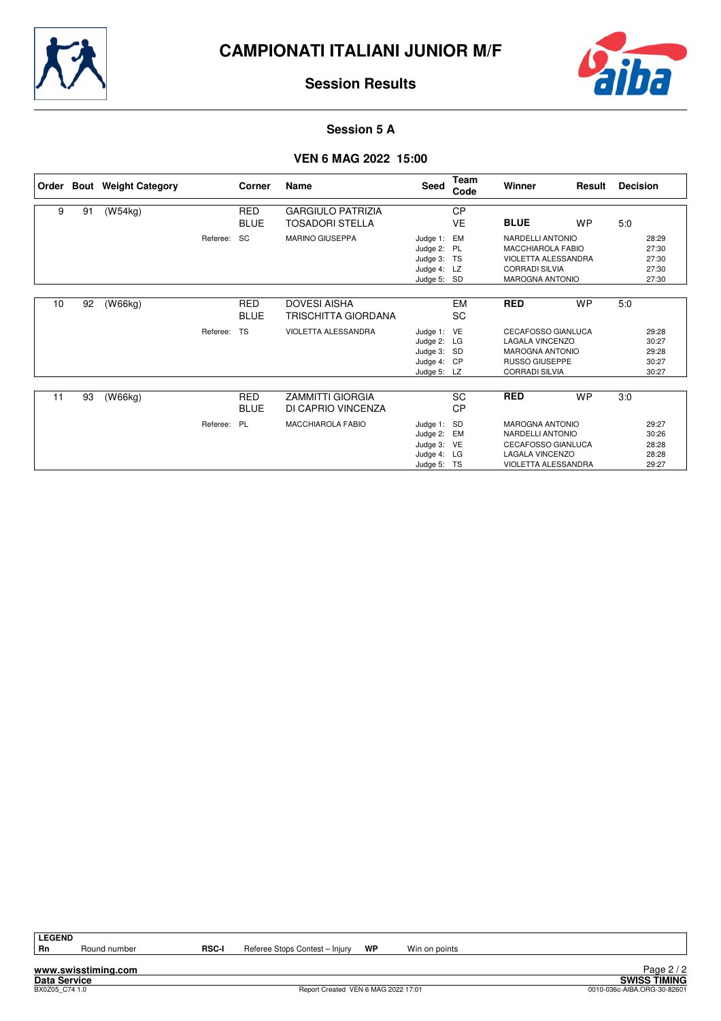



#### **Session 5 A**

#### **VEN 6 MAG 2022 15:00**

| Order |    | <b>Bout</b> Weight Category |          | Corner      | Name                       | Seed        | Team<br>Code | Winner                     | Result    | <b>Decision</b> |       |
|-------|----|-----------------------------|----------|-------------|----------------------------|-------------|--------------|----------------------------|-----------|-----------------|-------|
| 9     | 91 | (W54kg)                     |          | <b>RED</b>  | <b>GARGIULO PATRIZIA</b>   |             | <b>CP</b>    |                            |           |                 |       |
|       |    |                             |          | <b>BLUE</b> | <b>TOSADORI STELLA</b>     |             | <b>VE</b>    | <b>BLUE</b>                | <b>WP</b> | 5:0             |       |
|       |    |                             |          |             |                            |             |              |                            |           |                 |       |
|       |    |                             | Referee: | <b>SC</b>   | <b>MARINO GIUSEPPA</b>     | Judge 1:    | EM           | NARDELLI ANTONIO           |           |                 | 28:29 |
|       |    |                             |          |             |                            | Judge 2: PL |              | <b>MACCHIAROLA FABIO</b>   |           |                 | 27:30 |
|       |    |                             |          |             |                            | Judge 3: TS |              | <b>VIOLETTA ALESSANDRA</b> |           |                 | 27:30 |
|       |    |                             |          |             |                            | Judge 4: LZ |              | <b>CORRADI SILVIA</b>      |           |                 | 27:30 |
|       |    |                             |          |             |                            | Judge 5: SD |              | <b>MAROGNA ANTONIO</b>     |           |                 | 27:30 |
|       |    |                             |          |             |                            |             |              |                            |           |                 |       |
| 10    | 92 | (W66kg)                     |          | RED         | <b>DOVESI AISHA</b>        |             | EM           | <b>RED</b>                 | <b>WP</b> | 5:0             |       |
|       |    |                             |          | <b>BLUE</b> | <b>TRISCHITTA GIORDANA</b> |             | SC           |                            |           |                 |       |
|       |    |                             | Referee: | <b>TS</b>   | VIOLETTA ALESSANDRA        | Judge 1: VE |              | <b>CECAFOSSO GIANLUCA</b>  |           |                 | 29:28 |
|       |    |                             |          |             |                            | Judge 2:    | LG           | <b>LAGALA VINCENZO</b>     |           |                 | 30:27 |
|       |    |                             |          |             |                            | Judge 3: SD |              | <b>MAROGNA ANTONIO</b>     |           |                 | 29:28 |
|       |    |                             |          |             |                            | Judge 4: CP |              | <b>RUSSO GIUSEPPE</b>      |           |                 | 30:27 |
|       |    |                             |          |             |                            | Judge 5: LZ |              | <b>CORRADI SILVIA</b>      |           |                 | 30:27 |
|       |    |                             |          |             |                            |             |              |                            |           |                 |       |
| 11    | 93 | (W66kg)                     |          | <b>RED</b>  | <b>ZAMMITTI GIORGIA</b>    |             | SC           | <b>RED</b>                 | <b>WP</b> | 3:0             |       |
|       |    |                             |          | <b>BLUE</b> | DI CAPRIO VINCENZA         |             | <b>CP</b>    |                            |           |                 |       |
|       |    |                             |          |             |                            |             |              |                            |           |                 |       |
|       |    |                             | Referee: | <b>PL</b>   | <b>MACCHIAROLA FABIO</b>   | Judge 1:    | SD           | <b>MAROGNA ANTONIO</b>     |           |                 | 29:27 |
|       |    |                             |          |             |                            | Judge 2:    | EM           | NARDELLI ANTONIO           |           |                 | 30:26 |
|       |    |                             |          |             |                            | Judge 3:    | VE           | <b>CECAFOSSO GIANLUCA</b>  |           |                 | 28:28 |
|       |    |                             |          |             |                            | Judge 4:    | LG           | <b>LAGALA VINCENZO</b>     |           |                 | 28:28 |
|       |    |                             |          |             |                            | Judge 5: TS |              | VIOLETTA ALESSANDRA        |           |                 | 29:27 |

**LEGEND**

**www.swisstiming.com**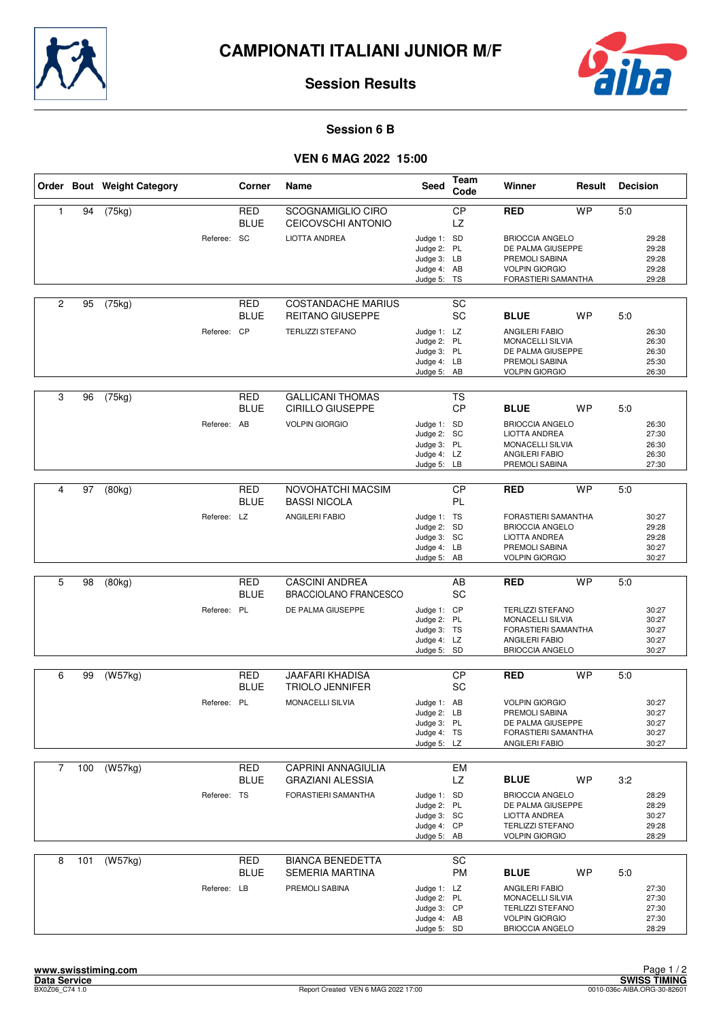



#### **Session 6 B**

## **VEN 6 MAG 2022 15:00**

|                |     | Order Bout Weight Category |             | Corner                    | Name                                                  | <b>Seed</b>                                                             | Team<br>Code           | Winner                                                                                                           | Result    | <b>Decision</b> |                                           |
|----------------|-----|----------------------------|-------------|---------------------------|-------------------------------------------------------|-------------------------------------------------------------------------|------------------------|------------------------------------------------------------------------------------------------------------------|-----------|-----------------|-------------------------------------------|
| 1              | 94  | (75kg)                     |             | <b>RED</b><br><b>BLUE</b> | <b>SCOGNAMIGLIO CIRO</b><br>CEICOVSCHI ANTONIO        |                                                                         | <b>CP</b><br>LZ        | <b>RED</b>                                                                                                       | <b>WP</b> | 5:0             |                                           |
|                |     |                            | Referee: SC |                           | <b>LIOTTA ANDREA</b>                                  | Judge 1: SD<br>Judge 2: PL<br>Judge 3: LB<br>Judge 4: AB<br>Judge 5: TS |                        | <b>BRIOCCIA ANGELO</b><br>DE PALMA GIUSEPPE<br>PREMOLI SABINA<br><b>VOLPIN GIORGIO</b><br>FORASTIERI SAMANTHA    |           |                 | 29:28<br>29:28<br>29:28<br>29:28<br>29:28 |
| $\overline{c}$ | 95  | (75kg)                     |             | RED<br><b>BLUE</b>        | <b>COSTANDACHE MARIUS</b><br><b>REITANO GIUSEPPE</b>  |                                                                         | SC<br><b>SC</b>        | <b>BLUE</b>                                                                                                      | <b>WP</b> | 5:0             |                                           |
|                |     |                            | Referee: CP |                           | <b>TERLIZZI STEFANO</b>                               | Judge 1: LZ<br>Judge 2: PL<br>Judge 3: PL<br>Judge 4: LB<br>Judge 5: AB |                        | <b>ANGILERI FABIO</b><br>MONACELLI SILVIA<br>DE PALMA GIUSEPPE<br>PREMOLI SABINA<br><b>VOLPIN GIORGIO</b>        |           |                 | 26:30<br>26:30<br>26:30<br>25:30<br>26:30 |
| 3              | 96  | (75kg)                     |             | <b>RED</b><br><b>BLUE</b> | <b>GALLICANI THOMAS</b><br><b>CIRILLO GIUSEPPE</b>    |                                                                         | <b>TS</b><br><b>CP</b> | <b>BLUE</b>                                                                                                      | <b>WP</b> | 5:0             |                                           |
|                |     |                            | Referee: AB |                           | <b>VOLPIN GIORGIO</b>                                 | Judge 1: SD<br>Judge 2: SC<br>Judge 3: PL<br>Judge 4: LZ<br>Judge 5: LB |                        | <b>BRIOCCIA ANGELO</b><br>LIOTTA ANDREA<br>MONACELLI SILVIA<br>ANGILERI FABIO<br>PREMOLI SABINA                  |           |                 | 26:30<br>27:30<br>26:30<br>26:30<br>27:30 |
|                |     |                            |             |                           |                                                       |                                                                         |                        |                                                                                                                  |           |                 |                                           |
| 4              | 97  | (80kg)                     |             | <b>RED</b><br><b>BLUE</b> | NOVOHATCHI MACSIM<br><b>BASSI NICOLA</b>              |                                                                         | $\overline{CP}$<br>PL  | <b>RED</b>                                                                                                       | <b>WP</b> | 5:0             |                                           |
|                |     |                            | Referee: LZ |                           | <b>ANGILERI FABIO</b>                                 | Judge 1: TS<br>Judge 2: SD<br>Judge 3: SC<br>Judge 4: LB<br>Judge 5: AB |                        | FORASTIERI SAMANTHA<br><b>BRIOCCIA ANGELO</b><br><b>LIOTTA ANDREA</b><br>PREMOLI SABINA<br><b>VOLPIN GIORGIO</b> |           |                 | 30:27<br>29:28<br>29:28<br>30:27<br>30:27 |
|                |     |                            |             |                           |                                                       |                                                                         |                        |                                                                                                                  |           |                 |                                           |
| 5              | 98  | (80kg)                     |             | <b>RED</b><br><b>BLUE</b> | <b>CASCINI ANDREA</b><br><b>BRACCIOLANO FRANCESCO</b> |                                                                         | AB<br>SC               | <b>RED</b>                                                                                                       | <b>WP</b> | 5:0             |                                           |
|                |     |                            | Referee: PL |                           | DE PALMA GIUSEPPE                                     | Judge 1: CP<br>Judge 2: PL<br>Judge 3: TS<br>Judge 4: LZ<br>Judge 5: SD |                        | <b>TERLIZZI STEFANO</b><br>MONACELLI SILVIA<br>FORASTIERI SAMANTHA<br>ANGILERI FABIO<br><b>BRIOCCIA ANGELO</b>   |           |                 | 30:27<br>30:27<br>30:27<br>30:27<br>30:27 |
| 6              | 99  | (W57kg)                    |             | RED                       | <b>JAAFARI KHADISA</b>                                |                                                                         | <b>CP</b>              | <b>RED</b>                                                                                                       | <b>WP</b> | 5:0             |                                           |
|                |     |                            |             | <b>BLUE</b>               | <b>TRIOLO JENNIFER</b>                                |                                                                         | SC                     |                                                                                                                  |           |                 |                                           |
|                |     |                            | Referee: PL |                           | MONACELLI SILVIA                                      | Judge 1: AB<br>Judge 2: LB<br>Judge 3: PL<br>Judge 4: TS<br>Judge 5: LZ |                        | <b>VOLPIN GIORGIO</b><br>PREMOLI SABINA<br>DE PALMA GIUSEPPE<br>FORASTIERI SAMANTHA<br>ANGILERI FABIO            |           |                 | 30:27<br>30:27<br>30:27<br>30:27<br>30:27 |
| $\overline{7}$ | 100 | (W57kg)                    |             | RED                       | <b>CAPRINI ANNAGIULIA</b>                             |                                                                         | <b>EM</b>              |                                                                                                                  |           |                 |                                           |
|                |     |                            |             | <b>BLUE</b>               | <b>GRAZIANI ALESSIA</b>                               |                                                                         | LZ                     | <b>BLUE</b>                                                                                                      | <b>WP</b> | 3:2             |                                           |
|                |     |                            | Referee: TS |                           | FORASTIERI SAMANTHA                                   | Judge 1: SD<br>Judge 2: PL<br>Judge 3: SC<br>Judge 4: CP<br>Judge 5: AB |                        | <b>BRIOCCIA ANGELO</b><br>DE PALMA GIUSEPPE<br>LIOTTA ANDREA<br><b>TERLIZZI STEFANO</b><br><b>VOLPIN GIORGIO</b> |           |                 | 28:29<br>28:29<br>30:27<br>29:28<br>28:29 |
| 8              | 101 | (W57kg)                    |             | <b>RED</b>                | <b>BIANCA BENEDETTA</b>                               |                                                                         | SC                     |                                                                                                                  |           |                 |                                           |
|                |     |                            |             | <b>BLUE</b>               | <b>SEMERIA MARTINA</b>                                |                                                                         | PM                     | <b>BLUE</b>                                                                                                      | WP        | 5:0             |                                           |
|                |     |                            | Referee: LB |                           | PREMOLI SABINA                                        | Judge 1: LZ<br>Judge 2: PL<br>Judge 3: CP<br>Judge 4: AB<br>Judge 5: SD |                        | ANGILERI FABIO<br>MONACELLI SILVIA<br><b>TERLIZZI STEFANO</b><br><b>VOLPIN GIORGIO</b><br><b>BRIOCCIA ANGELO</b> |           |                 | 27:30<br>27:30<br>27:30<br>27:30<br>28:29 |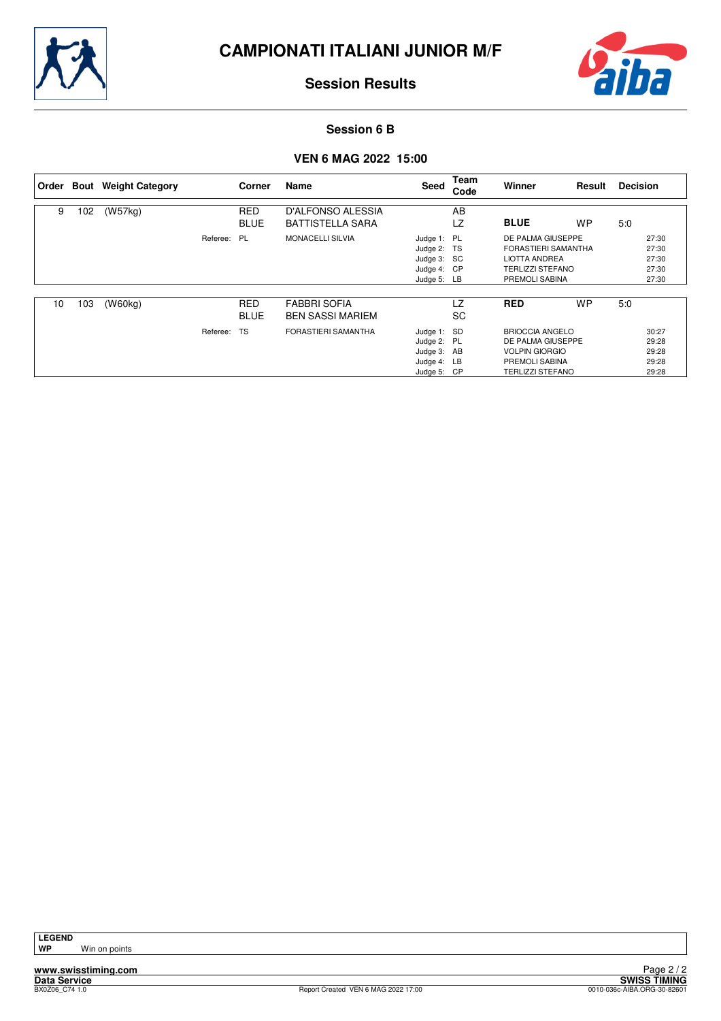



#### **Session 6 B**

## **VEN 6 MAG 2022 15:00**

| l Order |     | <b>Bout</b> Weight Category |             | Corner                    | Name                                           | Seed                                                                    | Team<br>Code | Winner                                                                                                            | Result    | <b>Decision</b> |                                           |
|---------|-----|-----------------------------|-------------|---------------------------|------------------------------------------------|-------------------------------------------------------------------------|--------------|-------------------------------------------------------------------------------------------------------------------|-----------|-----------------|-------------------------------------------|
| 9       | 102 | (W57kg)                     |             | <b>RED</b><br><b>BLUE</b> | D'ALFONSO ALESSIA<br><b>BATTISTELLA SARA</b>   |                                                                         | AB<br>LZ     | <b>BLUE</b>                                                                                                       | <b>WP</b> | 5:0             |                                           |
|         |     |                             | Referee: PL |                           | <b>MONACELLI SILVIA</b>                        | Judge 1: PL<br>Judge 2: TS<br>Judge 3: SC<br>Judge 4: CP<br>Judge 5: LB |              | DE PALMA GIUSEPPE<br>FORASTIERI SAMANTHA<br><b>LIOTTA ANDREA</b><br><b>TERLIZZI STEFANO</b><br>PREMOLI SABINA     |           |                 | 27:30<br>27:30<br>27:30<br>27:30<br>27:30 |
| 10      | 103 | (W60kg)                     |             | <b>RED</b><br><b>BLUE</b> | <b>FABBRI SOFIA</b><br><b>BEN SASSI MARIEM</b> |                                                                         | LZ<br>SC     | <b>RED</b>                                                                                                        | <b>WP</b> | 5:0             |                                           |
|         |     |                             | Referee:    | <b>TS</b>                 | FORASTIERI SAMANTHA                            | Judge 1: SD<br>Judge 2: PL<br>Judge 3: AB<br>Judge 4: LB<br>Judge 5:    | CP           | <b>BRIOCCIA ANGELO</b><br>DE PALMA GIUSEPPE<br><b>VOLPIN GIORGIO</b><br>PREMOLI SABINA<br><b>TERLIZZI STEFANO</b> |           |                 | 30:27<br>29:28<br>29:28<br>29:28<br>29:28 |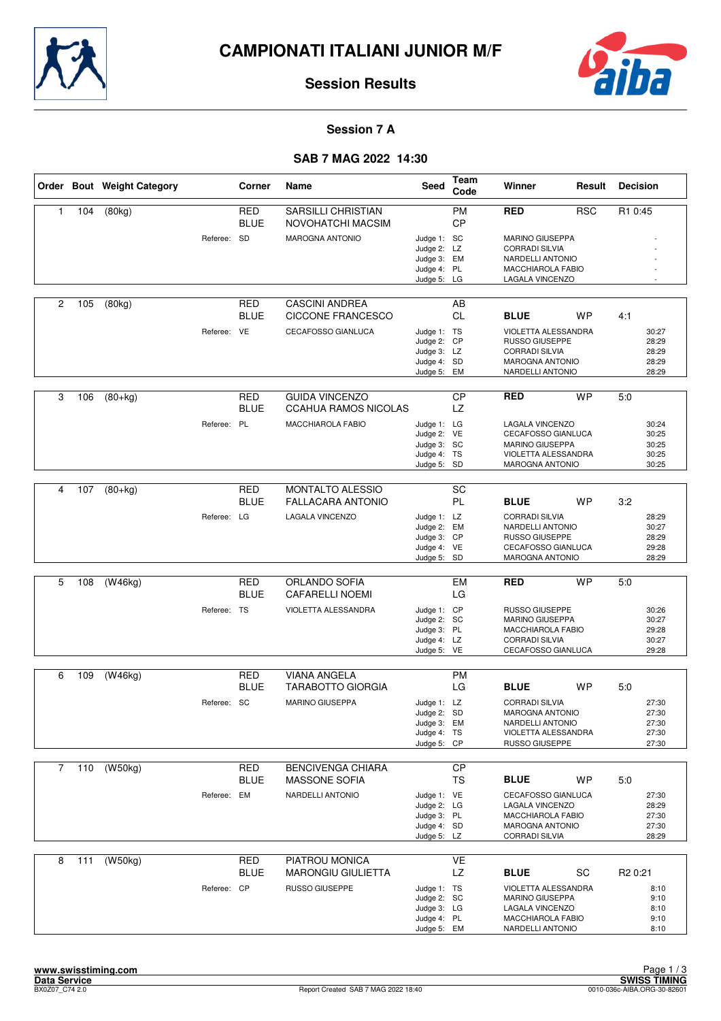



#### **Session 7 A**

## **SAB 7 MAG 2022 14:30**

|                |     | Order Bout Weight Category |             | Corner                    | Name                                                 | Seed                                                                    | <b>Team</b><br>Code    | Winner                                                                                                              | Result     | <b>Decision</b>                                             |
|----------------|-----|----------------------------|-------------|---------------------------|------------------------------------------------------|-------------------------------------------------------------------------|------------------------|---------------------------------------------------------------------------------------------------------------------|------------|-------------------------------------------------------------|
| $\mathbf{1}$   | 104 | (80kg)                     |             | <b>RED</b><br><b>BLUE</b> | <b>SARSILLI CHRISTIAN</b><br>NOVOHATCHI MACSIM       |                                                                         | <b>PM</b><br><b>CP</b> | <b>RED</b>                                                                                                          | <b>RSC</b> | R1 0:45                                                     |
|                |     |                            | Referee: SD |                           | MAROGNA ANTONIO                                      | Judge 1: SC<br>Judge 2: LZ<br>Judge 3: EM                               |                        | <b>MARINO GIUSEPPA</b><br><b>CORRADI SILVIA</b><br>NARDELLI ANTONIO                                                 |            |                                                             |
|                |     |                            |             |                           |                                                      | Judge 4: PL<br>Judge 5: LG                                              |                        | MACCHIAROLA FABIO<br>LAGALA VINCENZO                                                                                |            |                                                             |
| 2              | 105 | (80kg)                     |             | RED<br>BLUE               | <b>CASCINI ANDREA</b><br>CICCONE FRANCESCO           |                                                                         | AB<br><b>CL</b>        | <b>BLUE</b>                                                                                                         | WP         | 4:1                                                         |
|                |     |                            | Referee: VE |                           | CECAFOSSO GIANLUCA                                   | Judge 1: TS<br>Judge 2: CP<br>Judge 3: LZ<br>Judge 4: SD<br>Judge 5: EM |                        | VIOLETTA ALESSANDRA<br><b>RUSSO GIUSEPPE</b><br><b>CORRADI SILVIA</b><br><b>MAROGNA ANTONIO</b><br>NARDELLI ANTONIO |            | 30:27<br>28:29<br>28:29<br>28:29<br>28:29                   |
| 3              | 106 | $(80+kg)$                  |             | <b>RED</b><br><b>BLUE</b> | <b>GUIDA VINCENZO</b><br><b>CCAHUA RAMOS NICOLAS</b> |                                                                         | <b>CP</b><br>LZ.       | <b>RED</b>                                                                                                          | <b>WP</b>  | 5:0                                                         |
|                |     |                            | Referee: PL |                           | MACCHIAROLA FABIO                                    | Judge 1: LG<br>Judge 2: VE<br>Judge 3: SC<br>Judge 4: TS<br>Judge 5: SD |                        | LAGALA VINCENZO<br>CECAFOSSO GIANLUCA<br><b>MARINO GIUSEPPA</b><br>VIOLETTA ALESSANDRA<br><b>MAROGNA ANTONIO</b>    |            | 30:24<br>30:25<br>30:25<br>30:25<br>30:25                   |
|                |     |                            |             |                           |                                                      |                                                                         |                        |                                                                                                                     |            |                                                             |
| 4              | 107 | $\overline{(80+kg)}$       |             | <b>RED</b><br>BLUE        | <b>MONTALTO ALESSIO</b><br><b>FALLACARA ANTONIO</b>  |                                                                         | SC<br><b>PL</b>        | <b>BLUE</b>                                                                                                         | <b>WP</b>  | 3:2                                                         |
|                |     |                            | Referee: LG |                           | LAGALA VINCENZO                                      | Judge 1: LZ<br>Judge 2: EM<br>Judge 3: CP<br>Judge 4: VE<br>Judge 5: SD |                        | <b>CORRADI SILVIA</b><br>NARDELLI ANTONIO<br><b>RUSSO GIUSEPPE</b><br>CECAFOSSO GIANLUCA<br><b>MAROGNA ANTONIO</b>  |            | 28:29<br>30:27<br>28:29<br>29:28<br>28:29                   |
|                |     |                            |             |                           |                                                      |                                                                         |                        |                                                                                                                     |            |                                                             |
| 5              | 108 | (W46kg)                    |             | <b>RED</b><br><b>BLUE</b> | ORLANDO SOFIA<br><b>CAFARELLI NOEMI</b>              |                                                                         | <b>EM</b><br>LG        | <b>RED</b>                                                                                                          | <b>WP</b>  | 5:0                                                         |
|                |     |                            | Referee: TS |                           | VIOLETTA ALESSANDRA                                  | Judge 1: CP<br>Judge 2: SC<br>Judge 3: PL<br>Judge 4: LZ<br>Judge 5: VE |                        | RUSSO GIUSEPPE<br><b>MARINO GIUSEPPA</b><br><b>MACCHIAROLA FABIO</b><br><b>CORRADI SILVIA</b><br>CECAFOSSO GIANLUCA |            | 30:26<br>30:27<br>29:28<br>30:27<br>29:28                   |
| 6              | 109 | (W46kg)                    |             | <b>RED</b>                | <b>VIANA ANGELA</b>                                  |                                                                         | <b>PM</b>              |                                                                                                                     |            |                                                             |
|                |     |                            |             | <b>BLUE</b>               | <b>TARABOTTO GIORGIA</b>                             |                                                                         | LG                     | <b>BLUE</b>                                                                                                         | <b>WP</b>  | 5:0                                                         |
|                |     |                            | Referee: SC |                           | <b>MARINO GIUSEPPA</b>                               | Judge 1: LZ<br>Judge 2: SD<br>Judge 3: EM<br>Judge 4: TS<br>Judge 5: CP |                        | <b>CORRADI SILVIA</b><br><b>MAROGNA ANTONIO</b><br>NARDELLI ANTONIO<br>VIOLETTA ALESSANDRA<br>RUSSO GIUSEPPE        |            | 27:30<br>27:30<br>27:30<br>27:30<br>27:30                   |
| $\overline{7}$ | 110 | (W50kg)                    |             | <b>RED</b>                | <b>BENCIVENGA CHIARA</b>                             |                                                                         | <b>CP</b>              |                                                                                                                     |            |                                                             |
|                |     |                            |             | <b>BLUE</b>               | <b>MASSONE SOFIA</b>                                 |                                                                         | <b>TS</b>              | <b>BLUE</b>                                                                                                         | WP         | 5:0                                                         |
|                |     |                            | Referee: EM |                           | NARDELLI ANTONIO                                     | Judge 1: VE<br>Judge 2: LG<br>Judge 3: PL<br>Judge 4: SD<br>Judge 5: LZ |                        | CECAFOSSO GIANLUCA<br>LAGALA VINCENZO<br>MACCHIAROLA FABIO<br><b>MAROGNA ANTONIO</b><br>CORRADI SILVIA              |            | 27:30<br>28:29<br>27:30<br>27:30<br>28:29                   |
| 8              | 111 | (W50kg)                    |             | <b>RED</b>                | PIATROU MONICA                                       |                                                                         | <b>VE</b>              |                                                                                                                     |            |                                                             |
|                |     |                            | Referee: CP | BLUE                      | <b>MARONGIU GIULIETTA</b><br><b>RUSSO GIUSEPPE</b>   | Judge 1: TS<br>Judge 2: SC<br>Judge 3: LG<br>Judge 4: PL<br>Judge 5: EM | LZ                     | <b>BLUE</b><br>VIOLETTA ALESSANDRA<br>MARINO GIUSEPPA<br>LAGALA VINCENZO<br>MACCHIAROLA FABIO<br>NARDELLI ANTONIO   | SC         | R <sub>2</sub> 0:21<br>8:10<br>9:10<br>8:10<br>9:10<br>8:10 |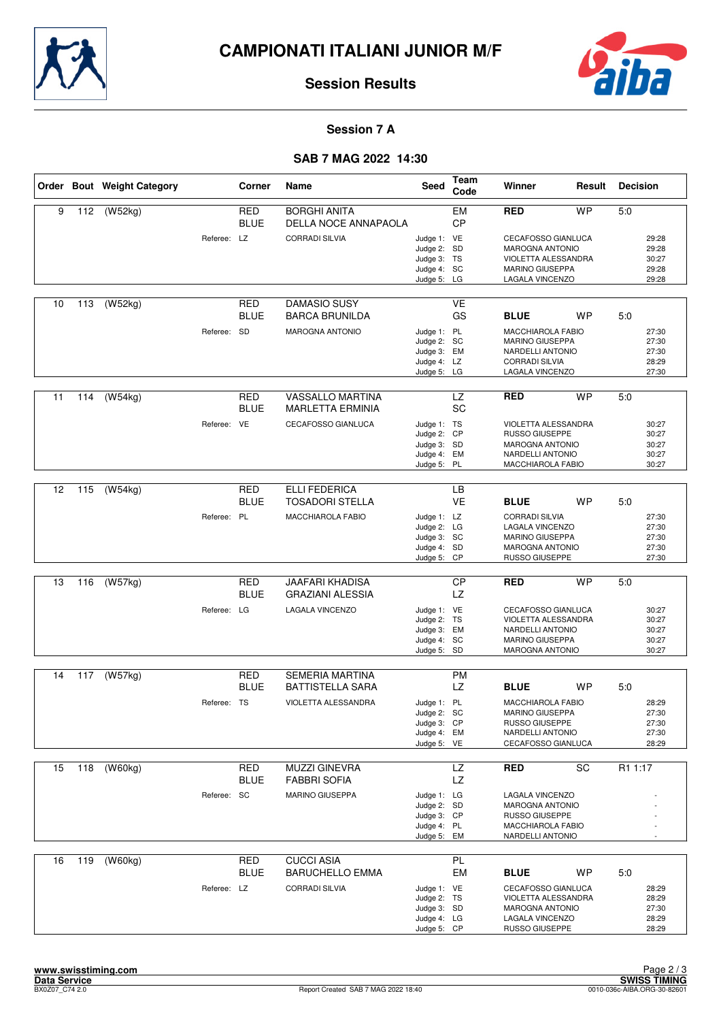



#### **Session 7 A**

## **SAB 7 MAG 2022 14:30**

|    |     | Order Bout Weight Category |             | Corner                    | Name                                              | Seed                                                                    | Team<br>Code           | Winner<br>Result                                                                                                        |           | <b>Decision</b> |                                           |
|----|-----|----------------------------|-------------|---------------------------|---------------------------------------------------|-------------------------------------------------------------------------|------------------------|-------------------------------------------------------------------------------------------------------------------------|-----------|-----------------|-------------------------------------------|
| 9  | 112 | (W52kg)                    |             | <b>RED</b><br><b>BLUE</b> | <b>BORGHI ANITA</b><br>DELLA NOCE ANNAPAOLA       |                                                                         | <b>EM</b><br><b>CP</b> | <b>RED</b>                                                                                                              | <b>WP</b> | 5:0             |                                           |
|    |     |                            | Referee: LZ |                           | <b>CORRADI SILVIA</b>                             | Judge 1: VE<br>Judge 2: SD<br>Judge 3: TS<br>Judge 4: SC<br>Judge 5:    | LG                     | CECAFOSSO GIANLUCA<br><b>MAROGNA ANTONIO</b><br>VIOLETTA ALESSANDRA<br>MARINO GIUSEPPA<br>LAGALA VINCENZO               |           |                 | 29:28<br>29:28<br>30:27<br>29:28<br>29:28 |
| 10 | 113 | (W52kg)                    |             | <b>RED</b><br>BLUE        | DAMASIO SUSY<br><b>BARCA BRUNILDA</b>             |                                                                         | <b>VE</b><br>GS        | <b>BLUE</b>                                                                                                             | WP        | 5:0             |                                           |
|    |     |                            | Referee: SD |                           | <b>MAROGNA ANTONIO</b>                            | Judge 1: PL<br>Judge 2: SC<br>Judge 3: EM<br>Judge 4: LZ<br>Judge 5: LG |                        | MACCHIAROLA FABIO<br><b>MARINO GIUSEPPA</b><br>NARDELLI ANTONIO<br><b>CORRADI SILVIA</b><br>LAGALA VINCENZO             |           |                 | 27:30<br>27:30<br>27:30<br>28:29<br>27:30 |
| 11 | 114 | (W54kg)                    |             | RED<br><b>BLUE</b>        | VASSALLO MARTINA<br><b>MARLETTA ERMINIA</b>       |                                                                         | <b>LZ</b><br><b>SC</b> | <b>RED</b>                                                                                                              | <b>WP</b> | 5:0             |                                           |
|    |     |                            | Referee: VE |                           | CECAFOSSO GIANLUCA                                | Judge 1: TS<br>Judge 2: CP<br>Judge 3: SD<br>Judge 4:<br>Judge 5:       | EM<br><b>PL</b>        | VIOLETTA ALESSANDRA<br><b>RUSSO GIUSEPPE</b><br>MAROGNA ANTONIO<br>NARDELLI ANTONIO<br>MACCHIAROLA FABIO                |           |                 | 30:27<br>30:27<br>30:27<br>30:27<br>30:27 |
| 12 | 115 | (W54kg)                    |             | <b>RED</b>                | <b>ELLI FEDERICA</b>                              |                                                                         | <b>LB</b>              |                                                                                                                         |           |                 |                                           |
|    |     |                            |             | <b>BLUE</b>               | <b>TOSADORI STELLA</b>                            |                                                                         | <b>VE</b>              | <b>BLUE</b>                                                                                                             | <b>WP</b> | 5:0             |                                           |
|    |     |                            | Referee: PL |                           | <b>MACCHIAROLA FABIO</b>                          | Judge 1: LZ<br>Judge 2: LG<br>Judge 3: SC<br>Judge 4: SD<br>Judge 5: CP |                        | <b>CORRADI SILVIA</b><br>LAGALA VINCENZO<br><b>MARINO GIUSEPPA</b><br><b>MAROGNA ANTONIO</b><br>RUSSO GIUSEPPE          |           |                 | 27:30<br>27:30<br>27:30<br>27:30<br>27:30 |
|    |     |                            |             |                           |                                                   |                                                                         |                        |                                                                                                                         |           |                 |                                           |
| 13 | 116 | (W57kg)                    |             | <b>RED</b><br><b>BLUE</b> | <b>JAAFARI KHADISA</b><br><b>GRAZIANI ALESSIA</b> |                                                                         | <b>CP</b><br><b>LZ</b> | RED                                                                                                                     | <b>WP</b> | 5:0             |                                           |
|    |     |                            | Referee: LG |                           | LAGALA VINCENZO                                   | Judge 1: VE<br>Judge 2: TS<br>Judge 3: EM<br>Judge 4: SC<br>Judge 5: SD |                        | CECAFOSSO GIANLUCA<br>VIOLETTA ALESSANDRA<br>NARDELLI ANTONIO<br>MARINO GIUSEPPA<br><b>MAROGNA ANTONIO</b>              |           |                 | 30:27<br>30:27<br>30:27<br>30:27<br>30:27 |
| 14 | 117 | $\overline{(W57kg)}$       |             | <b>RED</b>                | <b>SEMERIA MARTINA</b>                            |                                                                         | <b>PM</b>              |                                                                                                                         |           |                 |                                           |
|    |     |                            |             | BLUE                      | <b>BATTISTELLA SARA</b>                           |                                                                         | LZ.                    | <b>BLUE</b>                                                                                                             | WP        | 5:0             |                                           |
|    |     |                            | Referee: TS |                           | VIOLETTA ALESSANDRA                               | Judge 1: PL<br>Judge 2: SC<br>Judge 3: CP<br>Judge 4: EM<br>Judge 5: VE |                        | MACCHIAROLA FABIO<br>MARINO GIUSEPPA<br>RUSSO GIUSEPPE<br>NARDELLI ANTONIO<br>CECAFOSSO GIANLUCA                        |           |                 | 28:29<br>27:30<br>27:30<br>27:30<br>28:29 |
| 15 | 118 | (W60kg)                    |             | RED                       | <b>MUZZI GINEVRA</b>                              |                                                                         | LZ                     | <b>RED</b>                                                                                                              | SC        | R1 1:17         |                                           |
|    |     |                            |             | <b>BLUE</b>               | <b>FABBRI SOFIA</b>                               |                                                                         | <b>LZ</b>              |                                                                                                                         |           |                 |                                           |
|    |     |                            | Referee: SC |                           | <b>MARINO GIUSEPPA</b>                            | Judge 1: LG<br>Judge 2: SD<br>Judge 3: CP<br>Judge 4: PL<br>Judge 5: EM |                        | LAGALA VINCENZO<br><b>MAROGNA ANTONIO</b><br>RUSSO GIUSEPPE<br>MACCHIAROLA FABIO<br>NARDELLI ANTONIO                    |           |                 |                                           |
| 16 | 119 | (W60kg)                    |             | <b>RED</b>                | <b>CUCCI ASIA</b>                                 |                                                                         | PL                     |                                                                                                                         |           |                 |                                           |
|    |     |                            | Referee: LZ | BLUE                      | <b>BARUCHELLO EMMA</b><br><b>CORRADI SILVIA</b>   | Judge 1: VE<br>Judge 2: TS<br>Judge 3: SD<br>Judge 4: LG<br>Judge 5: CP | EM                     | <b>BLUE</b><br>CECAFOSSO GIANLUCA<br>VIOLETTA ALESSANDRA<br><b>MAROGNA ANTONIO</b><br>LAGALA VINCENZO<br>RUSSO GIUSEPPE | WP        | 5:0             | 28:29<br>28:29<br>27:30<br>28:29<br>28:29 |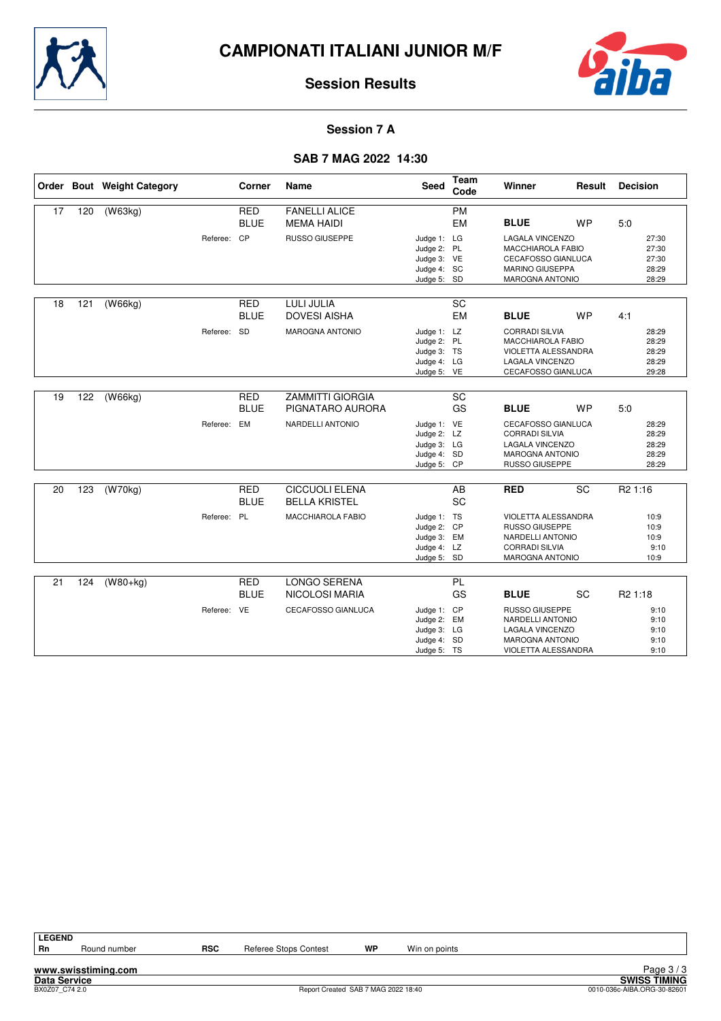



#### **Session 7 A**

#### **SAB 7 MAG 2022 14:30**

|    |     | Order Bout Weight Category |             | Corner                    | <b>Name</b>                                  | <b>Seed</b>                                                             | Team<br>Code    | Winner                                                                                                              | Result          | <b>Decision</b>                           |
|----|-----|----------------------------|-------------|---------------------------|----------------------------------------------|-------------------------------------------------------------------------|-----------------|---------------------------------------------------------------------------------------------------------------------|-----------------|-------------------------------------------|
| 17 | 120 | (W63kg)                    |             | <b>RED</b>                | <b>FANELLI ALICE</b>                         |                                                                         | <b>PM</b>       |                                                                                                                     |                 |                                           |
|    |     |                            |             | <b>BLUE</b>               | <b>MEMA HAIDI</b>                            |                                                                         | <b>EM</b>       | <b>BLUE</b>                                                                                                         | <b>WP</b>       | 5:0                                       |
|    |     |                            | Referee: CP |                           | RUSSO GIUSEPPE                               | Judge 1: LG<br>Judge 2: PL<br>Judge 3: VE<br>Judge 4: SC<br>Judge 5: SD |                 | LAGALA VINCENZO<br>MACCHIAROLA FABIO<br>CECAFOSSO GIANLUCA<br><b>MARINO GIUSEPPA</b><br><b>MAROGNA ANTONIO</b>      |                 | 27:30<br>27:30<br>27:30<br>28:29<br>28:29 |
|    |     |                            |             |                           |                                              |                                                                         |                 |                                                                                                                     |                 |                                           |
| 18 | 121 | (W66kg)                    |             | <b>RED</b><br><b>BLUE</b> | <b>LULI JULIA</b><br><b>DOVESI AISHA</b>     |                                                                         | SC<br><b>EM</b> | <b>BLUE</b>                                                                                                         | <b>WP</b>       | 4:1                                       |
|    |     |                            | Referee:    | <b>SD</b>                 | <b>MAROGNA ANTONIO</b>                       | Judge 1: LZ<br>Judge 2: PL<br>Judge 3: TS<br>Judge 4: LG<br>Judge 5: VE |                 | <b>CORRADI SILVIA</b><br>MACCHIAROLA FABIO<br>VIOLETTA ALESSANDRA<br>LAGALA VINCENZO<br>CECAFOSSO GIANLUCA          |                 | 28:29<br>28:29<br>28:29<br>28:29<br>29:28 |
|    |     |                            |             |                           |                                              |                                                                         |                 |                                                                                                                     |                 |                                           |
| 19 | 122 | (W66kq)                    |             | <b>RED</b><br><b>BLUE</b> | <b>ZAMMITTI GIORGIA</b><br>PIGNATARO AURORA  |                                                                         | SC<br>GS        | <b>BLUE</b>                                                                                                         | <b>WP</b>       | 5:0                                       |
|    |     |                            | Referee:    | EM                        | NARDELLI ANTONIO                             | Judge 1: VE<br>Judge 2: LZ<br>Judge 3: LG<br>Judge 4: SD<br>Judge 5: CP |                 | CECAFOSSO GIANLUCA<br><b>CORRADI SILVIA</b><br>LAGALA VINCENZO<br><b>MAROGNA ANTONIO</b><br>RUSSO GIUSEPPE          |                 | 28:29<br>28:29<br>28:29<br>28:29<br>28:29 |
|    |     |                            |             | <b>RED</b>                | <b>CICCUOLI ELENA</b>                        |                                                                         | AB              |                                                                                                                     | $\overline{SC}$ |                                           |
| 20 | 123 | (W70kg)                    |             | <b>BLUE</b>               | <b>BELLA KRISTEL</b>                         |                                                                         | SC              | <b>RED</b>                                                                                                          |                 | R <sub>2</sub> 1:16                       |
|    |     |                            | Referee: PL |                           | <b>MACCHIAROLA FABIO</b>                     | Judge 1: TS<br>Judge 2: CP<br>Judge 3: EM<br>Judge 4: LZ<br>Judge 5: SD |                 | VIOLETTA ALESSANDRA<br><b>RUSSO GIUSEPPE</b><br>NARDELLI ANTONIO<br><b>CORRADI SILVIA</b><br><b>MAROGNA ANTONIO</b> |                 | 10:9<br>10:9<br>10:9<br>9:10<br>10:9      |
|    |     |                            |             |                           |                                              |                                                                         |                 |                                                                                                                     |                 |                                           |
| 21 | 124 | $(W80+kg)$                 |             | <b>RED</b><br><b>BLUE</b> | <b>LONGO SERENA</b><br><b>NICOLOSI MARIA</b> |                                                                         | PL<br>GS        | <b>BLUE</b>                                                                                                         | SC              | R <sub>2</sub> 1:18                       |
|    |     |                            | Referee: VE |                           | CECAFOSSO GIANLUCA                           | Judge 1: CP<br>Judge 2: EM<br>Judge 3: LG<br>Judge 4: SD<br>Judge 5: TS |                 | <b>RUSSO GIUSEPPE</b><br>NARDELLI ANTONIO<br>LAGALA VINCENZO<br><b>MAROGNA ANTONIO</b><br>VIOLETTA ALESSANDRA       |                 | 9:10<br>9:10<br>9:10<br>9:10<br>9:10      |

**www.swisstiming.com**

Round number **RSC** Referee Stops Contest **WP** Win on points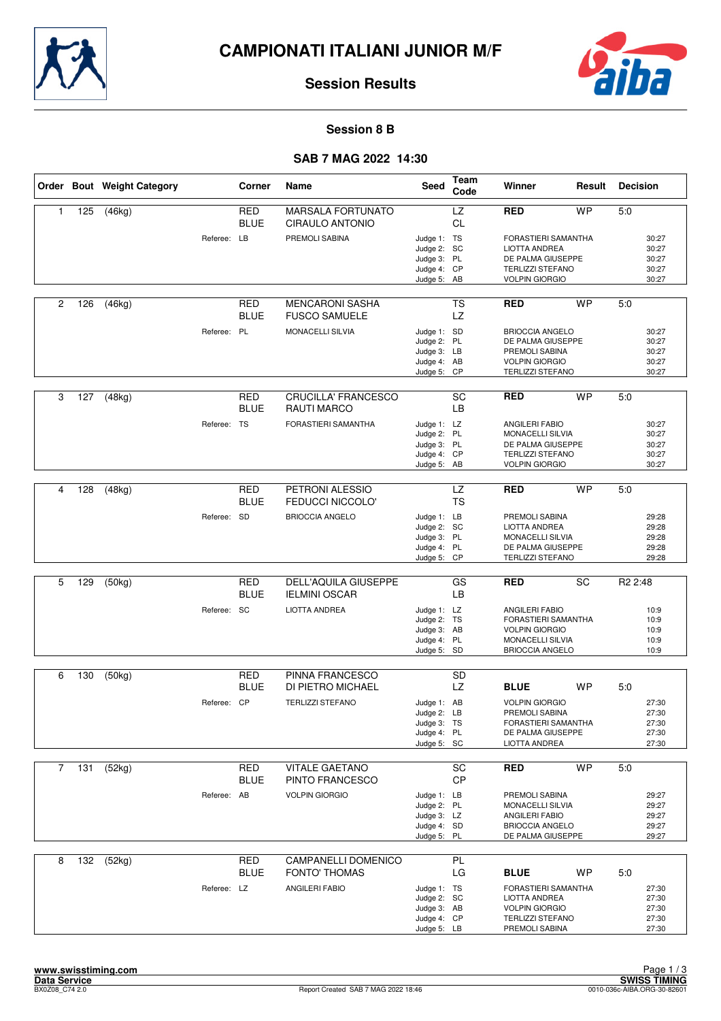



#### **Session 8 B**

#### **SAB 7 MAG 2022 14:30**

|                |     | Order Bout Weight Category |             | Corner                    | Name                                             | Seed                                                                    | Team<br>Code    | Winner                                                                                                                    | Result    | <b>Decision</b>                           |  |
|----------------|-----|----------------------------|-------------|---------------------------|--------------------------------------------------|-------------------------------------------------------------------------|-----------------|---------------------------------------------------------------------------------------------------------------------------|-----------|-------------------------------------------|--|
| $\mathbf{1}$   | 125 | (46kg)                     |             | <b>RED</b><br><b>BLUE</b> | <b>MARSALA FORTUNATO</b><br>CIRAULO ANTONIO      |                                                                         | LZ<br><b>CL</b> | <b>RED</b>                                                                                                                | <b>WP</b> | 5:0                                       |  |
|                |     |                            | Referee: LB |                           | PREMOLI SABINA                                   | Judge 1: TS<br>Judge 2: SC<br>Judge 3: PL<br>Judge 4: CP<br>Judge 5: AB |                 | FORASTIERI SAMANTHA<br>LIOTTA ANDREA<br>DE PALMA GIUSEPPE<br><b>TERLIZZI STEFANO</b><br><b>VOLPIN GIORGIO</b>             |           | 30:27<br>30:27<br>30:27<br>30:27<br>30:27 |  |
| $\overline{c}$ | 126 | (46kg)                     |             | <b>RED</b><br><b>BLUE</b> | <b>MENCARONI SASHA</b><br><b>FUSCO SAMUELE</b>   |                                                                         | <b>TS</b><br>LZ | <b>RED</b>                                                                                                                | <b>WP</b> | 5:0                                       |  |
|                |     |                            | Referee: PL |                           | <b>MONACELLI SILVIA</b>                          | Judge 1: SD<br>Judge 2: PL<br>Judge 3: LB<br>Judge 4: AB<br>Judge 5: CP |                 | <b>BRIOCCIA ANGELO</b><br>DE PALMA GIUSEPPE<br>PREMOLI SABINA<br><b>VOLPIN GIORGIO</b><br><b>TERLIZZI STEFANO</b>         |           | 30:27<br>30:27<br>30:27<br>30:27<br>30:27 |  |
| 3              | 127 | (48kg)                     |             | <b>RED</b><br><b>BLUE</b> | <b>CRUCILLA' FRANCESCO</b><br><b>RAUTI MARCO</b> |                                                                         | SC<br>LB        | <b>RED</b>                                                                                                                | <b>WP</b> | 5:0                                       |  |
|                |     |                            | Referee: TS |                           | FORASTIERI SAMANTHA                              | Judge 1: LZ<br>Judge 2: PL<br>Judge 3: PL<br>Judge 4: CP<br>Judge 5: AB |                 | <b>ANGILERI FABIO</b><br><b>MONACELLI SILVIA</b><br>DE PALMA GIUSEPPE<br><b>TERLIZZI STEFANO</b><br><b>VOLPIN GIORGIO</b> |           | 30:27<br>30:27<br>30:27<br>30:27<br>30:27 |  |
|                |     |                            |             |                           |                                                  |                                                                         |                 |                                                                                                                           |           |                                           |  |
| 4              | 128 | (48kg)                     |             | <b>RED</b><br><b>BLUE</b> | PETRONI ALESSIO<br><b>FEDUCCI NICCOLO'</b>       |                                                                         | LZ<br><b>TS</b> | <b>RED</b>                                                                                                                | <b>WP</b> | 5:0                                       |  |
|                |     |                            | Referee: SD |                           | <b>BRIOCCIA ANGELO</b>                           | Judge 1: LB<br>Judge 2: SC<br>Judge 3: PL<br>Judge 4: PL<br>Judge 5: CP |                 | PREMOLI SABINA<br><b>LIOTTA ANDREA</b><br><b>MONACELLI SILVIA</b><br>DE PALMA GIUSEPPE<br><b>TERLIZZI STEFANO</b>         |           | 29:28<br>29:28<br>29:28<br>29:28<br>29:28 |  |
|                |     |                            |             |                           |                                                  |                                                                         |                 |                                                                                                                           |           |                                           |  |
| 5              | 129 | (50kg)                     |             | <b>RED</b><br><b>BLUE</b> | DELL'AQUILA GIUSEPPE<br><b>IELMINI OSCAR</b>     |                                                                         | GS<br>LB        | <b>RED</b>                                                                                                                | SC        | R <sub>2</sub> 2:48                       |  |
|                |     |                            | Referee: SC |                           | <b>LIOTTA ANDREA</b>                             | Judge 1: LZ<br>Judge 2: TS<br>Judge 3: AB<br>Judge 4: PL<br>Judge 5: SD |                 | <b>ANGILERI FABIO</b><br>FORASTIERI SAMANTHA<br><b>VOLPIN GIORGIO</b><br>MONACELLI SILVIA<br><b>BRIOCCIA ANGELO</b>       |           | 10:9<br>10:9<br>10:9<br>10:9<br>10:9      |  |
| 6              | 130 |                            |             | <b>RED</b>                | PINNA FRANCESCO                                  |                                                                         | <b>SD</b>       |                                                                                                                           |           |                                           |  |
|                |     | (50kg)                     |             | <b>BLUE</b>               | DI PIETRO MICHAEL                                |                                                                         | LZ              | <b>BLUE</b>                                                                                                               | <b>WP</b> | 5:0                                       |  |
|                |     |                            | Referee: CP |                           | <b>TERLIZZI STEFANO</b>                          | Judge 1: AB<br>Judge 2: LB<br>Judge 3: TS<br>Judge 4: PL<br>Judge 5: SC |                 | <b>VOLPIN GIORGIO</b><br>PREMOLI SABINA<br>FORASTIERI SAMANTHA<br>DE PALMA GIUSEPPE<br><b>LIOTTA ANDREA</b>               |           | 27:30<br>27:30<br>27:30<br>27:30<br>27:30 |  |
| $\overline{7}$ | 131 | (52kg)                     |             | RED                       | <b>VITALE GAETANO</b>                            |                                                                         | SC              | <b>RED</b>                                                                                                                | <b>WP</b> | 5:0                                       |  |
|                |     |                            |             | <b>BLUE</b>               | PINTO FRANCESCO                                  |                                                                         | <b>CP</b>       |                                                                                                                           |           |                                           |  |
|                |     |                            | Referee: AB |                           | <b>VOLPIN GIORGIO</b>                            | Judge 1: LB<br>Judge 2: PL<br>Judge 3: LZ<br>Judge 4: SD<br>Judge 5: PL |                 | PREMOLI SABINA<br>MONACELLI SILVIA<br>ANGILERI FABIO<br><b>BRIOCCIA ANGELO</b><br>DE PALMA GIUSEPPE                       |           | 29:27<br>29:27<br>29:27<br>29:27<br>29:27 |  |
| 8              | 132 | (52kg)                     |             | <b>RED</b><br><b>BLUE</b> | CAMPANELLI DOMENICO<br><b>FONTO' THOMAS</b>      |                                                                         | PL<br>LG        | <b>BLUE</b>                                                                                                               | WP        | 5:0                                       |  |
|                |     |                            | Referee: LZ |                           | ANGILERI FABIO                                   | Judge 1: TS<br>Judge 2: SC<br>Judge 3: AB<br>Judge 4: CP<br>Judge 5: LB |                 | FORASTIERI SAMANTHA<br>LIOTTA ANDREA<br><b>VOLPIN GIORGIO</b><br><b>TERLIZZI STEFANO</b><br>PREMOLI SABINA                |           | 27:30<br>27:30<br>27:30<br>27:30<br>27:30 |  |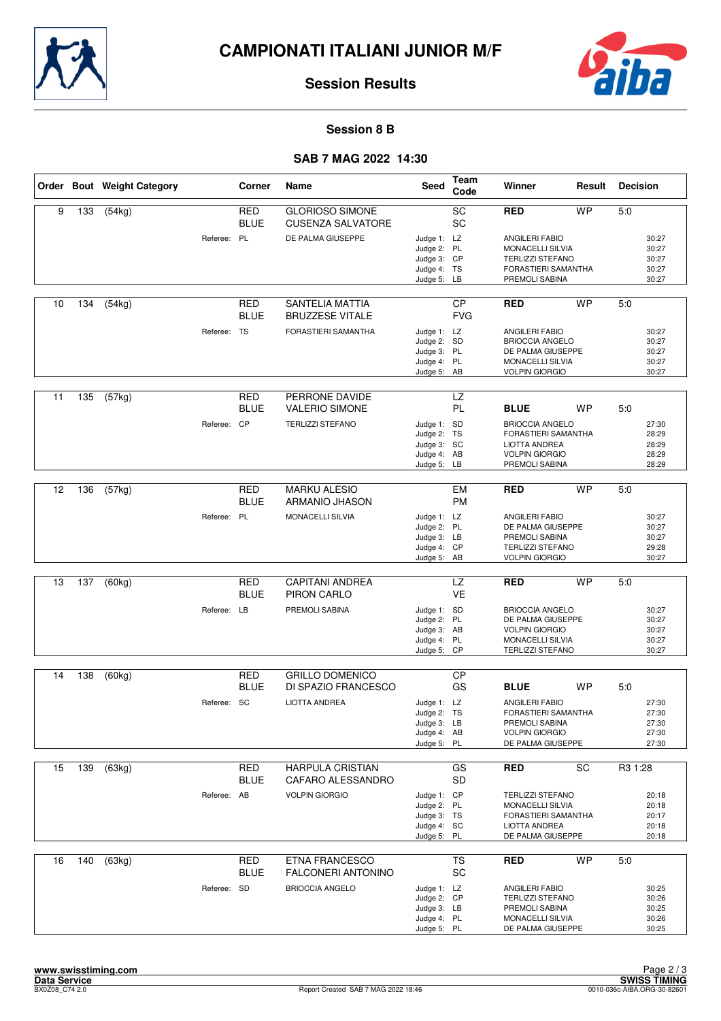



#### **Session 8 B**

#### **SAB 7 MAG 2022 14:30**

|    |     | Order Bout Weight Category |             | Corner                    | Name                                               | Seed                                                                    | Team<br>Code            | Winner                                                                                                              | Result    | <b>Decision</b>                           |
|----|-----|----------------------------|-------------|---------------------------|----------------------------------------------------|-------------------------------------------------------------------------|-------------------------|---------------------------------------------------------------------------------------------------------------------|-----------|-------------------------------------------|
| 9  | 133 | (54kg)                     |             | <b>RED</b><br><b>BLUE</b> | <b>GLORIOSO SIMONE</b><br><b>CUSENZA SALVATORE</b> |                                                                         | SC<br>SC                | <b>RED</b>                                                                                                          | <b>WP</b> | 5:0                                       |
|    |     |                            | Referee: PL |                           | DE PALMA GIUSEPPE                                  | Judge 1: LZ<br>Judge 2: PL<br>Judge 3: CP<br>Judge 4: TS<br>Judge 5: LB |                         | <b>ANGILERI FABIO</b><br>MONACELLI SILVIA<br><b>TERLIZZI STEFANO</b><br>FORASTIERI SAMANTHA<br>PREMOLI SABINA       |           | 30:27<br>30:27<br>30:27<br>30:27<br>30:27 |
| 10 | 134 | (54kg)                     |             | RED<br><b>BLUE</b>        | SANTELIA MATTIA<br><b>BRUZZESE VITALE</b>          |                                                                         | <b>CP</b><br><b>FVG</b> | <b>RED</b>                                                                                                          | <b>WP</b> | 5:0                                       |
|    |     |                            | Referee: TS |                           | <b>FORASTIERI SAMANTHA</b>                         | Judge 1: LZ<br>Judge 2: SD<br>Judge 3: PL<br>Judge 4: PL<br>Judge 5: AB |                         | <b>ANGILERI FABIO</b><br><b>BRIOCCIA ANGELO</b><br>DE PALMA GIUSEPPE<br>MONACELLI SILVIA<br><b>VOLPIN GIORGIO</b>   |           | 30:27<br>30:27<br>30:27<br>30:27<br>30:27 |
| 11 | 135 | (57kg)                     |             | RED<br><b>BLUE</b>        | PERRONE DAVIDE<br><b>VALERIO SIMONE</b>            |                                                                         | <b>LZ</b><br>PL         | <b>BLUE</b>                                                                                                         | <b>WP</b> | 5:0                                       |
|    |     |                            | Referee: CP |                           | <b>TERLIZZI STEFANO</b>                            | Judge 1: SD<br>Judge 2: TS<br>Judge 3: SC<br>Judge 4: AB<br>Judge 5: LB |                         | <b>BRIOCCIA ANGELO</b><br>FORASTIERI SAMANTHA<br><b>LIOTTA ANDREA</b><br><b>VOLPIN GIORGIO</b><br>PREMOLI SABINA    |           | 27:30<br>28:29<br>28:29<br>28:29<br>28:29 |
|    |     |                            |             |                           |                                                    |                                                                         |                         |                                                                                                                     |           |                                           |
| 12 | 136 | (57kg)                     |             | <b>RED</b><br><b>BLUE</b> | <b>MARKU ALESIO</b><br>ARMANIO JHASON              |                                                                         | EM<br><b>PM</b>         | <b>RED</b>                                                                                                          | <b>WP</b> | 5:0                                       |
|    |     |                            | Referee: PL |                           | MONACELLI SILVIA                                   | Judge 1: LZ<br>Judge 2: PL<br>Judge 3: LB<br>Judge 4: CP<br>Judge 5: AB |                         | <b>ANGILERI FABIO</b><br>DE PALMA GIUSEPPE<br>PREMOLI SABINA<br><b>TERLIZZI STEFANO</b><br><b>VOLPIN GIORGIO</b>    |           | 30:27<br>30:27<br>30:27<br>29:28<br>30:27 |
|    |     |                            |             |                           |                                                    |                                                                         |                         |                                                                                                                     |           |                                           |
| 13 | 137 | (60kg)                     |             | <b>RED</b><br><b>BLUE</b> | <b>CAPITANI ANDREA</b><br>PIRON CARLO              |                                                                         | <b>LZ</b><br><b>VE</b>  | <b>RED</b>                                                                                                          | <b>WP</b> | 5:0                                       |
|    |     |                            | Referee: LB |                           | PREMOLI SABINA                                     | Judge 1: SD<br>Judge 2: PL<br>Judge 3: AB<br>Judge 4: PL<br>Judge 5: CP |                         | <b>BRIOCCIA ANGELO</b><br>DE PALMA GIUSEPPE<br><b>VOLPIN GIORGIO</b><br>MONACELLI SILVIA<br><b>TERLIZZI STEFANO</b> |           | 30:27<br>30:27<br>30:27<br>30:27<br>30:27 |
|    |     |                            |             |                           |                                                    |                                                                         |                         |                                                                                                                     |           |                                           |
| 14 | 138 | (60kg)                     |             | <b>RED</b><br><b>BLUE</b> | <b>GRILLO DOMENICO</b><br>DI SPAZIO FRANCESCO      |                                                                         | <b>CP</b><br>GS         | <b>BLUE</b>                                                                                                         | <b>WP</b> | 5:0                                       |
|    |     |                            | Referee: SC |                           | <b>LIOTTA ANDREA</b>                               | Judge 1: LZ<br>Judge 2: TS<br>Judge 3: LB<br>Judge 4: AB<br>Judge 5: PL |                         | <b>ANGILERI FABIO</b><br>FORASTIERI SAMANTHA<br>PREMOLI SABINA<br><b>VOLPIN GIORGIO</b><br>DE PALMA GIUSEPPE        |           | 27:30<br>27:30<br>27:30<br>27:30<br>27:30 |
| 15 | 139 | (63kg)                     |             | RED                       | <b>HARPULA CRISTIAN</b>                            |                                                                         | GS                      | <b>RED</b>                                                                                                          | SC        | R3 1:28                                   |
|    |     |                            |             | <b>BLUE</b>               | CAFARO ALESSANDRO                                  |                                                                         | <b>SD</b>               |                                                                                                                     |           |                                           |
|    |     |                            | Referee: AB |                           | <b>VOLPIN GIORGIO</b>                              | Judge 1: CP<br>Judge 2: PL<br>Judge 3: TS<br>Judge 4: SC<br>Judge 5: PL |                         | <b>TERLIZZI STEFANO</b><br>MONACELLI SILVIA<br>FORASTIERI SAMANTHA<br><b>LIOTTA ANDREA</b><br>DE PALMA GIUSEPPE     |           | 20:18<br>20:18<br>20:17<br>20:18<br>20:18 |
| 16 | 140 | (63kg)                     |             | <b>RED</b>                | <b>ETNA FRANCESCO</b><br><b>FALCONERI ANTONINO</b> |                                                                         | <b>TS</b>               | <b>RED</b>                                                                                                          | <b>WP</b> | 5:0                                       |
|    |     |                            | Referee: SD | <b>BLUE</b>               | <b>BRIOCCIA ANGELO</b>                             | Judge 1: LZ<br>Judge 2: CP<br>Judge 3: LB<br>Judge 4: PL<br>Judge 5: PL | SC                      | ANGILERI FABIO<br><b>TERLIZZI STEFANO</b><br>PREMOLI SABINA<br>MONACELLI SILVIA<br>DE PALMA GIUSEPPE                |           | 30:25<br>30:26<br>30:25<br>30:26<br>30:25 |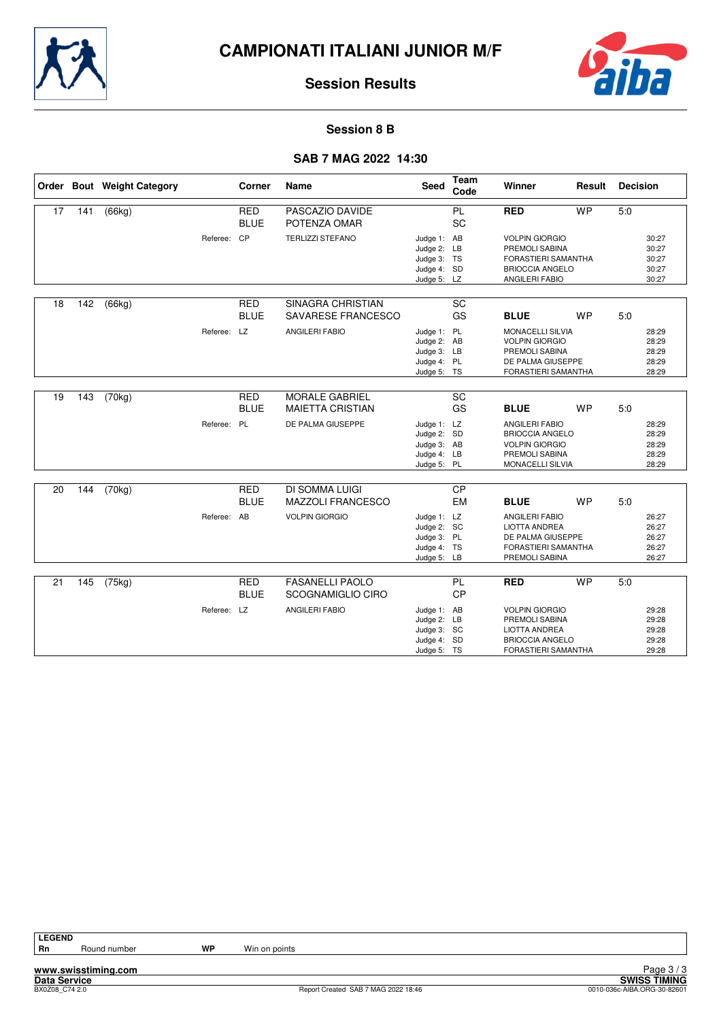



#### **Session 8 B**

#### **SAB 7 MAG 2022 14:30**

|    |     | Order Bout Weight Category |             | Corner                    | Name                                                  | <b>Seed</b>                                                             | Team<br>Code    | Winner                                                                                                            | Result    | <b>Decision</b> |                                           |
|----|-----|----------------------------|-------------|---------------------------|-------------------------------------------------------|-------------------------------------------------------------------------|-----------------|-------------------------------------------------------------------------------------------------------------------|-----------|-----------------|-------------------------------------------|
| 17 | 141 | (66kg)                     |             | <b>RED</b><br><b>BLUE</b> | PASCAZIO DAVIDE<br>POTENZA OMAR                       |                                                                         | <b>PL</b><br>SC | <b>RED</b>                                                                                                        | <b>WP</b> | 5.0             |                                           |
|    |     |                            | Referee:    | CP                        | <b>TERLIZZI STEFANO</b>                               | Judge 1: AB<br>Judge 2: LB<br>Judge 3: TS<br>Judge 4: SD<br>Judge 5: LZ |                 | <b>VOLPIN GIORGIO</b><br>PREMOLI SABINA<br><b>FORASTIERI SAMANTHA</b><br><b>BRIOCCIA ANGELO</b><br>ANGILERI FABIO |           |                 | 30:27<br>30:27<br>30:27<br>30:27<br>30:27 |
| 18 | 142 | (66kg)                     |             | <b>RED</b><br><b>BLUE</b> | <b>SINAGRA CHRISTIAN</b><br><b>SAVARESE FRANCESCO</b> |                                                                         | SC<br>GS        | <b>BLUE</b>                                                                                                       | <b>WP</b> | 5.0             |                                           |
|    |     |                            | Referee: LZ |                           | <b>ANGILERI FABIO</b>                                 | Judge 1: PL<br>Judge 2: AB<br>Judge 3: LB<br>Judge 4: PL<br>Judge 5: TS |                 | <b>MONACELLI SILVIA</b><br><b>VOLPIN GIORGIO</b><br>PREMOLI SABINA<br>DE PALMA GIUSEPPE<br>FORASTIERI SAMANTHA    |           |                 | 28:29<br>28:29<br>28:29<br>28:29<br>28:29 |
| 19 | 143 | (70kg)                     |             | <b>RED</b>                | <b>MORALE GABRIEL</b>                                 |                                                                         | SC              |                                                                                                                   |           |                 |                                           |
|    |     |                            |             | <b>BLUE</b>               | <b>MAIETTA CRISTIAN</b>                               |                                                                         | GS              | <b>BLUE</b>                                                                                                       | <b>WP</b> | 5.0             |                                           |
|    |     |                            | Referee: PL |                           | DE PALMA GIUSEPPE                                     | Judge 1: LZ<br>Judge 2: SD<br>Judge 3: AB<br>Judge 4: LB<br>Judge 5: PL |                 | <b>ANGILERI FABIO</b><br><b>BRIOCCIA ANGELO</b><br><b>VOLPIN GIORGIO</b><br>PREMOLI SABINA<br>MONACELLI SILVIA    |           |                 | 28:29<br>28:29<br>28:29<br>28:29<br>28:29 |
| 20 | 144 | (70kg)                     |             | <b>RED</b>                | <b>DI SOMMA LUIGI</b>                                 |                                                                         | $\overline{CP}$ |                                                                                                                   |           |                 |                                           |
|    |     |                            |             | <b>BLUE</b>               | MAZZOLI FRANCESCO                                     |                                                                         | <b>EM</b>       | <b>BLUE</b>                                                                                                       | <b>WP</b> | 5:0             |                                           |
|    |     |                            | Referee: AB |                           | <b>VOLPIN GIORGIO</b>                                 | Judge 1: LZ<br>Judge 2: SC<br>Judge 3: PL<br>Judge 4: TS<br>Judge 5: LB |                 | <b>ANGILERI FABIO</b><br><b>LIOTTA ANDREA</b><br>DE PALMA GIUSEPPE<br>FORASTIERI SAMANTHA<br>PREMOLI SABINA       |           |                 | 26:27<br>26:27<br>26:27<br>26:27<br>26:27 |
| 21 | 145 | (75kg)                     |             | <b>RED</b><br><b>BLUE</b> | <b>FASANELLI PAOLO</b><br>SCOGNAMIGLIO CIRO           |                                                                         | PL<br><b>CP</b> | <b>RED</b>                                                                                                        | <b>WP</b> | 5:0             |                                           |
|    |     |                            | Referee: LZ |                           | <b>ANGILERI FABIO</b>                                 | Judge 1: AB<br>Judge 2: LB<br>Judge 3: SC<br>Judge 4: SD<br>Judge 5: TS |                 | <b>VOLPIN GIORGIO</b><br>PREMOLI SABINA<br><b>LIOTTA ANDREA</b><br><b>BRIOCCIA ANGELO</b><br>FORASTIERI SAMANTHA  |           |                 | 29:28<br>29:28<br>29:28<br>29:28<br>29:28 |

**www.swisstiming.com**

**Data Service SWISS TIMING** Extrage 37.3<br>
BXVISS TIMING<br>
Beport Created SAB 7 MAG 2022 18:46 0010-036c-AIBA.ORG-30-82601 Page 3 / 3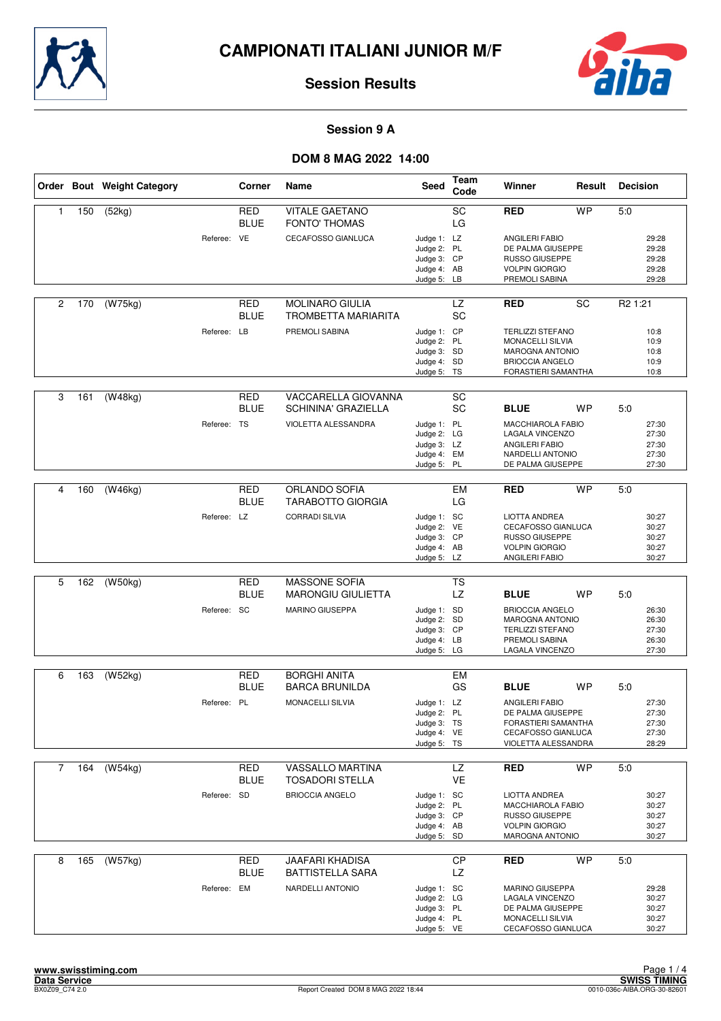



#### **Session 9 A**

|                |     | Order Bout Weight Category |             | Corner                    | Name                                              | Seed                                                                    | Team<br>Code     | Winner                                                                                                                 | Result    | <b>Decision</b>                           |
|----------------|-----|----------------------------|-------------|---------------------------|---------------------------------------------------|-------------------------------------------------------------------------|------------------|------------------------------------------------------------------------------------------------------------------------|-----------|-------------------------------------------|
| $\mathbf{1}$   | 150 | (52kg)                     |             | <b>RED</b><br><b>BLUE</b> | <b>VITALE GAETANO</b><br><b>FONTO' THOMAS</b>     |                                                                         | SC<br>LG         | <b>RED</b>                                                                                                             | <b>WP</b> | 5.0                                       |
|                |     |                            | Referee: VE |                           | CECAFOSSO GIANLUCA                                | Judge 1: LZ<br>Judge 2: PL<br>Judge 3: CP<br>Judge 4: AB<br>Judge 5: LB |                  | <b>ANGILERI FABIO</b><br>DE PALMA GIUSEPPE<br>RUSSO GIUSEPPE<br><b>VOLPIN GIORGIO</b><br>PREMOLI SABINA                |           | 29:28<br>29:28<br>29:28<br>29:28<br>29:28 |
| $\overline{2}$ | 170 | $\overline{(W75kg)}$       |             | <b>RED</b><br><b>BLUE</b> | MOLINARO GIULIA<br><b>TROMBETTA MARIARITA</b>     |                                                                         | <b>LZ</b><br>SC  | <b>RED</b>                                                                                                             | SC        | R <sub>2</sub> 1:21                       |
|                |     |                            | Referee: LB |                           | PREMOLI SABINA                                    | Judge 1: CP<br>Judge 2: PL<br>Judge 3: SD<br>Judge 4: SD<br>Judge 5: TS |                  | <b>TERLIZZI STEFANO</b><br>MONACELLI SILVIA<br><b>MAROGNA ANTONIO</b><br><b>BRIOCCIA ANGELO</b><br>FORASTIERI SAMANTHA |           | 10:8<br>10:9<br>10:8<br>10:9<br>10:8      |
| 3              | 161 | (W48kg)                    |             | RED<br><b>BLUE</b>        | VACCARELLA GIOVANNA<br><b>SCHININA' GRAZIELLA</b> |                                                                         | SC<br>SC         | <b>BLUE</b>                                                                                                            | <b>WP</b> | 5:0                                       |
|                |     |                            | Referee: TS |                           | VIOLETTA ALESSANDRA                               | Judge 1: PL<br>Judge 2: LG<br>Judge 3: LZ<br>Judge 4: EM<br>Judge 5: PL |                  | <b>MACCHIAROLA FABIO</b><br>LAGALA VINCENZO<br>ANGILERI FABIO<br>NARDELLI ANTONIO<br>DE PALMA GIUSEPPE                 |           | 27:30<br>27:30<br>27:30<br>27:30<br>27:30 |
|                |     |                            |             |                           |                                                   |                                                                         |                  |                                                                                                                        |           |                                           |
| 4              | 160 | (W46kg)                    |             | <b>RED</b><br><b>BLUE</b> | ORLANDO SOFIA<br><b>TARABOTTO GIORGIA</b>         |                                                                         | <b>EM</b><br>LG  | <b>RED</b>                                                                                                             | <b>WP</b> | 5:0                                       |
|                |     |                            | Referee: LZ |                           | <b>CORRADI SILVIA</b>                             | Judge 1: SC<br>Judge 2: VE<br>Judge 3: CP<br>Judge 4: AB<br>Judge 5: LZ |                  | <b>LIOTTA ANDREA</b><br>CECAFOSSO GIANLUCA<br>RUSSO GIUSEPPE<br><b>VOLPIN GIORGIO</b><br>ANGILERI FABIO                |           | 30:27<br>30:27<br>30:27<br>30:27<br>30:27 |
|                |     |                            |             |                           |                                                   |                                                                         |                  |                                                                                                                        |           |                                           |
| 5              | 162 | (W50kg)                    |             | RED<br><b>BLUE</b>        | <b>MASSONE SOFIA</b><br><b>MARONGIU GIULIETTA</b> |                                                                         | <b>TS</b><br>LZ. | <b>BLUE</b>                                                                                                            | <b>WP</b> | 5:0                                       |
|                |     |                            | Referee: SC |                           | MARINO GIUSEPPA                                   | Judge 1: SD<br>Judge 2: SD<br>Judge 3: CP<br>Judge 4: LB<br>Judge 5: LG |                  | <b>BRIOCCIA ANGELO</b><br><b>MAROGNA ANTONIO</b><br><b>TERLIZZI STEFANO</b><br>PREMOLI SABINA<br>LAGALA VINCENZO       |           | 26:30<br>26:30<br>27:30<br>26:30<br>27:30 |
| 6              | 163 | (W52kg)                    |             | RED                       | <b>BORGHI ANITA</b>                               |                                                                         | EM               |                                                                                                                        |           |                                           |
|                |     |                            |             | <b>BLUE</b>               | <b>BARCA BRUNILDA</b>                             |                                                                         | GS               | <b>BLUE</b>                                                                                                            | <b>WP</b> | 5:0                                       |
|                |     |                            | Referee: PL |                           | <b>MONACELLI SILVIA</b>                           | Judge 1: LZ<br>Judge 2: PL<br>Judge 3: TS<br>Judge 4: VE<br>Judge 5: TS |                  | <b>ANGILERI FABIO</b><br>DE PALMA GIUSEPPE<br>FORASTIERI SAMANTHA<br>CECAFOSSO GIANLUCA<br>VIOLETTA ALESSANDRA         |           | 27:30<br>27:30<br>27:30<br>27:30<br>28:29 |
| 7              | 164 | (W54kg)                    |             | RED                       | VASSALLO MARTINA                                  |                                                                         | <b>LZ</b>        | <b>RED</b>                                                                                                             | <b>WP</b> | 5:0                                       |
|                |     |                            |             | <b>BLUE</b>               | <b>TOSADORI STELLA</b>                            |                                                                         | VE               |                                                                                                                        |           |                                           |
|                |     |                            | Referee: SD |                           | <b>BRIOCCIA ANGELO</b>                            | Judge 1: SC<br>Judge 2: PL<br>Judge 3: CP<br>Judge 4: AB<br>Judge 5: SD |                  | <b>LIOTTA ANDREA</b><br>MACCHIAROLA FABIO<br><b>RUSSO GIUSEPPE</b><br><b>VOLPIN GIORGIO</b><br>MAROGNA ANTONIO         |           | 30:27<br>30:27<br>30:27<br>30:27<br>30:27 |
| 8              | 165 | (W57kg)                    |             | <b>RED</b><br><b>BLUE</b> | <b>JAAFARI KHADISA</b><br><b>BATTISTELLA SARA</b> |                                                                         | CP<br>LZ         | <b>RED</b>                                                                                                             | <b>WP</b> | 5:0                                       |
|                |     |                            | Referee: EM |                           | NARDELLI ANTONIO                                  | Judge 1: SC<br>Judge 2: LG<br>Judge 3: PL<br>Judge 4: PL<br>Judge 5: VE |                  | MARINO GIUSEPPA<br>LAGALA VINCENZO<br>DE PALMA GIUSEPPE<br>MONACELLI SILVIA<br>CECAFOSSO GIANLUCA                      |           | 29:28<br>30:27<br>30:27<br>30:27<br>30:27 |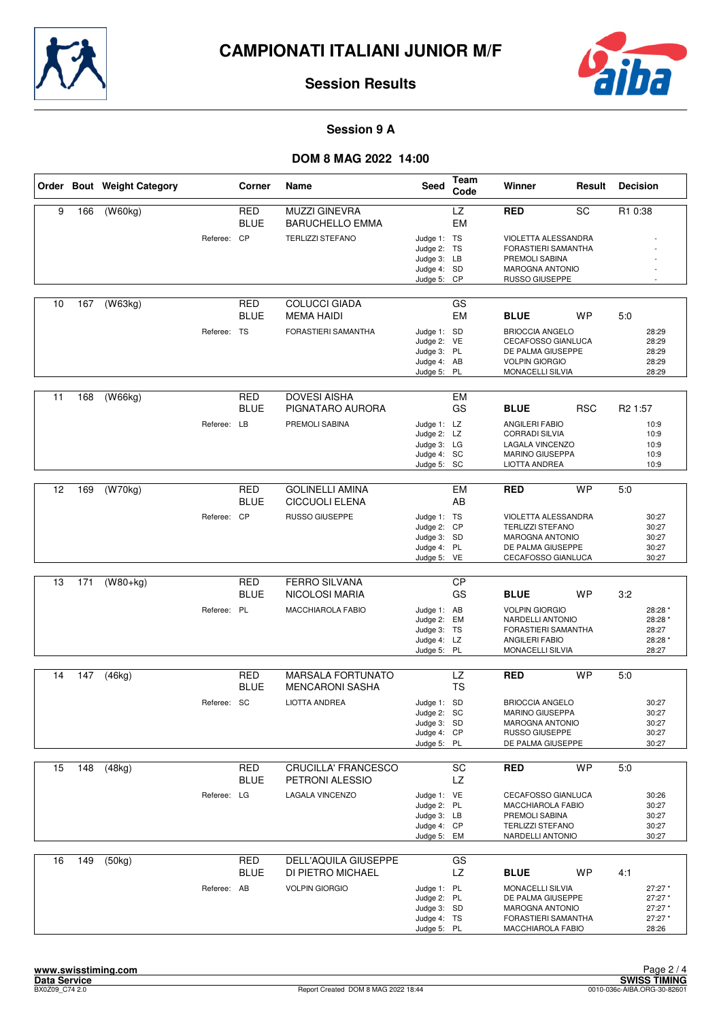



#### **Session 9 A**

|    |     | Order Bout Weight Category |             | Corner                    | Name                                            | Seed                                                                    | Team<br>Code    | Winner                                                                                                              | Result     | <b>Decision</b>                                   |
|----|-----|----------------------------|-------------|---------------------------|-------------------------------------------------|-------------------------------------------------------------------------|-----------------|---------------------------------------------------------------------------------------------------------------------|------------|---------------------------------------------------|
| 9  | 166 | (W60kg)                    |             | <b>RED</b><br><b>BLUE</b> | <b>MUZZI GINEVRA</b><br><b>BARUCHELLO EMMA</b>  |                                                                         | LZ<br><b>EM</b> | RED                                                                                                                 | SC         | R1 0:38                                           |
|    |     |                            | Referee: CP |                           | <b>TERLIZZI STEFANO</b>                         | Judge 1: TS<br>Judge 2: TS<br>Judge 3: LB<br>Judge 4: SD<br>Judge 5: CP |                 | VIOLETTA ALESSANDRA<br>FORASTIERI SAMANTHA<br>PREMOLI SABINA<br><b>MAROGNA ANTONIO</b><br>RUSSO GIUSEPPE            |            |                                                   |
| 10 | 167 | (W63kg)                    |             | <b>RED</b><br>BLUE        | <b>COLUCCI GIADA</b><br><b>MEMA HAIDI</b>       |                                                                         | GS<br>EM        | <b>BLUE</b>                                                                                                         | WP         | 5:0                                               |
|    |     |                            | Referee: TS |                           | FORASTIERI SAMANTHA                             | Judge 1: SD<br>Judge 2: VE<br>Judge 3: PL<br>Judge 4: AB<br>Judge 5: PL |                 | <b>BRIOCCIA ANGELO</b><br>CECAFOSSO GIANLUCA<br>DE PALMA GIUSEPPE<br><b>VOLPIN GIORGIO</b><br>MONACELLI SILVIA      |            | 28:29<br>28:29<br>28:29<br>28:29<br>28:29         |
| 11 | 168 | (W66kg)                    |             | RED<br><b>BLUE</b>        | <b>DOVESI AISHA</b><br>PIGNATARO AURORA         |                                                                         | EM<br>GS        | <b>BLUE</b>                                                                                                         | <b>RSC</b> | R <sub>2</sub> 1:57                               |
|    |     |                            | Referee: LB |                           | PREMOLI SABINA                                  | Judge 1: LZ<br>Judge 2: LZ<br>Judge 3: LG<br>Judge 4: SC<br>Judge 5: SC |                 | ANGILERI FABIO<br><b>CORRADI SILVIA</b><br><b>LAGALA VINCENZO</b><br><b>MARINO GIUSEPPA</b><br>LIOTTA ANDREA        |            | 10:9<br>10:9<br>10:9<br>10:9<br>10:9              |
|    |     |                            |             |                           |                                                 |                                                                         |                 |                                                                                                                     |            |                                                   |
| 12 | 169 | (W70kg)                    |             | <b>RED</b><br>BLUE        | <b>GOLINELLI AMINA</b><br><b>CICCUOLI ELENA</b> |                                                                         | <b>EM</b><br>AB | <b>RED</b>                                                                                                          | <b>WP</b>  | 5:0                                               |
|    |     |                            | Referee: CP |                           | <b>RUSSO GIUSEPPE</b>                           | Judge 1: TS<br>Judge 2: CP<br>Judge 3: SD<br>Judge 4: PL<br>Judge 5: VE |                 | VIOLETTA ALESSANDRA<br><b>TERLIZZI STEFANO</b><br><b>MAROGNA ANTONIO</b><br>DE PALMA GIUSEPPE<br>CECAFOSSO GIANLUCA |            | 30:27<br>30:27<br>30:27<br>30:27<br>30:27         |
|    |     |                            |             |                           |                                                 |                                                                         |                 |                                                                                                                     |            |                                                   |
| 13 | 171 | $(W80+kq)$                 |             | RED<br><b>BLUE</b>        | <b>FERRO SILVANA</b><br>NICOLOSI MARIA          |                                                                         | CP<br>GS        | <b>BLUE</b>                                                                                                         | <b>WP</b>  | 3:2                                               |
|    |     |                            | Referee: PL |                           | MACCHIAROLA FABIO                               | Judge 1: AB<br>Judge 2: EM<br>Judge 3: TS<br>Judge 4: LZ<br>Judge 5:    | PL              | <b>VOLPIN GIORGIO</b><br>NARDELLI ANTONIO<br>FORASTIERI SAMANTHA<br>ANGILERI FABIO<br>MONACELLI SILVIA              |            | 28:28 *<br>28:28 *<br>28:27<br>28:28 *<br>28:27   |
| 14 | 147 | (46kg)                     |             | RED                       | <b>MARSALA FORTUNATO</b>                        |                                                                         | LZ              | <b>RED</b>                                                                                                          | <b>WP</b>  | 5.0                                               |
|    |     |                            |             | BLUE                      | <b>MENCARONI SASHA</b>                          |                                                                         | <b>TS</b>       |                                                                                                                     |            |                                                   |
|    |     |                            | Referee: SC |                           | <b>LIOTTA ANDREA</b>                            | Judge 1: SD<br>Judge 2: SC<br>Judge 3: SD<br>Judge 4: CP<br>Judge 5: PL |                 | <b>BRIOCCIA ANGELO</b><br><b>MARINO GIUSEPPA</b><br><b>MAROGNA ANTONIO</b><br>RUSSO GIUSEPPE<br>DE PALMA GIUSEPPE   |            | 30:27<br>30:27<br>30:27<br>30:27<br>30:27         |
| 15 | 148 | (48kg)                     |             | RED<br><b>BLUE</b>        | CRUCILLA' FRANCESCO<br>PETRONI ALESSIO          |                                                                         | SC<br>LZ        | <b>RED</b>                                                                                                          | <b>WP</b>  | 5:0                                               |
|    |     |                            | Referee: LG |                           | LAGALA VINCENZO                                 | Judge 1: VE<br>Judge 2: PL<br>Judge 3: LB<br>Judge 4: CP<br>Judge 5: EM |                 | CECAFOSSO GIANLUCA<br>MACCHIAROLA FABIO<br>PREMOLI SABINA<br><b>TERLIZZI STEFANO</b><br>NARDELLI ANTONIO            |            | 30:26<br>30:27<br>30:27<br>30:27<br>30:27         |
| 16 | 149 | (50kg)                     |             | <b>RED</b><br>BLUE        | DELL'AQUILA GIUSEPPE<br>DI PIETRO MICHAEL       |                                                                         | GS<br>LZ        | <b>BLUE</b>                                                                                                         | <b>WP</b>  | 4:1                                               |
|    |     |                            | Referee: AB |                           | <b>VOLPIN GIORGIO</b>                           | Judge 1: PL<br>Judge 2: PL<br>Judge 3: SD<br>Judge 4: TS<br>Judge 5: PL |                 | MONACELLI SILVIA<br>DE PALMA GIUSEPPE<br><b>MAROGNA ANTONIO</b><br>FORASTIERI SAMANTHA<br>MACCHIAROLA FABIO         |            | 27:27 *<br>27:27 *<br>27:27 *<br>27:27 *<br>28:26 |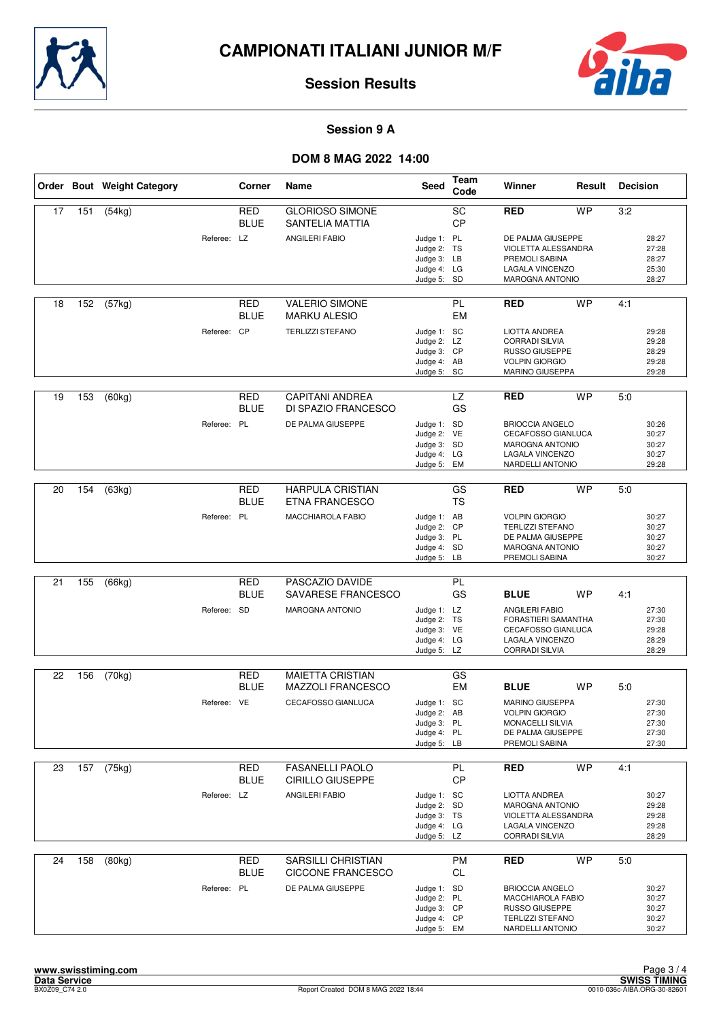



#### **Session 9 A**

|    |     | Order Bout Weight Category |             | Corner                    | Name                                              | Seed                       | Team<br>Code    | Winner                                           | Result    | <b>Decision</b> |                |
|----|-----|----------------------------|-------------|---------------------------|---------------------------------------------------|----------------------------|-----------------|--------------------------------------------------|-----------|-----------------|----------------|
| 17 | 151 | (54kg)                     |             | RED<br><b>BLUE</b>        | <b>GLORIOSO SIMONE</b><br>SANTELIA MATTIA         |                            | SC<br><b>CP</b> | RED                                              | <b>WP</b> | 3:2             |                |
|    |     |                            | Referee: LZ |                           | ANGILERI FABIO                                    | Judge 1: PL                |                 | DE PALMA GIUSEPPE                                |           |                 | 28:27          |
|    |     |                            |             |                           |                                                   | Judge 2: TS                |                 | VIOLETTA ALESSANDRA                              |           |                 | 27:28          |
|    |     |                            |             |                           |                                                   | Judge 3: LB<br>Judge 4: LG |                 | PREMOLI SABINA<br><b>LAGALA VINCENZO</b>         |           |                 | 28:27<br>25:30 |
|    |     |                            |             |                           |                                                   | Judge 5: SD                |                 | <b>MAROGNA ANTONIO</b>                           |           |                 | 28:27          |
| 18 | 152 | (57kg)                     |             | RED                       | <b>VALERIO SIMONE</b>                             |                            | PL              | <b>RED</b>                                       | <b>WP</b> | 4:1             |                |
|    |     |                            |             | <b>BLUE</b>               | <b>MARKU ALESIO</b>                               |                            | <b>EM</b>       |                                                  |           |                 |                |
|    |     |                            | Referee: CP |                           | <b>TERLIZZI STEFANO</b>                           | Judge 1: SC<br>Judge 2: LZ |                 | <b>LIOTTA ANDREA</b><br><b>CORRADI SILVIA</b>    |           |                 | 29:28<br>29:28 |
|    |     |                            |             |                           |                                                   | Judge 3: CP                |                 | <b>RUSSO GIUSEPPE</b>                            |           |                 | 28:29          |
|    |     |                            |             |                           |                                                   | Judge 4: AB                |                 | <b>VOLPIN GIORGIO</b>                            |           |                 | 29:28          |
|    |     |                            |             |                           |                                                   | Judge 5: SC                |                 | MARINO GIUSEPPA                                  |           |                 | 29:28          |
| 19 | 153 | (60kg)                     |             | RED<br><b>BLUE</b>        | <b>CAPITANI ANDREA</b><br>DI SPAZIO FRANCESCO     |                            | <b>LZ</b><br>GS | RED                                              | <b>WP</b> | 5:0             |                |
|    |     |                            | Referee: PL |                           | DE PALMA GIUSEPPE                                 | Judge 1: SD                |                 | <b>BRIOCCIA ANGELO</b>                           |           |                 | 30:26          |
|    |     |                            |             |                           |                                                   | Judge 2: VE                |                 | CECAFOSSO GIANLUCA                               |           |                 | 30:27          |
|    |     |                            |             |                           |                                                   | Judge 3: SD<br>Judge 4: LG |                 | <b>MAROGNA ANTONIO</b><br><b>LAGALA VINCENZO</b> |           |                 | 30:27<br>30:27 |
|    |     |                            |             |                           |                                                   | Judge 5:                   | EM              | NARDELLI ANTONIO                                 |           |                 | 29:28          |
|    |     |                            |             | <b>RED</b>                | <b>HARPULA CRISTIAN</b>                           |                            | GS              |                                                  | <b>WP</b> |                 |                |
| 20 | 154 | (63kg)                     |             | BLUE                      | <b>ETNA FRANCESCO</b>                             |                            | <b>TS</b>       | RED                                              |           | 5:0             |                |
|    |     |                            | Referee: PL |                           | MACCHIAROLA FABIO                                 | Judge 1: AB                |                 | <b>VOLPIN GIORGIO</b>                            |           |                 | 30:27          |
|    |     |                            |             |                           |                                                   | Judge 2: CP<br>Judge 3: PL |                 | <b>TERLIZZI STEFANO</b><br>DE PALMA GIUSEPPE     |           |                 | 30:27<br>30:27 |
|    |     |                            |             |                           |                                                   | Judge 4: SD                |                 | <b>MAROGNA ANTONIO</b>                           |           |                 | 30:27          |
|    |     |                            |             |                           |                                                   | Judge 5: LB                |                 | PREMOLI SABINA                                   |           |                 | 30:27          |
| 21 | 155 | (66kg)                     |             | <b>RED</b><br>BLUE        | PASCAZIO DAVIDE<br>SAVARESE FRANCESCO             |                            | PL<br>GS        | <b>BLUE</b>                                      | <b>WP</b> | 4:1             |                |
|    |     |                            | Referee: SD |                           | MAROGNA ANTONIO                                   | Judge 1: LZ                |                 | <b>ANGILERI FABIO</b>                            |           |                 | 27:30          |
|    |     |                            |             |                           |                                                   | Judge 2: TS                |                 | FORASTIERI SAMANTHA                              |           |                 | 27:30          |
|    |     |                            |             |                           |                                                   | Judge 3: VE                |                 | CECAFOSSO GIANLUCA                               |           |                 | 29:28          |
|    |     |                            |             |                           |                                                   | Judge 4: LG<br>Judge 5: LZ |                 | LAGALA VINCENZO<br><b>CORRADI SILVIA</b>         |           |                 | 28:29<br>28:29 |
|    |     |                            |             |                           |                                                   |                            |                 |                                                  |           |                 |                |
| 22 | 156 | (70kg)                     |             | <b>RED</b><br><b>BLUE</b> | <b>MAIETTA CRISTIAN</b><br>MAZZOLI FRANCESCO      |                            | GS<br><b>EM</b> | <b>BLUE</b>                                      | WP        | 5:0             |                |
|    |     |                            | Referee: VE |                           | CECAFOSSO GIANLUCA                                | Judge 1: SC                |                 | <b>MARINO GIUSEPPA</b>                           |           |                 | 27:30          |
|    |     |                            |             |                           |                                                   | Judge 2: AB                |                 | <b>VOLPIN GIORGIO</b>                            |           |                 | 27:30          |
|    |     |                            |             |                           |                                                   | Judge 3: PL                |                 | MONACELLI SILVIA                                 |           |                 | 27:30          |
|    |     |                            |             |                           |                                                   | Judge 4: PL<br>Judge 5: LB |                 | DE PALMA GIUSEPPE<br>PREMOLI SABINA              |           |                 | 27:30<br>27:30 |
|    |     |                            |             |                           |                                                   |                            |                 |                                                  |           |                 |                |
| 23 | 157 | (75kg)                     |             | RED<br><b>BLUE</b>        | <b>FASANELLI PAOLO</b><br><b>CIRILLO GIUSEPPE</b> |                            | PL<br>CP        | <b>RED</b>                                       | <b>WP</b> | 4:1             |                |
|    |     |                            | Referee: LZ |                           | ANGILERI FABIO                                    | Judge 1: SC                |                 | <b>LIOTTA ANDREA</b>                             |           |                 | 30:27          |
|    |     |                            |             |                           |                                                   | Judge 2: SD                |                 | <b>MAROGNA ANTONIO</b>                           |           |                 | 29:28          |
|    |     |                            |             |                           |                                                   | Judge 3: TS<br>Judge 4: LG |                 | VIOLETTA ALESSANDRA<br>LAGALA VINCENZO           |           |                 | 29:28<br>29:28 |
|    |     |                            |             |                           |                                                   | Judge 5: LZ                |                 | <b>CORRADI SILVIA</b>                            |           |                 | 28:29          |
| 24 | 158 | (80kg)                     |             | <b>RED</b>                | <b>SARSILLI CHRISTIAN</b>                         |                            | <b>PM</b>       | <b>RED</b>                                       | <b>WP</b> | 5:0             |                |
|    |     |                            |             | BLUE                      | <b>CICCONE FRANCESCO</b>                          |                            | <b>CL</b>       |                                                  |           |                 |                |
|    |     |                            | Referee: PL |                           | DE PALMA GIUSEPPE                                 | Judge 1: SD                |                 | <b>BRIOCCIA ANGELO</b>                           |           |                 | 30:27          |
|    |     |                            |             |                           |                                                   | Judge 2: PL                |                 | MACCHIAROLA FABIO                                |           |                 | 30:27          |
|    |     |                            |             |                           |                                                   | Judge 3: CP                |                 | RUSSO GIUSEPPE<br><b>TERLIZZI STEFANO</b>        |           |                 | 30:27          |
|    |     |                            |             |                           |                                                   | Judge 4: CP<br>Judge 5: EM |                 | NARDELLI ANTONIO                                 |           |                 | 30:27<br>30:27 |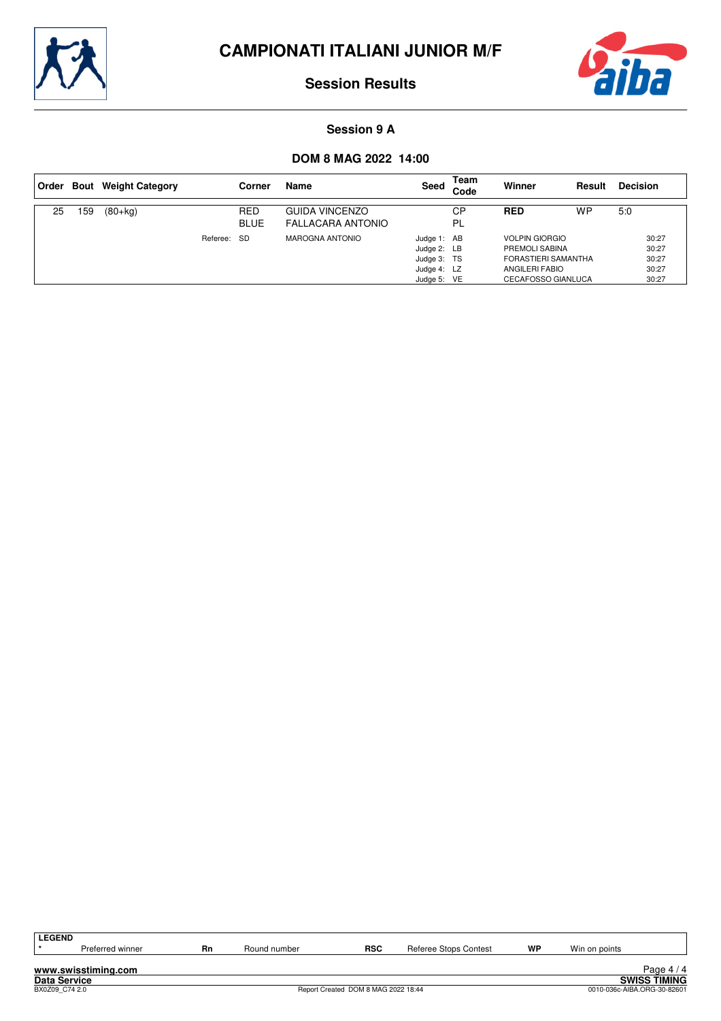



#### **Session 9 A**

| Order |    | <b>Bout</b> Weight Category |          | Corner                    | Name                                              | Seed                                                                    | Team<br>Code | Winner                                                                                                        | Result | <b>Decision</b>                           |
|-------|----|-----------------------------|----------|---------------------------|---------------------------------------------------|-------------------------------------------------------------------------|--------------|---------------------------------------------------------------------------------------------------------------|--------|-------------------------------------------|
| 25    | 59 | $(80 + kg)$                 |          | <b>RED</b><br><b>BLUE</b> | <b>GUIDA VINCENZO</b><br><b>FALLACARA ANTONIO</b> |                                                                         | CP<br>- PL   | <b>RED</b>                                                                                                    | WP     | 5:0                                       |
|       |    |                             | Referee: | -SD                       | MAROGNA ANTONIO                                   | Judge 1: AB<br>Judge 2: LB<br>Judge 3: TS<br>Judge 4: LZ<br>Judge 5: VE |              | <b>VOLPIN GIORGIO</b><br>PREMOLI SABINA<br>FORASTIERI SAMANTHA<br>ANGILERI FABIO<br><b>CECAFOSSO GIANLUCA</b> |        | 30:27<br>30:27<br>30:27<br>30:27<br>30:27 |

| <b>LEGEND</b>       |                     |    |              |                                     |                       |    |                             |                     |
|---------------------|---------------------|----|--------------|-------------------------------------|-----------------------|----|-----------------------------|---------------------|
|                     | Preferred winner    | Rn | Round number | <b>RSC</b>                          | Referee Stops Contest | WP | Win on points               |                     |
|                     |                     |    |              |                                     |                       |    |                             |                     |
|                     | www.swisstiming.com |    |              |                                     |                       |    |                             | Page $4/4$          |
| <b>Data Service</b> |                     |    |              |                                     |                       |    |                             | <b>SWISS TIMING</b> |
| BX0Z09 C74 2.0      |                     |    |              | Report Created DOM 8 MAG 2022 18:44 |                       |    | 0010-036c-AIBA.ORG-30-82601 |                     |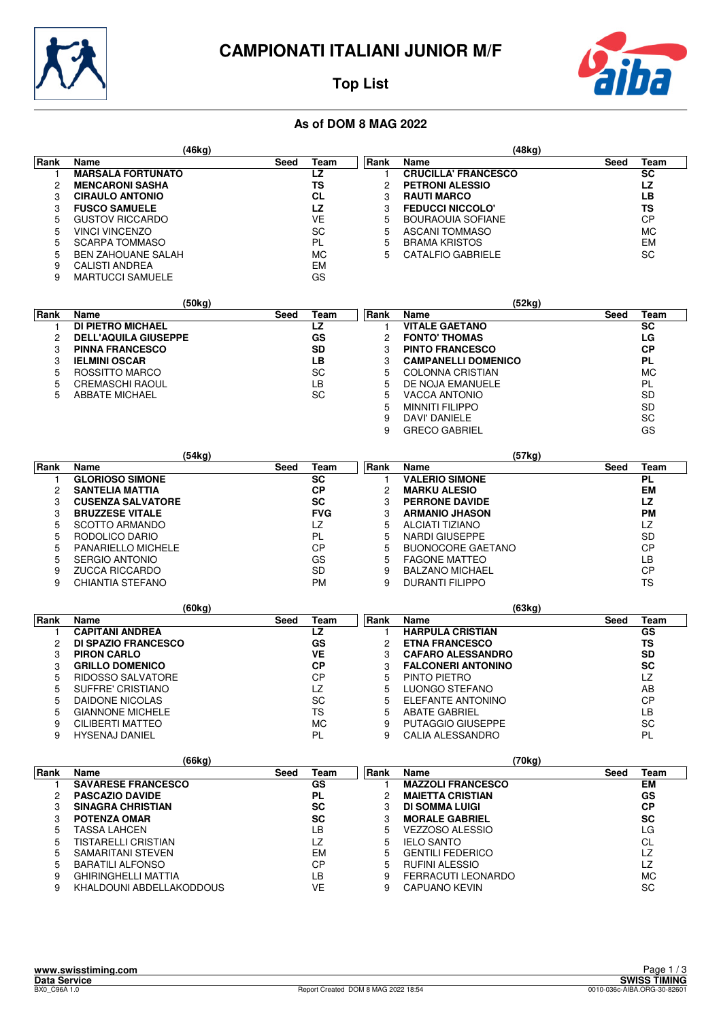



# **Top List**

## **As of DOM 8 MAG 2022**

|      | (46kg)                    |              |             | (48kg)                     |           |      |
|------|---------------------------|--------------|-------------|----------------------------|-----------|------|
| Rank | Name                      | Team<br>Seed | <b>Rank</b> | Name                       | Seed      | Team |
|      | <b>MARSALA FORTUNATO</b>  | LZ           |             | <b>CRUCILLA' FRANCESCO</b> | <b>SC</b> |      |
| 2    | <b>MENCARONI SASHA</b>    | TS           |             | <b>PETRONI ALESSIO</b>     | LZ        |      |
| З    | <b>CIRAULO ANTONIO</b>    | <b>CL</b>    | 3           | <b>RAUTI MARCO</b>         | LВ        |      |
| 3    | <b>FUSCO SAMUELE</b>      | LZ           | 3           | <b>FEDUCCI NICCOLO'</b>    | TS        |      |
| 5    | <b>GUSTOV RICCARDO</b>    | VE           | 5           | BOURAOUIA SOFIANE          | <b>CP</b> |      |
| 5    | <b>VINCI VINCENZO</b>     | SC           | 5           | ASCANI TOMMASO             | <b>MC</b> |      |
| 5    | <b>SCARPA TOMMASO</b>     | PL           | 5           | <b>BRAMA KRISTOS</b>       | EM        |      |
| 5    | <b>BEN ZAHOUANE SALAH</b> | МC           | 5           | CATALFIO GABRIELE          | <b>SC</b> |      |
| 9    | CALISTI ANDREA            | EM           |             |                            |           |      |

9 MARTUCCI SAMUELE GS

|             | (50kg)                      |      |           |      | (52kg)                     |      |           |
|-------------|-----------------------------|------|-----------|------|----------------------------|------|-----------|
| <b>Rank</b> | <b>Name</b>                 | Seed | Team      | Rank | Name                       | Seed | Team      |
|             | <b>DI PIETRO MICHAEL</b>    |      | LZ        |      | <b>VITALE GAETANO</b>      |      | <b>SC</b> |
|             | <b>DELL'AQUILA GIUSEPPE</b> |      | GS        | 2    | <b>FONTO' THOMAS</b>       |      | LG        |
|             | <b>PINNA FRANCESCO</b>      |      | <b>SD</b> | 3    | <b>PINTO FRANCESCO</b>     |      | <b>CP</b> |
|             | <b>IELMINI OSCAR</b>        |      | LВ        | 3    | <b>CAMPANELLI DOMENICO</b> |      | <b>PL</b> |
| 5           | ROSSITTO MARCO              |      | <b>SC</b> | 5    | <b>COLONNA CRISTIAN</b>    |      | <b>MC</b> |
|             | <b>CREMASCHI RAOUL</b>      |      | LВ        | 5    | DE NOJA EMANUELE           |      | PL        |
|             | <b>ABBATE MICHAEL</b>       |      | <b>SC</b> | 5.   | VACCA ANTONIO              |      | <b>SD</b> |
|             |                             |      |           | 5    | <b>MINNITI FILIPPO</b>     |      | <b>SD</b> |
|             |                             |      |           | 9    | DAVI' DANIELE              |      | SC        |
|             |                             |      |           | 9    | <b>GRECO GABRIEL</b>       |      | GS        |

|      | (54kg)                   |              |      | (57kg)                 |           |      |
|------|--------------------------|--------------|------|------------------------|-----------|------|
| Rank | <b>Name</b>              | Team<br>Seed | Rank | Name                   | Seed      | Team |
|      | <b>GLORIOSO SIMONE</b>   | SC           |      | <b>VALERIO SIMONE</b>  | <b>PL</b> |      |
|      | <b>SANTELIA MATTIA</b>   | СP           | 2    | <b>MARKU ALESIO</b>    | EM        |      |
|      | <b>CUSENZA SALVATORE</b> | SC           | 3    | <b>PERRONE DAVIDE</b>  | LZ        |      |
|      | <b>BRUZZESE VITALE</b>   | <b>FVG</b>   |      | <b>ARMANIO JHASON</b>  | <b>PM</b> |      |
| 5.   | <b>SCOTTO ARMANDO</b>    | LZ           | 5    | <b>ALCIATI TIZIANO</b> | LZ        |      |
|      | RODOLICO DARIO           | PL           | 5    | NARDI GIUSEPPE         | <b>SD</b> |      |
| 5    | PANARIELLO MICHELE       | СP           | 5    | BUONOCORE GAETANO      | СP        |      |
| 5.   | SERGIO ANTONIO           | GS           | 5    | <b>FAGONE MATTEO</b>   | LВ        |      |
| 9    | ZUCCA RICCARDO           | <b>SD</b>    | 9    | <b>BALZANO MICHAEL</b> | CP        |      |
| 9    | CHIANTIA STEFANO         | <b>PM</b>    | 9    | <b>DURANTI FILIPPO</b> | TS        |      |

|      | (60kg)                     |              |      | (63kg)                    |      |           |
|------|----------------------------|--------------|------|---------------------------|------|-----------|
| Rank | Name                       | Team<br>Seed | Rank | Name                      | Seed | Team      |
|      | <b>CAPITANI ANDREA</b>     | LZ           |      | <b>HARPULA CRISTIAN</b>   |      | GS        |
| 2    | <b>DI SPAZIO FRANCESCO</b> | GS           |      | <b>ETNA FRANCESCO</b>     |      | ΤS        |
| 3    | <b>PIRON CARLO</b>         | VE           |      | <b>CAFARO ALESSANDRO</b>  |      | <b>SD</b> |
| 3    | <b>GRILLO DOMENICO</b>     | <b>CP</b>    |      | <b>FALCONERI ANTONINO</b> |      | <b>SC</b> |
| 5    | <b>RIDOSSO SALVATORE</b>   | CP           | 5    | PINTO PIETRO              |      | LZ        |
| 5    | SUFFRE' CRISTIANO          | LZ           | 5    | LUONGO STEFANO            |      | AB        |
| 5    | DAIDONE NICOLAS            | SC           |      | ELEFANTE ANTONINO         |      | <b>CP</b> |
| 5    | <b>GIANNONE MICHELE</b>    | TS           |      | <b>ABATE GABRIEL</b>      |      | LВ        |
| 9    | CILIBERTI MATTEO           | <b>MC</b>    | 9    | <b>PUTAGGIO GIUSEPPE</b>  |      | <b>SC</b> |
| 9    | <b>HYSENAJ DANIEL</b>      | PL           |      | CALIA ALESSANDRO          |      | PL        |

|      | (66kg)                     |      |           |      | (70kg)                   |      |           |
|------|----------------------------|------|-----------|------|--------------------------|------|-----------|
| Rank | Name                       | Seed | Team      | Rank | <b>Name</b>              | Seed | Team      |
|      | <b>SAVARESE FRANCESCO</b>  |      | GS        |      | <b>MAZZOLI FRANCESCO</b> |      | EM        |
| 2    | <b>PASCAZIO DAVIDE</b>     |      | PL        |      | <b>MAIETTA CRISTIAN</b>  |      | GS        |
| 3    | <b>SINAGRA CHRISTIAN</b>   |      | <b>SC</b> | 3    | DI SOMMA LUIGI           |      | <b>CP</b> |
| 3    | <b>POTENZA OMAR</b>        |      | SC        |      | <b>MORALE GABRIEL</b>    |      | <b>SC</b> |
| 5    | TASSA LAHCEN               |      | LВ        | 5    | VEZZOSO ALESSIO          |      | LG        |
| 5    | TISTARELLI CRISTIAN        |      | LZ        | 5    | <b>IELO SANTO</b>        |      | СL        |
| 5    | <b>SAMARITANI STEVEN</b>   |      | <b>EM</b> |      | <b>GENTILI FEDERICO</b>  |      | LZ        |
| 5    | <b>BARATILI ALFONSO</b>    |      | <b>CP</b> | 5    | <b>RUFINI ALESSIO</b>    |      | LZ        |
| 9    | <b>GHIRINGHELLI MATTIA</b> |      | LВ        | 9    | FERRACUTI LEONARDO       |      | МC        |
| 9    | KHALDOUNI ABDELLAKODDOUS   |      | VE        | 9    | <b>CAPUANO KEVIN</b>     |      | SC        |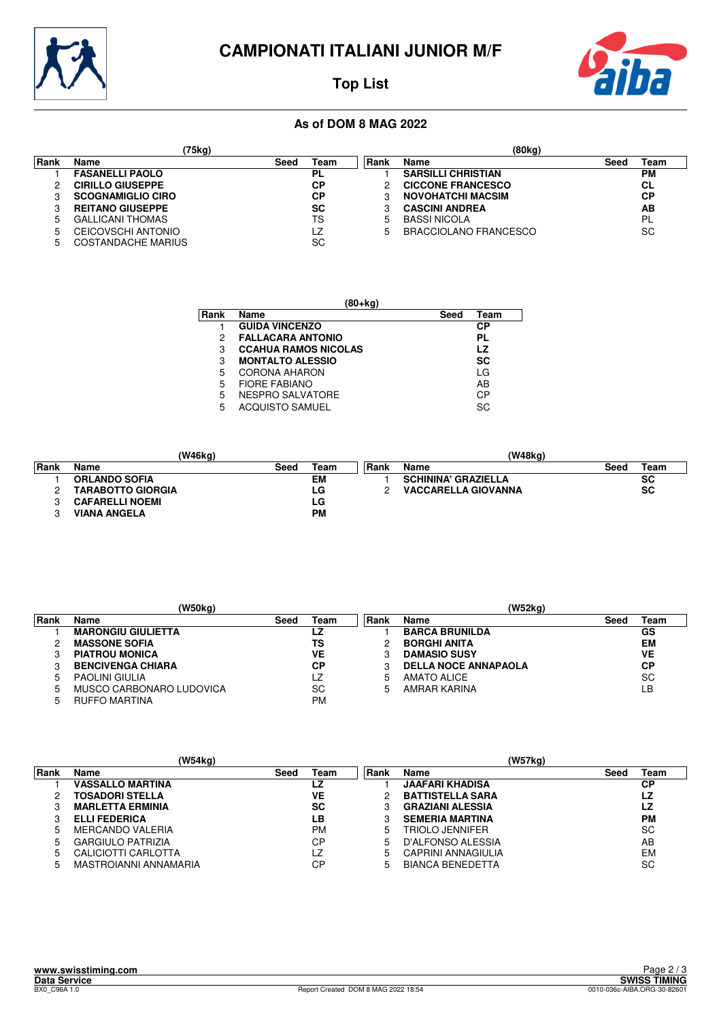

# **CAMPIONATI ITALIANI JUNIOR M/F**



# **Top List**

## **As of DOM 8 MAG 2022**

|       | (75kg)                   |      |      |             | (80kg)                    |      |           |
|-------|--------------------------|------|------|-------------|---------------------------|------|-----------|
| ∣Rank | Name                     | Seed | Team | <b>Rank</b> | Name                      | Seed | Team      |
|       | <b>FASANELLI PAOLO</b>   |      | PL   |             | <b>SARSILLI CHRISTIAN</b> |      | <b>PM</b> |
|       | <b>CIRILLO GIUSEPPE</b>  |      | СP   |             | <b>CICCONE FRANCESCO</b>  |      | <b>CL</b> |
|       | <b>SCOGNAMIGLIO CIRO</b> |      | СP   |             | <b>NOVOHATCHI MACSIM</b>  |      | <b>CP</b> |
|       | <b>REITANO GIUSEPPE</b>  |      | SC   |             | <b>CASCINI ANDREA</b>     |      | AB        |
| 5     | <b>GALLICANI THOMAS</b>  |      | TS   | 5           | <b>BASSI NICOLA</b>       |      | <b>PL</b> |
| 5     | CEICOVSCHI ANTONIO       |      | LZ   | 5           | BRACCIOLANO FRANCESCO     |      | <b>SC</b> |
| .h    | COSTANDACHE MARIUS       |      | SC   |             |                           |      |           |

|      | (80+kg)                     |      |      |  |  |  |  |  |  |  |
|------|-----------------------------|------|------|--|--|--|--|--|--|--|
| Rank | Name                        | Seed | Team |  |  |  |  |  |  |  |
|      | <b>GUIDA VINCENZO</b>       |      | СP   |  |  |  |  |  |  |  |
| 2    | <b>FALLACARA ANTONIO</b>    |      | PL   |  |  |  |  |  |  |  |
| 3    | <b>CCAHUA RAMOS NICOLAS</b> |      | LZ   |  |  |  |  |  |  |  |
| 3    | <b>MONTALTO ALESSIO</b>     |      | SC   |  |  |  |  |  |  |  |
| 5    | <b>CORONA AHARON</b>        |      | LG   |  |  |  |  |  |  |  |
| 5    | <b>FIORE FABIANO</b>        |      | AB   |  |  |  |  |  |  |  |
| 5    | NESPRO SALVATORE            |      | СP   |  |  |  |  |  |  |  |
| 5    | <b>ACQUISTO SAMUEL</b>      |      | SC.  |  |  |  |  |  |  |  |

|             | (W46kg)                  |      |           |       | (W48kg)                    |      |           |
|-------------|--------------------------|------|-----------|-------|----------------------------|------|-----------|
| <b>Rank</b> | <b>Name</b>              | Seed | Team      | ∣Rank | <b>Name</b>                | Seed | Team      |
|             | <b>ORLANDO SOFIA</b>     |      | EM        |       | <b>SCHININA' GRAZIELLA</b> |      | <b>SC</b> |
|             | <b>TARABOTTO GIORGIA</b> |      | LG        |       | <b>VACCARELLA GIOVANNA</b> |      | <b>SC</b> |
|             | <b>CAFARELLI NOEMI</b>   |      | LG        |       |                            |      |           |
|             | <b>VIANA ANGELA</b>      |      | <b>PM</b> |       |                            |      |           |

|      | (W50kg)                   |      |           |      | (W52kg)                     |      |           |
|------|---------------------------|------|-----------|------|-----------------------------|------|-----------|
| Rank | Name                      | Seed | Team      | Rank | Name                        | Seed | Team      |
|      | <b>MARONGIU GIULIETTA</b> |      | LZ        |      | <b>BARCA BRUNILDA</b>       |      | GS        |
|      | <b>MASSONE SOFIA</b>      |      | TS        |      | <b>BORGHI ANITA</b>         |      | EM        |
|      | <b>PIATROU MONICA</b>     |      | VE        |      | <b>DAMASIO SUSY</b>         |      | VE        |
|      | <b>BENCIVENGA CHIARA</b>  |      | СP        |      | <b>DELLA NOCE ANNAPAOLA</b> |      | СP        |
|      | <b>PAOLINI GIULIA</b>     |      | LZ        | 5    | <b>AMATO ALICE</b>          |      | <b>SC</b> |
|      | MUSCO CARBONARO LUDOVICA  |      | SC        | 5    | AMRAR KARINA                |      | LB        |
|      | <b>RUFFO MARTINA</b>      |      | <b>PM</b> |      |                             |      |           |

|             |                          | (W54kg) |           |             |                         | (W57kg) |           |
|-------------|--------------------------|---------|-----------|-------------|-------------------------|---------|-----------|
| Rank        | Name                     | Seed    | Team      | <b>Rank</b> | Name                    | Seed    | Team      |
|             | <b>VASSALLO MARTINA</b>  |         | LZ        |             | <b>JAAFARI KHADISA</b>  |         | СP        |
|             | <b>TOSADORI STELLA</b>   |         | VE        |             | <b>BATTISTELLA SARA</b> |         | LZ        |
|             | <b>MARLETTA ERMINIA</b>  |         | <b>SC</b> |             | <b>GRAZIANI ALESSIA</b> |         | LZ        |
|             | <b>ELLI FEDERICA</b>     |         | LΒ        |             | <b>SEMERIA MARTINA</b>  |         | <b>PM</b> |
| 5           | <b>MERCANDO VALERIA</b>  |         | <b>PM</b> | ხ           | TRIOLO JENNIFER         |         | <b>SC</b> |
| 5           | <b>GARGIULO PATRIZIA</b> |         | СP        | 5           | D'ALFONSO ALESSIA       |         | AB        |
| $5^{\circ}$ | CALICIOTTI CARLOTTA      |         | LZ        | 5           | CAPRINI ANNAGIULIA      |         | EM        |
| 5           | MASTROIANNI ANNAMARIA    |         | СP        | 5           | <b>BIANCA BENEDETTA</b> |         | SC        |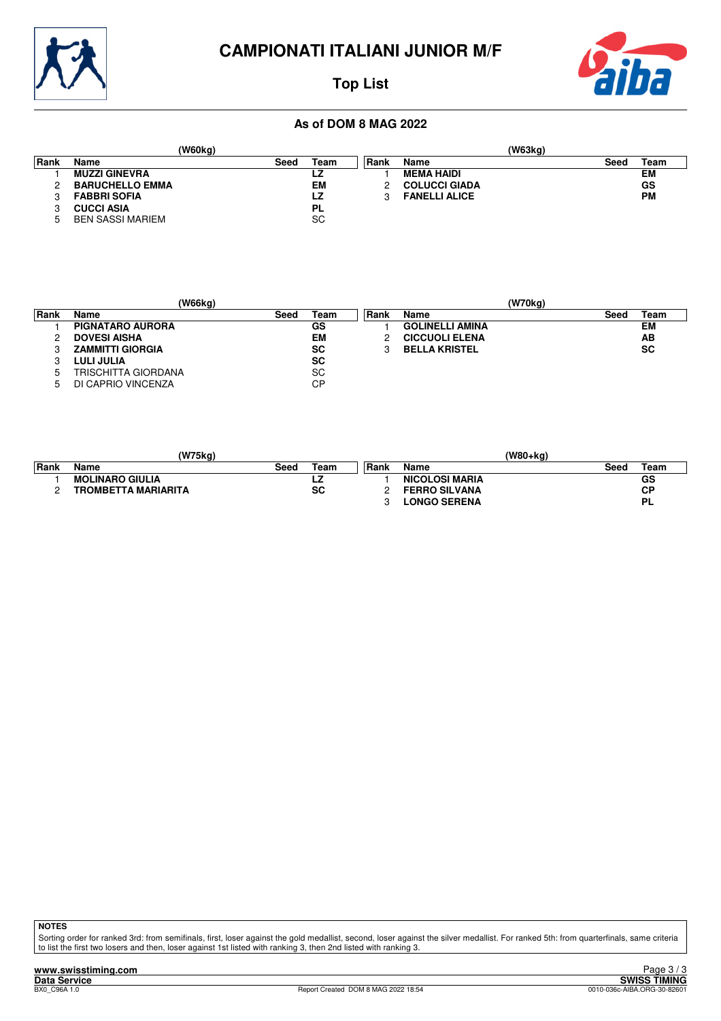



## **Top List**

#### **As of DOM 8 MAG 2022**

|       |                         | 'W60kg) |           |       |                      | (W63kg) |      |           |
|-------|-------------------------|---------|-----------|-------|----------------------|---------|------|-----------|
| ∣Rank | Name                    | Seed    | Team      | ∣Rank | Name                 |         | Seed | Team      |
|       | <b>MUZZI GINEVRA</b>    |         | LZ        |       | <b>MEMA HAIDI</b>    |         |      | EM        |
|       | <b>BARUCHELLO EMMA</b>  |         | EМ        |       | <b>COLUCCI GIADA</b> |         |      | GS        |
|       | <b>FABBRI SOFIA</b>     |         | LZ        |       | <b>FANELLI ALICE</b> |         |      | <b>PM</b> |
|       | <b>CUCCI ASIA</b>       |         | PL        |       |                      |         |      |           |
|       | <b>BEN SASSI MARIEM</b> |         | <b>SC</b> |       |                      |         |      |           |

|       |                         | (W66kg) |           |       |                        | (W70kg) |           |
|-------|-------------------------|---------|-----------|-------|------------------------|---------|-----------|
| ∣Rank | Name                    | Seed    | Team      | ∣Rank | Name                   | Seed    | Team      |
|       | <b>PIGNATARO AURORA</b> |         | GS        |       | <b>GOLINELLI AMINA</b> |         | EM        |
|       | <b>DOVESI AISHA</b>     |         | <b>EM</b> |       | <b>CICCUOLI ELENA</b>  |         | AB        |
|       | <b>ZAMMITTI GIORGIA</b> |         | <b>SC</b> |       | <b>BELLA KRISTEL</b>   |         | <b>SC</b> |
|       | <b>LULI JULIA</b>       |         | <b>SC</b> |       |                        |         |           |
| 5     | TRISCHITTA GIORDANA     |         | SC        |       |                        |         |           |
|       | DI CAPRIO VINCENZA      |         | CP        |       |                        |         |           |

|             | (W75kg)                    |      |      |       | (W80+ka)              |      |           |
|-------------|----------------------------|------|------|-------|-----------------------|------|-----------|
| <b>Rank</b> | Name                       | Seed | Team | ⊺Rank | Name                  | Seed | Team      |
|             | <b>MOLINARO GIULIA</b>     |      | LZ   |       | <b>NICOLOSI MARIA</b> |      | GS        |
|             | <b>TROMBETTA MARIARITA</b> |      | SC   |       | <b>FERRO SILVANA</b>  |      | <b>CP</b> |
|             |                            |      |      |       | <b>LONGO SERENA</b>   |      | PL        |

**NOTES**

Sorting order for ranked 3rd: from semifinals, first, loser against the gold medallist, second, loser against the silver medallist. For ranked 5th: from quarterfinals, same criteria<br>to list the first two losers and then, l